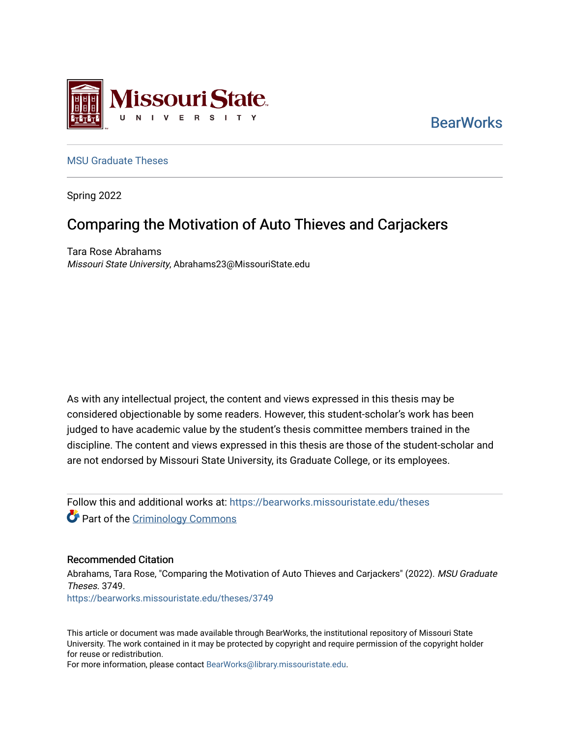

**BearWorks** 

## [MSU Graduate Theses](https://bearworks.missouristate.edu/theses)

Spring 2022

# Comparing the Motivation of Auto Thieves and Carjackers

Tara Rose Abrahams Missouri State University, Abrahams23@MissouriState.edu

As with any intellectual project, the content and views expressed in this thesis may be considered objectionable by some readers. However, this student-scholar's work has been judged to have academic value by the student's thesis committee members trained in the discipline. The content and views expressed in this thesis are those of the student-scholar and are not endorsed by Missouri State University, its Graduate College, or its employees.

Follow this and additional works at: [https://bearworks.missouristate.edu/theses](https://bearworks.missouristate.edu/theses?utm_source=bearworks.missouristate.edu%2Ftheses%2F3749&utm_medium=PDF&utm_campaign=PDFCoverPages)  **Part of the [Criminology Commons](https://network.bepress.com/hgg/discipline/417?utm_source=bearworks.missouristate.edu%2Ftheses%2F3749&utm_medium=PDF&utm_campaign=PDFCoverPages)** 

#### Recommended Citation

Abrahams, Tara Rose, "Comparing the Motivation of Auto Thieves and Carjackers" (2022). MSU Graduate Theses. 3749. [https://bearworks.missouristate.edu/theses/3749](https://bearworks.missouristate.edu/theses/3749?utm_source=bearworks.missouristate.edu%2Ftheses%2F3749&utm_medium=PDF&utm_campaign=PDFCoverPages) 

This article or document was made available through BearWorks, the institutional repository of Missouri State University. The work contained in it may be protected by copyright and require permission of the copyright holder for reuse or redistribution.

For more information, please contact [BearWorks@library.missouristate.edu.](mailto:BearWorks@library.missouristate.edu)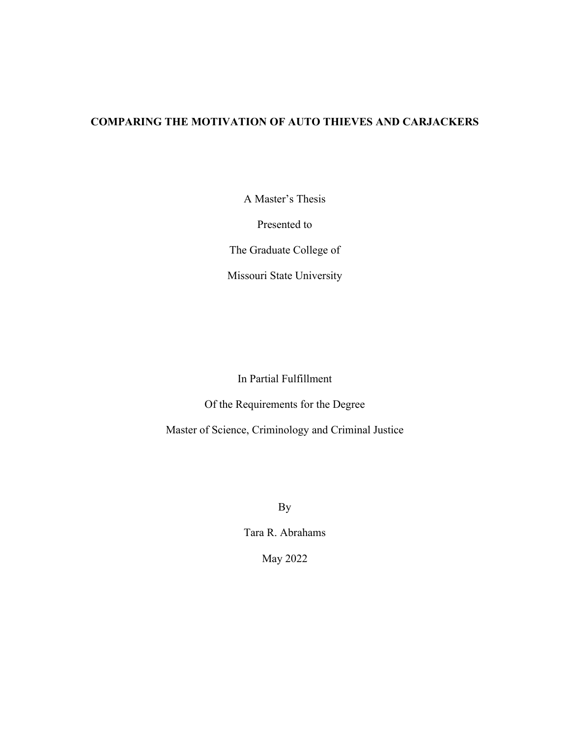## **COMPARING THE MOTIVATION OF AUTO THIEVES AND CARJACKERS**

A Master's Thesis

Presented to

The Graduate College of

Missouri State University

In Partial Fulfillment

Of the Requirements for the Degree

Master of Science, Criminology and Criminal Justice

By

Tara R. Abrahams

May 2022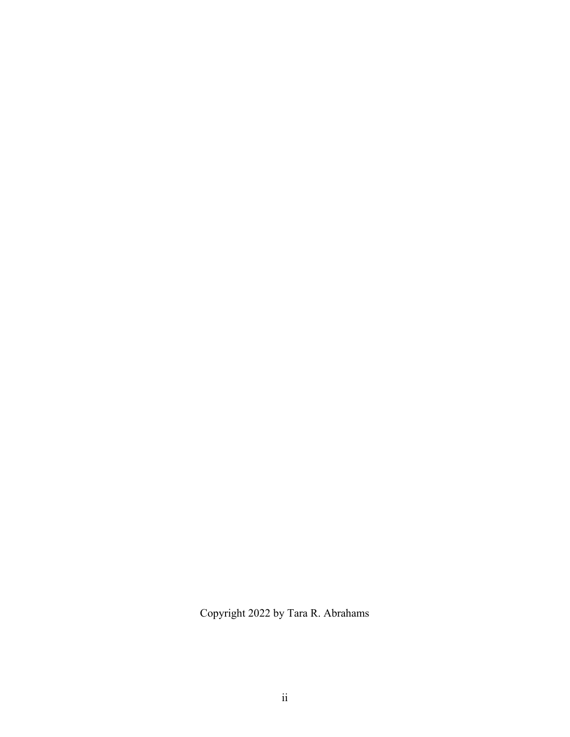Copyright 2022 by Tara R. Abrahams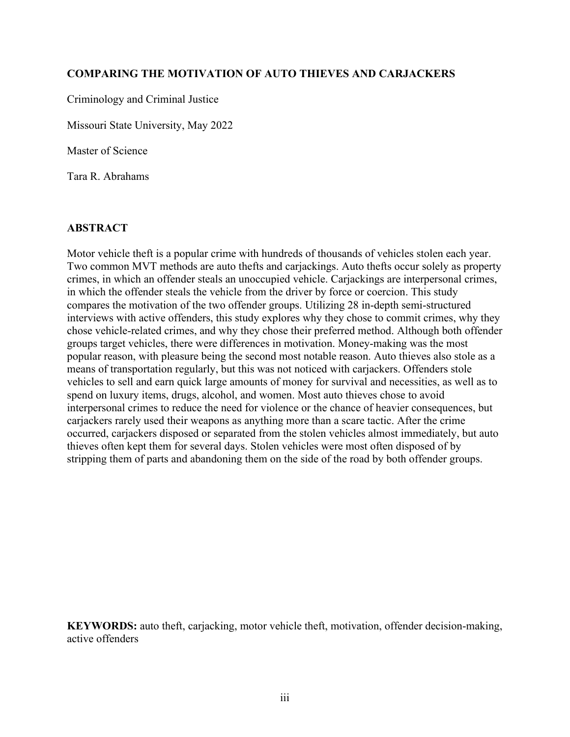## **COMPARING THE MOTIVATION OF AUTO THIEVES AND CARJACKERS**

Criminology and Criminal Justice

Missouri State University, May 2022

Master of Science

Tara R. Abrahams

## **ABSTRACT**

Motor vehicle theft is a popular crime with hundreds of thousands of vehicles stolen each year. Two common MVT methods are auto thefts and carjackings. Auto thefts occur solely as property crimes, in which an offender steals an unoccupied vehicle. Carjackings are interpersonal crimes, in which the offender steals the vehicle from the driver by force or coercion. This study compares the motivation of the two offender groups. Utilizing 28 in-depth semi-structured interviews with active offenders, this study explores why they chose to commit crimes, why they chose vehicle-related crimes, and why they chose their preferred method. Although both offender groups target vehicles, there were differences in motivation. Money-making was the most popular reason, with pleasure being the second most notable reason. Auto thieves also stole as a means of transportation regularly, but this was not noticed with carjackers. Offenders stole vehicles to sell and earn quick large amounts of money for survival and necessities, as well as to spend on luxury items, drugs, alcohol, and women. Most auto thieves chose to avoid interpersonal crimes to reduce the need for violence or the chance of heavier consequences, but carjackers rarely used their weapons as anything more than a scare tactic. After the crime occurred, carjackers disposed or separated from the stolen vehicles almost immediately, but auto thieves often kept them for several days. Stolen vehicles were most often disposed of by stripping them of parts and abandoning them on the side of the road by both offender groups.

**KEYWORDS:** auto theft, carjacking, motor vehicle theft, motivation, offender decision-making, active offenders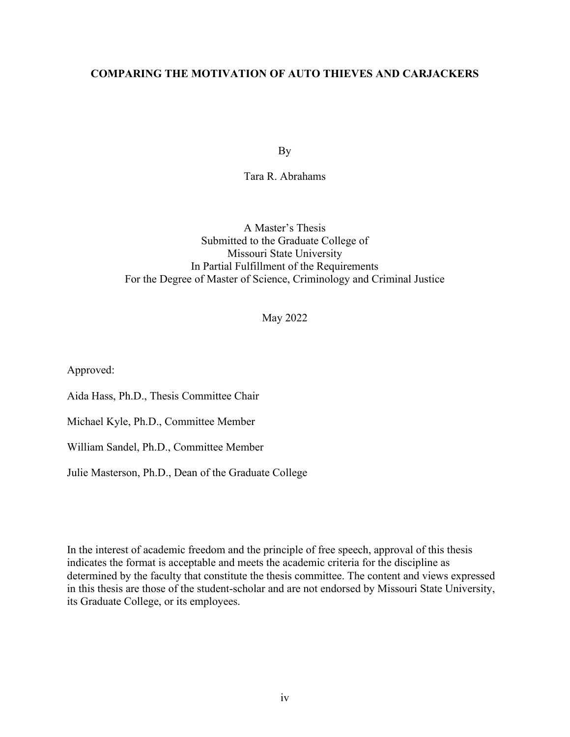## **COMPARING THE MOTIVATION OF AUTO THIEVES AND CARJACKERS**

By

Tara R. Abrahams

A Master's Thesis Submitted to the Graduate College of Missouri State University In Partial Fulfillment of the Requirements For the Degree of Master of Science, Criminology and Criminal Justice

May 2022

Approved:

Aida Hass, Ph.D., Thesis Committee Chair

Michael Kyle, Ph.D., Committee Member

William Sandel, Ph.D., Committee Member

Julie Masterson, Ph.D., Dean of the Graduate College

In the interest of academic freedom and the principle of free speech, approval of this thesis indicates the format is acceptable and meets the academic criteria for the discipline as determined by the faculty that constitute the thesis committee. The content and views expressed in this thesis are those of the student-scholar and are not endorsed by Missouri State University, its Graduate College, or its employees.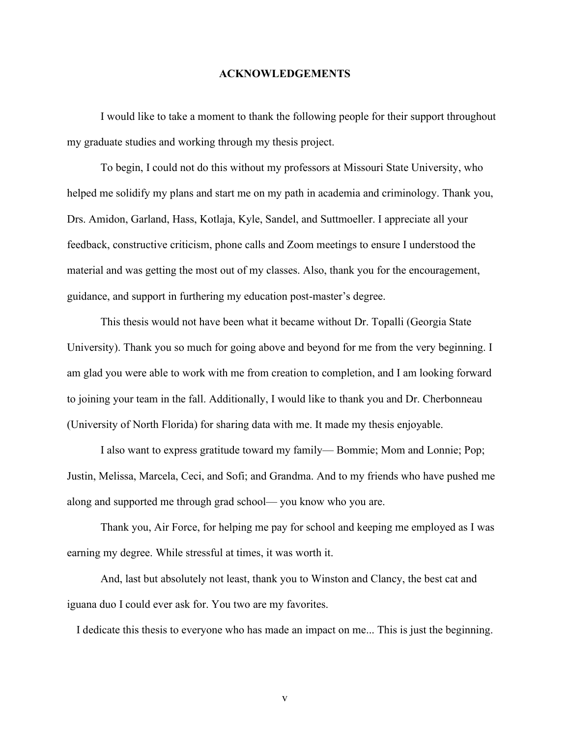### **ACKNOWLEDGEMENTS**

I would like to take a moment to thank the following people for their support throughout my graduate studies and working through my thesis project.

To begin, I could not do this without my professors at Missouri State University, who helped me solidify my plans and start me on my path in academia and criminology. Thank you, Drs. Amidon, Garland, Hass, Kotlaja, Kyle, Sandel, and Suttmoeller. I appreciate all your feedback, constructive criticism, phone calls and Zoom meetings to ensure I understood the material and was getting the most out of my classes. Also, thank you for the encouragement, guidance, and support in furthering my education post-master's degree.

This thesis would not have been what it became without Dr. Topalli (Georgia State University). Thank you so much for going above and beyond for me from the very beginning. I am glad you were able to work with me from creation to completion, and I am looking forward to joining your team in the fall. Additionally, I would like to thank you and Dr. Cherbonneau (University of North Florida) for sharing data with me. It made my thesis enjoyable.

I also want to express gratitude toward my family— Bommie; Mom and Lonnie; Pop; Justin, Melissa, Marcela, Ceci, and Sofi; and Grandma. And to my friends who have pushed me along and supported me through grad school— you know who you are.

Thank you, Air Force, for helping me pay for school and keeping me employed as I was earning my degree. While stressful at times, it was worth it.

And, last but absolutely not least, thank you to Winston and Clancy, the best cat and iguana duo I could ever ask for. You two are my favorites.

I dedicate this thesis to everyone who has made an impact on me... This is just the beginning.

v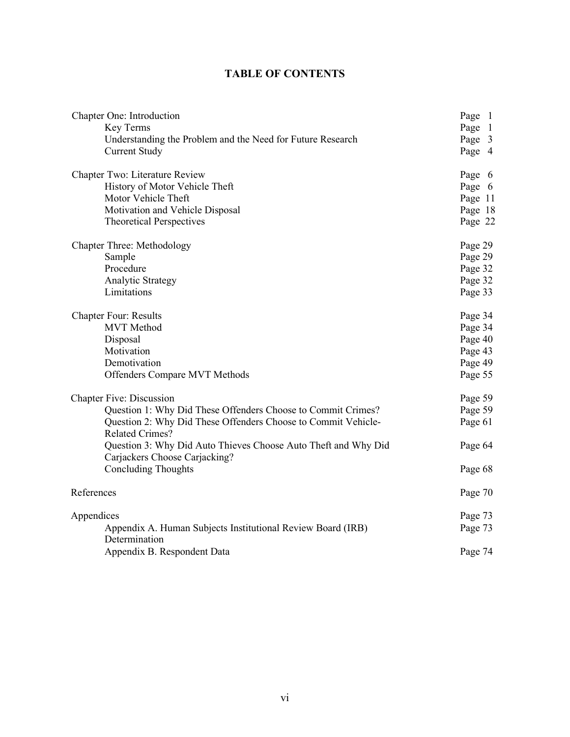## **TABLE OF CONTENTS**

| Chapter One: Introduction                                                                       | Page 1  |
|-------------------------------------------------------------------------------------------------|---------|
| Key Terms                                                                                       | Page 1  |
| Understanding the Problem and the Need for Future Research                                      | Page 3  |
| <b>Current Study</b>                                                                            | Page 4  |
| Chapter Two: Literature Review                                                                  | Page 6  |
| History of Motor Vehicle Theft                                                                  | Page 6  |
| Motor Vehicle Theft                                                                             | Page 11 |
| Motivation and Vehicle Disposal                                                                 | Page 18 |
| <b>Theoretical Perspectives</b>                                                                 | Page 22 |
| <b>Chapter Three: Methodology</b>                                                               | Page 29 |
| Sample                                                                                          | Page 29 |
| Procedure                                                                                       | Page 32 |
| Analytic Strategy                                                                               | Page 32 |
| Limitations                                                                                     | Page 33 |
| <b>Chapter Four: Results</b>                                                                    | Page 34 |
| <b>MVT</b> Method                                                                               | Page 34 |
| Disposal                                                                                        | Page 40 |
| Motivation                                                                                      | Page 43 |
| Demotivation                                                                                    | Page 49 |
| Offenders Compare MVT Methods                                                                   | Page 55 |
| <b>Chapter Five: Discussion</b>                                                                 | Page 59 |
| Question 1: Why Did These Offenders Choose to Commit Crimes?                                    | Page 59 |
| Question 2: Why Did These Offenders Choose to Commit Vehicle-<br><b>Related Crimes?</b>         | Page 61 |
| Question 3: Why Did Auto Thieves Choose Auto Theft and Why Did<br>Carjackers Choose Carjacking? | Page 64 |
| <b>Concluding Thoughts</b>                                                                      | Page 68 |
| References                                                                                      | Page 70 |
| Appendices                                                                                      | Page 73 |
| Appendix A. Human Subjects Institutional Review Board (IRB)<br>Determination                    | Page 73 |
| Appendix B. Respondent Data                                                                     | Page 74 |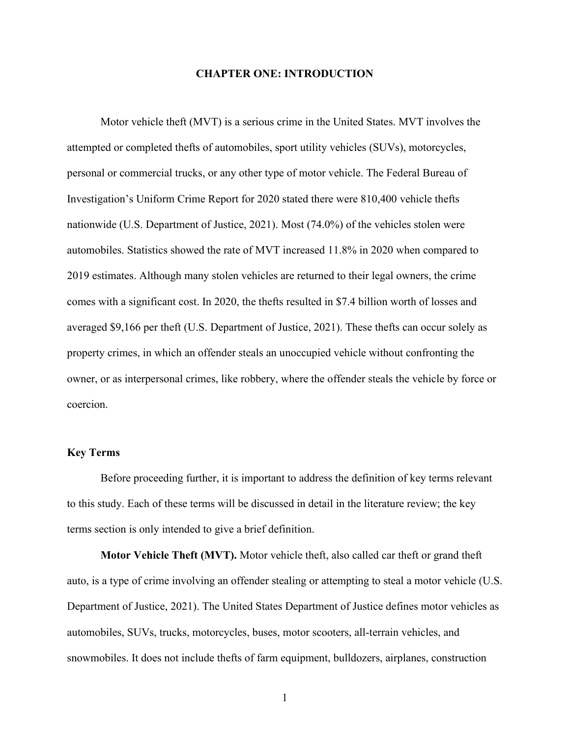### **CHAPTER ONE: INTRODUCTION**

Motor vehicle theft (MVT) is a serious crime in the United States. MVT involves the attempted or completed thefts of automobiles, sport utility vehicles (SUVs), motorcycles, personal or commercial trucks, or any other type of motor vehicle. The Federal Bureau of Investigation's Uniform Crime Report for 2020 stated there were 810,400 vehicle thefts nationwide (U.S. Department of Justice, 2021). Most (74.0%) of the vehicles stolen were automobiles. Statistics showed the rate of MVT increased 11.8% in 2020 when compared to 2019 estimates. Although many stolen vehicles are returned to their legal owners, the crime comes with a significant cost. In 2020, the thefts resulted in \$7.4 billion worth of losses and averaged \$9,166 per theft (U.S. Department of Justice, 2021). These thefts can occur solely as property crimes, in which an offender steals an unoccupied vehicle without confronting the owner, or as interpersonal crimes, like robbery, where the offender steals the vehicle by force or coercion.

## **Key Terms**

Before proceeding further, it is important to address the definition of key terms relevant to this study. Each of these terms will be discussed in detail in the literature review; the key terms section is only intended to give a brief definition.

**Motor Vehicle Theft (MVT).** Motor vehicle theft, also called car theft or grand theft auto, is a type of crime involving an offender stealing or attempting to steal a motor vehicle (U.S. Department of Justice, 2021). The United States Department of Justice defines motor vehicles as automobiles, SUVs, trucks, motorcycles, buses, motor scooters, all-terrain vehicles, and snowmobiles. It does not include thefts of farm equipment, bulldozers, airplanes, construction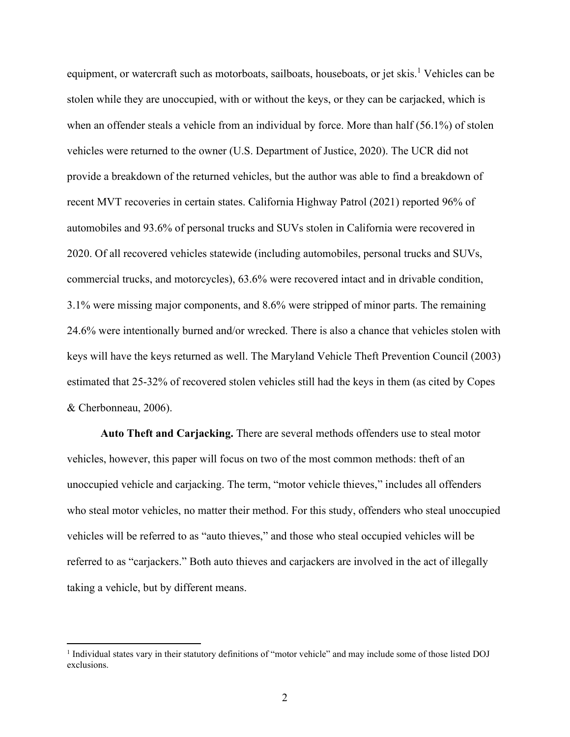equipment, or watercraft such as motorboats, sailboats, houseboats, or jet skis.<sup>1</sup> Vehicles can be stolen while they are unoccupied, with or without the keys, or they can be carjacked, which is when an offender steals a vehicle from an individual by force. More than half (56.1%) of stolen vehicles were returned to the owner (U.S. Department of Justice, 2020). The UCR did not provide a breakdown of the returned vehicles, but the author was able to find a breakdown of recent MVT recoveries in certain states. California Highway Patrol (2021) reported 96% of automobiles and 93.6% of personal trucks and SUVs stolen in California were recovered in 2020. Of all recovered vehicles statewide (including automobiles, personal trucks and SUVs, commercial trucks, and motorcycles), 63.6% were recovered intact and in drivable condition, 3.1% were missing major components, and 8.6% were stripped of minor parts. The remaining 24.6% were intentionally burned and/or wrecked. There is also a chance that vehicles stolen with keys will have the keys returned as well. The Maryland Vehicle Theft Prevention Council (2003) estimated that 25-32% of recovered stolen vehicles still had the keys in them (as cited by Copes & Cherbonneau, 2006).

**Auto Theft and Carjacking.** There are several methods offenders use to steal motor vehicles, however, this paper will focus on two of the most common methods: theft of an unoccupied vehicle and carjacking. The term, "motor vehicle thieves," includes all offenders who steal motor vehicles, no matter their method. For this study, offenders who steal unoccupied vehicles will be referred to as "auto thieves," and those who steal occupied vehicles will be referred to as "carjackers." Both auto thieves and carjackers are involved in the act of illegally taking a vehicle, but by different means.

<sup>&</sup>lt;sup>1</sup> Individual states vary in their statutory definitions of "motor vehicle" and may include some of those listed DOJ exclusions.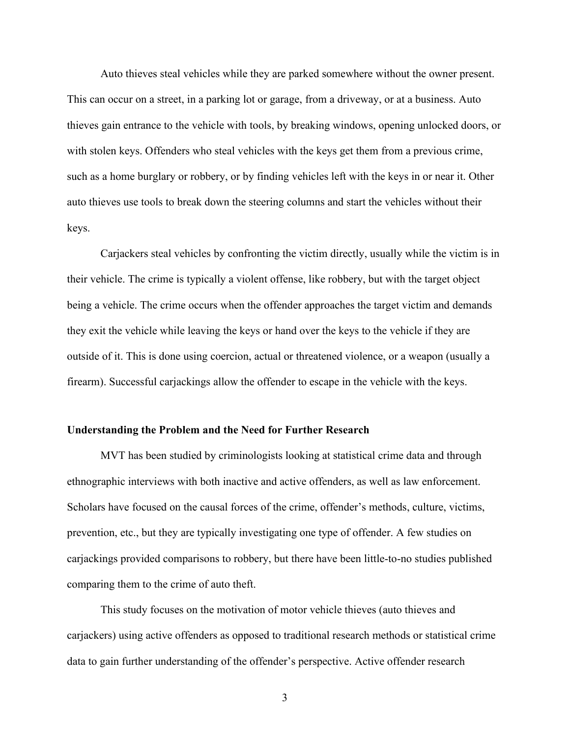Auto thieves steal vehicles while they are parked somewhere without the owner present. This can occur on a street, in a parking lot or garage, from a driveway, or at a business. Auto thieves gain entrance to the vehicle with tools, by breaking windows, opening unlocked doors, or with stolen keys. Offenders who steal vehicles with the keys get them from a previous crime, such as a home burglary or robbery, or by finding vehicles left with the keys in or near it. Other auto thieves use tools to break down the steering columns and start the vehicles without their keys.

Carjackers steal vehicles by confronting the victim directly, usually while the victim is in their vehicle. The crime is typically a violent offense, like robbery, but with the target object being a vehicle. The crime occurs when the offender approaches the target victim and demands they exit the vehicle while leaving the keys or hand over the keys to the vehicle if they are outside of it. This is done using coercion, actual or threatened violence, or a weapon (usually a firearm). Successful carjackings allow the offender to escape in the vehicle with the keys.

## **Understanding the Problem and the Need for Further Research**

MVT has been studied by criminologists looking at statistical crime data and through ethnographic interviews with both inactive and active offenders, as well as law enforcement. Scholars have focused on the causal forces of the crime, offender's methods, culture, victims, prevention, etc., but they are typically investigating one type of offender. A few studies on carjackings provided comparisons to robbery, but there have been little-to-no studies published comparing them to the crime of auto theft.

This study focuses on the motivation of motor vehicle thieves (auto thieves and carjackers) using active offenders as opposed to traditional research methods or statistical crime data to gain further understanding of the offender's perspective. Active offender research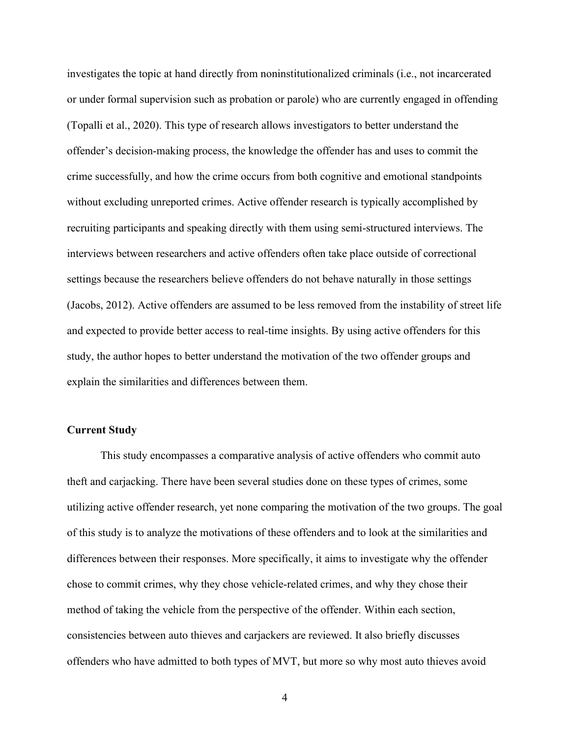investigates the topic at hand directly from noninstitutionalized criminals (i.e., not incarcerated or under formal supervision such as probation or parole) who are currently engaged in offending (Topalli et al., 2020). This type of research allows investigators to better understand the offender's decision-making process, the knowledge the offender has and uses to commit the crime successfully, and how the crime occurs from both cognitive and emotional standpoints without excluding unreported crimes. Active offender research is typically accomplished by recruiting participants and speaking directly with them using semi-structured interviews. The interviews between researchers and active offenders often take place outside of correctional settings because the researchers believe offenders do not behave naturally in those settings (Jacobs, 2012). Active offenders are assumed to be less removed from the instability of street life and expected to provide better access to real-time insights. By using active offenders for this study, the author hopes to better understand the motivation of the two offender groups and explain the similarities and differences between them.

## **Current Study**

This study encompasses a comparative analysis of active offenders who commit auto theft and carjacking. There have been several studies done on these types of crimes, some utilizing active offender research, yet none comparing the motivation of the two groups. The goal of this study is to analyze the motivations of these offenders and to look at the similarities and differences between their responses. More specifically, it aims to investigate why the offender chose to commit crimes, why they chose vehicle-related crimes, and why they chose their method of taking the vehicle from the perspective of the offender. Within each section, consistencies between auto thieves and carjackers are reviewed. It also briefly discusses offenders who have admitted to both types of MVT, but more so why most auto thieves avoid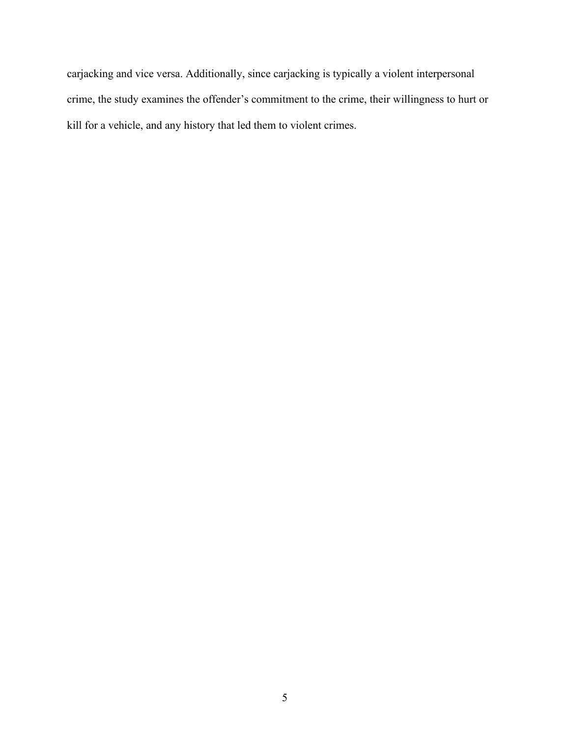carjacking and vice versa. Additionally, since carjacking is typically a violent interpersonal crime, the study examines the offender's commitment to the crime, their willingness to hurt or kill for a vehicle, and any history that led them to violent crimes.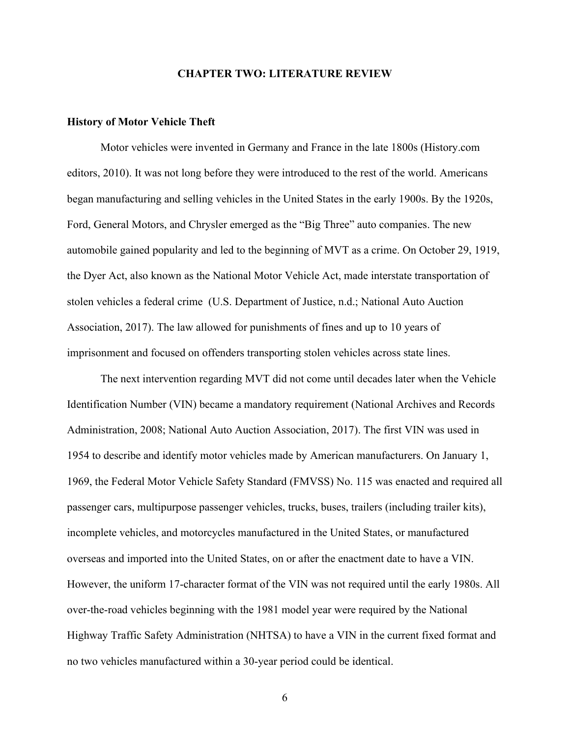#### **CHAPTER TWO: LITERATURE REVIEW**

## **History of Motor Vehicle Theft**

Motor vehicles were invented in Germany and France in the late 1800s (History.com editors, 2010). It was not long before they were introduced to the rest of the world. Americans began manufacturing and selling vehicles in the United States in the early 1900s. By the 1920s, Ford, General Motors, and Chrysler emerged as the "Big Three" auto companies. The new automobile gained popularity and led to the beginning of MVT as a crime. On October 29, 1919, the Dyer Act, also known as the National Motor Vehicle Act, made interstate transportation of stolen vehicles a federal crime (U.S. Department of Justice, n.d.; National Auto Auction Association, 2017). The law allowed for punishments of fines and up to 10 years of imprisonment and focused on offenders transporting stolen vehicles across state lines.

The next intervention regarding MVT did not come until decades later when the Vehicle Identification Number (VIN) became a mandatory requirement (National Archives and Records Administration, 2008; National Auto Auction Association, 2017). The first VIN was used in 1954 to describe and identify motor vehicles made by American manufacturers. On January 1, 1969, the Federal Motor Vehicle Safety Standard (FMVSS) No. 115 was enacted and required all passenger cars, multipurpose passenger vehicles, trucks, buses, trailers (including trailer kits), incomplete vehicles, and motorcycles manufactured in the United States, or manufactured overseas and imported into the United States, on or after the enactment date to have a VIN. However, the uniform 17-character format of the VIN was not required until the early 1980s. All over-the-road vehicles beginning with the 1981 model year were required by the National Highway Traffic Safety Administration (NHTSA) to have a VIN in the current fixed format and no two vehicles manufactured within a 30-year period could be identical.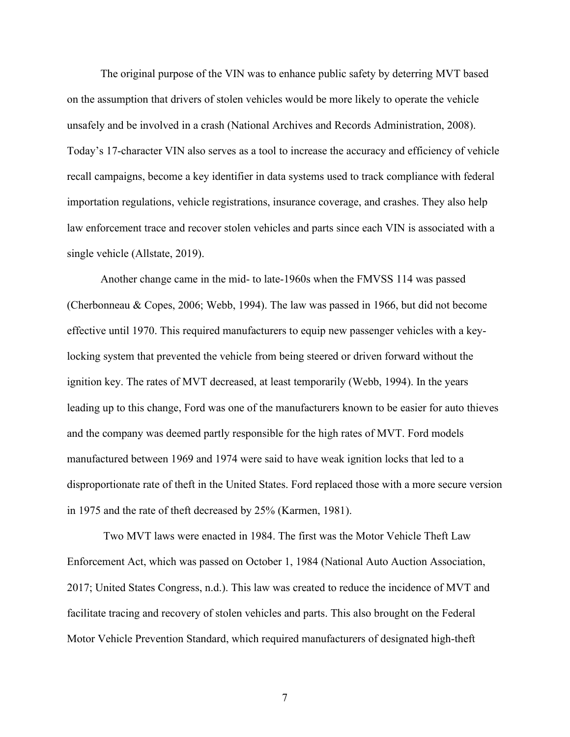The original purpose of the VIN was to enhance public safety by deterring MVT based on the assumption that drivers of stolen vehicles would be more likely to operate the vehicle unsafely and be involved in a crash (National Archives and Records Administration, 2008). Today's 17-character VIN also serves as a tool to increase the accuracy and efficiency of vehicle recall campaigns, become a key identifier in data systems used to track compliance with federal importation regulations, vehicle registrations, insurance coverage, and crashes. They also help law enforcement trace and recover stolen vehicles and parts since each VIN is associated with a single vehicle (Allstate, 2019).

Another change came in the mid- to late-1960s when the FMVSS 114 was passed (Cherbonneau & Copes, 2006; Webb, 1994). The law was passed in 1966, but did not become effective until 1970. This required manufacturers to equip new passenger vehicles with a keylocking system that prevented the vehicle from being steered or driven forward without the ignition key. The rates of MVT decreased, at least temporarily (Webb, 1994). In the years leading up to this change, Ford was one of the manufacturers known to be easier for auto thieves and the company was deemed partly responsible for the high rates of MVT. Ford models manufactured between 1969 and 1974 were said to have weak ignition locks that led to a disproportionate rate of theft in the United States. Ford replaced those with a more secure version in 1975 and the rate of theft decreased by 25% (Karmen, 1981).

Two MVT laws were enacted in 1984. The first was the Motor Vehicle Theft Law Enforcement Act, which was passed on October 1, 1984 (National Auto Auction Association, 2017; United States Congress, n.d.). This law was created to reduce the incidence of MVT and facilitate tracing and recovery of stolen vehicles and parts. This also brought on the Federal Motor Vehicle Prevention Standard, which required manufacturers of designated high-theft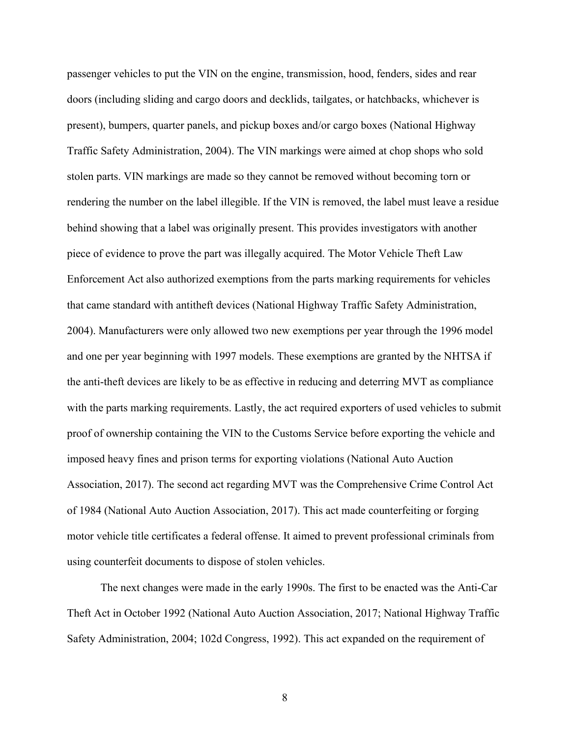passenger vehicles to put the VIN on the engine, transmission, hood, fenders, sides and rear doors (including sliding and cargo doors and decklids, tailgates, or hatchbacks, whichever is present), bumpers, quarter panels, and pickup boxes and/or cargo boxes (National Highway Traffic Safety Administration, 2004). The VIN markings were aimed at chop shops who sold stolen parts. VIN markings are made so they cannot be removed without becoming torn or rendering the number on the label illegible. If the VIN is removed, the label must leave a residue behind showing that a label was originally present. This provides investigators with another piece of evidence to prove the part was illegally acquired. The Motor Vehicle Theft Law Enforcement Act also authorized exemptions from the parts marking requirements for vehicles that came standard with antitheft devices (National Highway Traffic Safety Administration, 2004). Manufacturers were only allowed two new exemptions per year through the 1996 model and one per year beginning with 1997 models. These exemptions are granted by the NHTSA if the anti-theft devices are likely to be as effective in reducing and deterring MVT as compliance with the parts marking requirements. Lastly, the act required exporters of used vehicles to submit proof of ownership containing the VIN to the Customs Service before exporting the vehicle and imposed heavy fines and prison terms for exporting violations (National Auto Auction Association, 2017). The second act regarding MVT was the Comprehensive Crime Control Act of 1984 (National Auto Auction Association, 2017). This act made counterfeiting or forging motor vehicle title certificates a federal offense. It aimed to prevent professional criminals from using counterfeit documents to dispose of stolen vehicles.

The next changes were made in the early 1990s. The first to be enacted was the Anti-Car Theft Act in October 1992 (National Auto Auction Association, 2017; National Highway Traffic Safety Administration, 2004; 102d Congress, 1992). This act expanded on the requirement of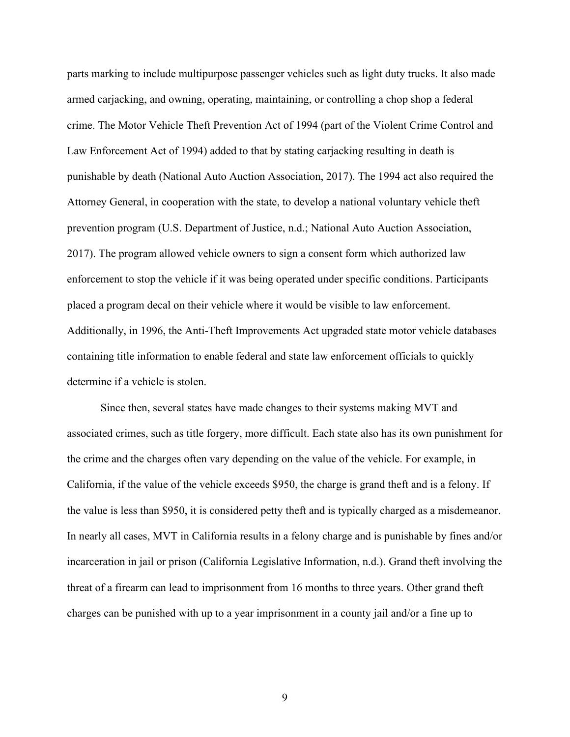parts marking to include multipurpose passenger vehicles such as light duty trucks. It also made armed carjacking, and owning, operating, maintaining, or controlling a chop shop a federal crime. The Motor Vehicle Theft Prevention Act of 1994 (part of the Violent Crime Control and Law Enforcement Act of 1994) added to that by stating carjacking resulting in death is punishable by death (National Auto Auction Association, 2017). The 1994 act also required the Attorney General, in cooperation with the state, to develop a national voluntary vehicle theft prevention program (U.S. Department of Justice, n.d.; National Auto Auction Association, 2017). The program allowed vehicle owners to sign a consent form which authorized law enforcement to stop the vehicle if it was being operated under specific conditions. Participants placed a program decal on their vehicle where it would be visible to law enforcement. Additionally, in 1996, the Anti-Theft Improvements Act upgraded state motor vehicle databases containing title information to enable federal and state law enforcement officials to quickly determine if a vehicle is stolen.

Since then, several states have made changes to their systems making MVT and associated crimes, such as title forgery, more difficult. Each state also has its own punishment for the crime and the charges often vary depending on the value of the vehicle. For example, in California, if the value of the vehicle exceeds \$950, the charge is grand theft and is a felony. If the value is less than \$950, it is considered petty theft and is typically charged as a misdemeanor. In nearly all cases, MVT in California results in a felony charge and is punishable by fines and/or incarceration in jail or prison (California Legislative Information, n.d.). Grand theft involving the threat of a firearm can lead to imprisonment from 16 months to three years. Other grand theft charges can be punished with up to a year imprisonment in a county jail and/or a fine up to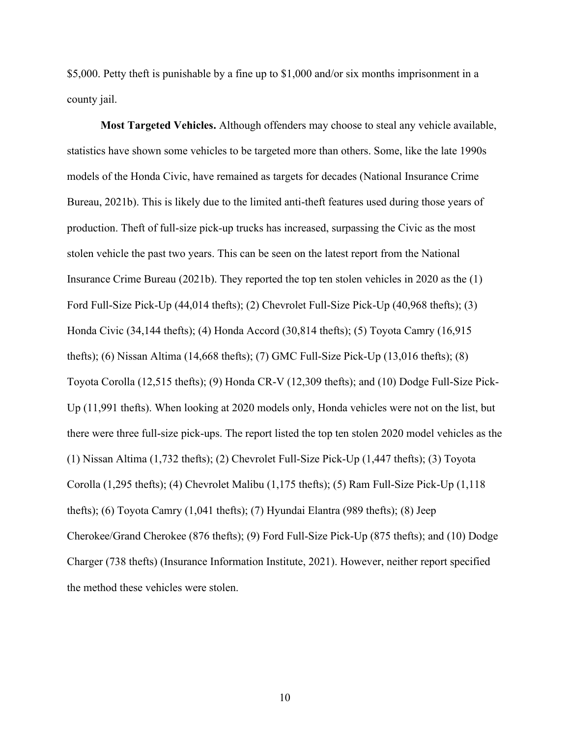\$5,000. Petty theft is punishable by a fine up to \$1,000 and/or six months imprisonment in a county jail.

**Most Targeted Vehicles.** Although offenders may choose to steal any vehicle available, statistics have shown some vehicles to be targeted more than others. Some, like the late 1990s models of the Honda Civic, have remained as targets for decades (National Insurance Crime Bureau, 2021b). This is likely due to the limited anti-theft features used during those years of production. Theft of full-size pick-up trucks has increased, surpassing the Civic as the most stolen vehicle the past two years. This can be seen on the latest report from the National Insurance Crime Bureau (2021b). They reported the top ten stolen vehicles in 2020 as the (1) Ford Full-Size Pick-Up (44,014 thefts); (2) Chevrolet Full-Size Pick-Up (40,968 thefts); (3) Honda Civic (34,144 thefts); (4) Honda Accord (30,814 thefts); (5) Toyota Camry (16,915 thefts); (6) Nissan Altima (14,668 thefts); (7) GMC Full-Size Pick-Up (13,016 thefts); (8) Toyota Corolla (12,515 thefts); (9) Honda CR-V (12,309 thefts); and (10) Dodge Full-Size Pick-Up (11,991 thefts). When looking at 2020 models only, Honda vehicles were not on the list, but there were three full-size pick-ups. The report listed the top ten stolen 2020 model vehicles as the (1) Nissan Altima (1,732 thefts); (2) Chevrolet Full-Size Pick-Up (1,447 thefts); (3) Toyota Corolla (1,295 thefts); (4) Chevrolet Malibu (1,175 thefts); (5) Ram Full-Size Pick-Up (1,118 thefts); (6) Toyota Camry (1,041 thefts); (7) Hyundai Elantra (989 thefts); (8) Jeep Cherokee/Grand Cherokee (876 thefts); (9) Ford Full-Size Pick-Up (875 thefts); and (10) Dodge Charger (738 thefts) (Insurance Information Institute, 2021). However, neither report specified the method these vehicles were stolen.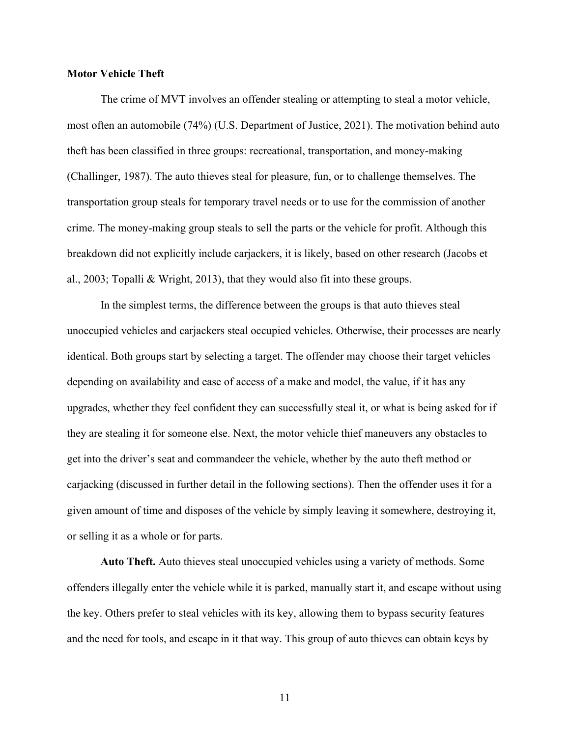## **Motor Vehicle Theft**

The crime of MVT involves an offender stealing or attempting to steal a motor vehicle, most often an automobile (74%) (U.S. Department of Justice, 2021). The motivation behind auto theft has been classified in three groups: recreational, transportation, and money-making (Challinger, 1987). The auto thieves steal for pleasure, fun, or to challenge themselves. The transportation group steals for temporary travel needs or to use for the commission of another crime. The money-making group steals to sell the parts or the vehicle for profit. Although this breakdown did not explicitly include carjackers, it is likely, based on other research (Jacobs et al., 2003; Topalli & Wright, 2013), that they would also fit into these groups.

In the simplest terms, the difference between the groups is that auto thieves steal unoccupied vehicles and carjackers steal occupied vehicles. Otherwise, their processes are nearly identical. Both groups start by selecting a target. The offender may choose their target vehicles depending on availability and ease of access of a make and model, the value, if it has any upgrades, whether they feel confident they can successfully steal it, or what is being asked for if they are stealing it for someone else. Next, the motor vehicle thief maneuvers any obstacles to get into the driver's seat and commandeer the vehicle, whether by the auto theft method or carjacking (discussed in further detail in the following sections). Then the offender uses it for a given amount of time and disposes of the vehicle by simply leaving it somewhere, destroying it, or selling it as a whole or for parts.

**Auto Theft.** Auto thieves steal unoccupied vehicles using a variety of methods. Some offenders illegally enter the vehicle while it is parked, manually start it, and escape without using the key. Others prefer to steal vehicles with its key, allowing them to bypass security features and the need for tools, and escape in it that way. This group of auto thieves can obtain keys by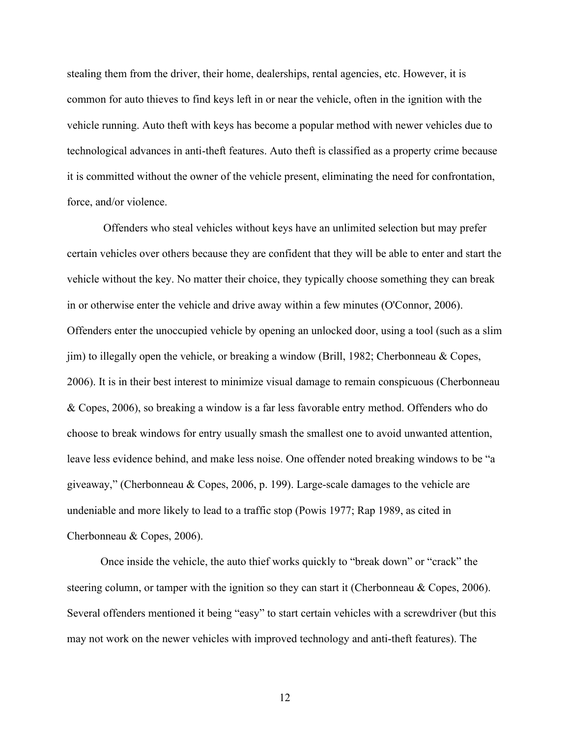stealing them from the driver, their home, dealerships, rental agencies, etc. However, it is common for auto thieves to find keys left in or near the vehicle, often in the ignition with the vehicle running. Auto theft with keys has become a popular method with newer vehicles due to technological advances in anti-theft features. Auto theft is classified as a property crime because it is committed without the owner of the vehicle present, eliminating the need for confrontation, force, and/or violence.

Offenders who steal vehicles without keys have an unlimited selection but may prefer certain vehicles over others because they are confident that they will be able to enter and start the vehicle without the key. No matter their choice, they typically choose something they can break in or otherwise enter the vehicle and drive away within a few minutes (O'Connor, 2006). Offenders enter the unoccupied vehicle by opening an unlocked door, using a tool (such as a slim jim) to illegally open the vehicle, or breaking a window (Brill, 1982; Cherbonneau & Copes, 2006). It is in their best interest to minimize visual damage to remain conspicuous (Cherbonneau & Copes, 2006), so breaking a window is a far less favorable entry method. Offenders who do choose to break windows for entry usually smash the smallest one to avoid unwanted attention, leave less evidence behind, and make less noise. One offender noted breaking windows to be "a giveaway," (Cherbonneau & Copes, 2006, p. 199). Large-scale damages to the vehicle are undeniable and more likely to lead to a traffic stop (Powis 1977; Rap 1989, as cited in Cherbonneau & Copes, 2006).

Once inside the vehicle, the auto thief works quickly to "break down" or "crack" the steering column, or tamper with the ignition so they can start it (Cherbonneau & Copes, 2006). Several offenders mentioned it being "easy" to start certain vehicles with a screwdriver (but this may not work on the newer vehicles with improved technology and anti-theft features). The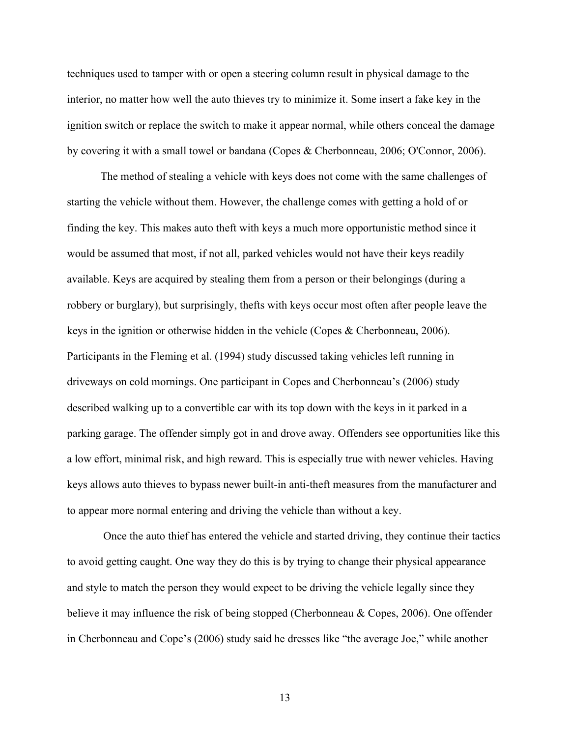techniques used to tamper with or open a steering column result in physical damage to the interior, no matter how well the auto thieves try to minimize it. Some insert a fake key in the ignition switch or replace the switch to make it appear normal, while others conceal the damage by covering it with a small towel or bandana (Copes & Cherbonneau, 2006; O'Connor, 2006).

The method of stealing a vehicle with keys does not come with the same challenges of starting the vehicle without them. However, the challenge comes with getting a hold of or finding the key. This makes auto theft with keys a much more opportunistic method since it would be assumed that most, if not all, parked vehicles would not have their keys readily available. Keys are acquired by stealing them from a person or their belongings (during a robbery or burglary), but surprisingly, thefts with keys occur most often after people leave the keys in the ignition or otherwise hidden in the vehicle (Copes & Cherbonneau, 2006). Participants in the Fleming et al. (1994) study discussed taking vehicles left running in driveways on cold mornings. One participant in Copes and Cherbonneau's (2006) study described walking up to a convertible car with its top down with the keys in it parked in a parking garage. The offender simply got in and drove away. Offenders see opportunities like this a low effort, minimal risk, and high reward. This is especially true with newer vehicles. Having keys allows auto thieves to bypass newer built-in anti-theft measures from the manufacturer and to appear more normal entering and driving the vehicle than without a key.

Once the auto thief has entered the vehicle and started driving, they continue their tactics to avoid getting caught. One way they do this is by trying to change their physical appearance and style to match the person they would expect to be driving the vehicle legally since they believe it may influence the risk of being stopped (Cherbonneau & Copes, 2006). One offender in Cherbonneau and Cope's (2006) study said he dresses like "the average Joe," while another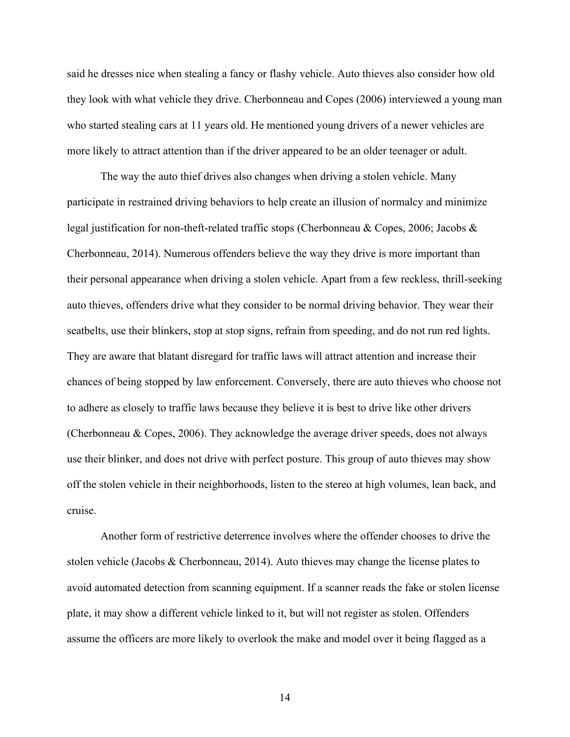said he dresses nice when stealing a fancy or flashy vehicle. Auto thieves also consider how old they look with what vehicle they drive. Cherbonneau and Copes (2006) interviewed a young man who started stealing cars at 11 years old. He mentioned young drivers of a newer vehicles are more likely to attract attention than if the driver appeared to be an older teenager or adult.

The way the auto thief drives also changes when driving a stolen vehicle. Many participate in restrained driving behaviors to help create an illusion of normalcy and minimize legal justification for non-theft-related traffic stops (Cherbonneau & Copes, 2006; Jacobs & Cherbonneau, 2014). Numerous offenders believe the way they drive is more important than their personal appearance when driving a stolen vehicle. Apart from a few reckless, thrill-seeking auto thieves, offenders drive what they consider to be normal driving behavior. They wear their seatbelts, use their blinkers, stop at stop signs, refrain from speeding, and do not run red lights. They are aware that blatant disregard for traffic laws will attract attention and increase their chances of being stopped by law enforcement. Conversely, there are auto thieves who choose not to adhere as closely to traffic laws because they believe it is best to drive like other drivers (Cherbonneau & Copes, 2006). They acknowledge the average driver speeds, does not always use their blinker, and does not drive with perfect posture. This group of auto thieves may show off the stolen vehicle in their neighborhoods, listen to the stereo at high volumes, lean back, and cruise.

Another form of restrictive deterrence involves where the offender chooses to drive the stolen vehicle (Jacobs & Cherbonneau, 2014). Auto thieves may change the license plates to avoid automated detection from scanning equipment. If a scanner reads the fake or stolen license plate, it may show a different vehicle linked to it, but will not register as stolen. Offenders assume the officers are more likely to overlook the make and model over it being flagged as a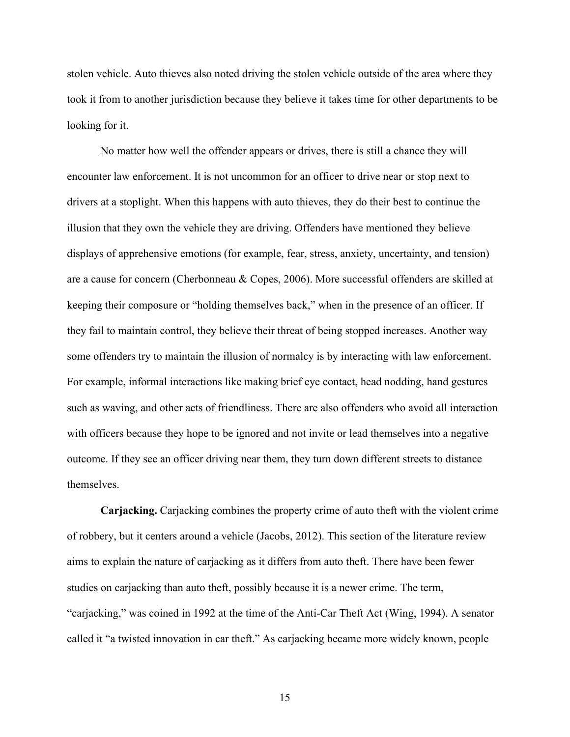stolen vehicle. Auto thieves also noted driving the stolen vehicle outside of the area where they took it from to another jurisdiction because they believe it takes time for other departments to be looking for it.

No matter how well the offender appears or drives, there is still a chance they will encounter law enforcement. It is not uncommon for an officer to drive near or stop next to drivers at a stoplight. When this happens with auto thieves, they do their best to continue the illusion that they own the vehicle they are driving. Offenders have mentioned they believe displays of apprehensive emotions (for example, fear, stress, anxiety, uncertainty, and tension) are a cause for concern (Cherbonneau & Copes, 2006). More successful offenders are skilled at keeping their composure or "holding themselves back," when in the presence of an officer. If they fail to maintain control, they believe their threat of being stopped increases. Another way some offenders try to maintain the illusion of normalcy is by interacting with law enforcement. For example, informal interactions like making brief eye contact, head nodding, hand gestures such as waving, and other acts of friendliness. There are also offenders who avoid all interaction with officers because they hope to be ignored and not invite or lead themselves into a negative outcome. If they see an officer driving near them, they turn down different streets to distance themselves.

**Carjacking.** Carjacking combines the property crime of auto theft with the violent crime of robbery, but it centers around a vehicle (Jacobs, 2012). This section of the literature review aims to explain the nature of carjacking as it differs from auto theft. There have been fewer studies on carjacking than auto theft, possibly because it is a newer crime. The term, "carjacking," was coined in 1992 at the time of the Anti-Car Theft Act (Wing, 1994). A senator called it "a twisted innovation in car theft." As carjacking became more widely known, people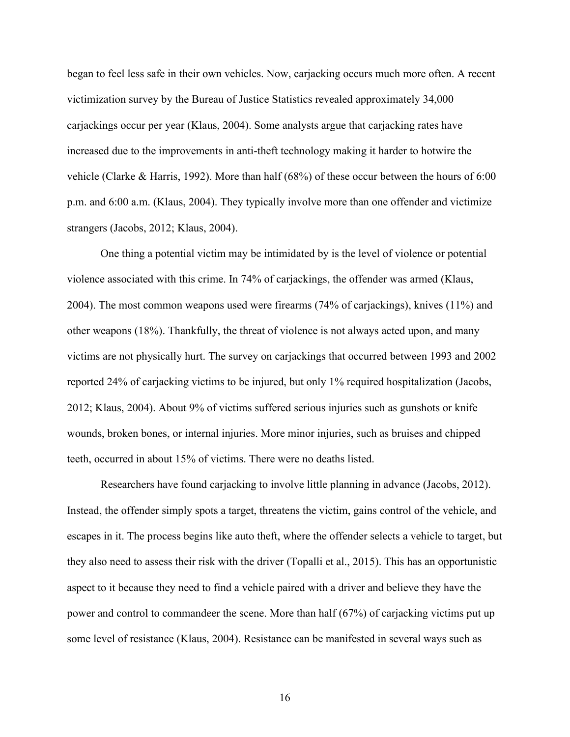began to feel less safe in their own vehicles. Now, carjacking occurs much more often. A recent victimization survey by the Bureau of Justice Statistics revealed approximately 34,000 carjackings occur per year (Klaus, 2004). Some analysts argue that carjacking rates have increased due to the improvements in anti-theft technology making it harder to hotwire the vehicle (Clarke & Harris, 1992). More than half (68%) of these occur between the hours of 6:00 p.m. and 6:00 a.m. (Klaus, 2004). They typically involve more than one offender and victimize strangers (Jacobs, 2012; Klaus, 2004).

One thing a potential victim may be intimidated by is the level of violence or potential violence associated with this crime. In 74% of carjackings, the offender was armed (Klaus, 2004). The most common weapons used were firearms (74% of carjackings), knives (11%) and other weapons (18%). Thankfully, the threat of violence is not always acted upon, and many victims are not physically hurt. The survey on carjackings that occurred between 1993 and 2002 reported 24% of carjacking victims to be injured, but only 1% required hospitalization (Jacobs, 2012; Klaus, 2004). About 9% of victims suffered serious injuries such as gunshots or knife wounds, broken bones, or internal injuries. More minor injuries, such as bruises and chipped teeth, occurred in about 15% of victims. There were no deaths listed.

Researchers have found carjacking to involve little planning in advance (Jacobs, 2012). Instead, the offender simply spots a target, threatens the victim, gains control of the vehicle, and escapes in it. The process begins like auto theft, where the offender selects a vehicle to target, but they also need to assess their risk with the driver (Topalli et al., 2015). This has an opportunistic aspect to it because they need to find a vehicle paired with a driver and believe they have the power and control to commandeer the scene. More than half (67%) of carjacking victims put up some level of resistance (Klaus, 2004). Resistance can be manifested in several ways such as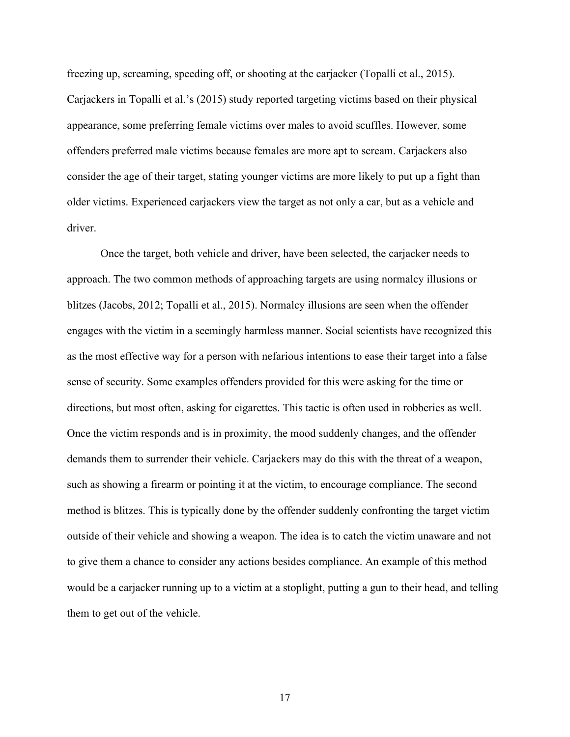freezing up, screaming, speeding off, or shooting at the carjacker (Topalli et al., 2015). Carjackers in Topalli et al.'s (2015) study reported targeting victims based on their physical appearance, some preferring female victims over males to avoid scuffles. However, some offenders preferred male victims because females are more apt to scream. Carjackers also consider the age of their target, stating younger victims are more likely to put up a fight than older victims. Experienced carjackers view the target as not only a car, but as a vehicle and driver.

Once the target, both vehicle and driver, have been selected, the carjacker needs to approach. The two common methods of approaching targets are using normalcy illusions or blitzes (Jacobs, 2012; Topalli et al., 2015). Normalcy illusions are seen when the offender engages with the victim in a seemingly harmless manner. Social scientists have recognized this as the most effective way for a person with nefarious intentions to ease their target into a false sense of security. Some examples offenders provided for this were asking for the time or directions, but most often, asking for cigarettes. This tactic is often used in robberies as well. Once the victim responds and is in proximity, the mood suddenly changes, and the offender demands them to surrender their vehicle. Carjackers may do this with the threat of a weapon, such as showing a firearm or pointing it at the victim, to encourage compliance. The second method is blitzes. This is typically done by the offender suddenly confronting the target victim outside of their vehicle and showing a weapon. The idea is to catch the victim unaware and not to give them a chance to consider any actions besides compliance. An example of this method would be a carjacker running up to a victim at a stoplight, putting a gun to their head, and telling them to get out of the vehicle.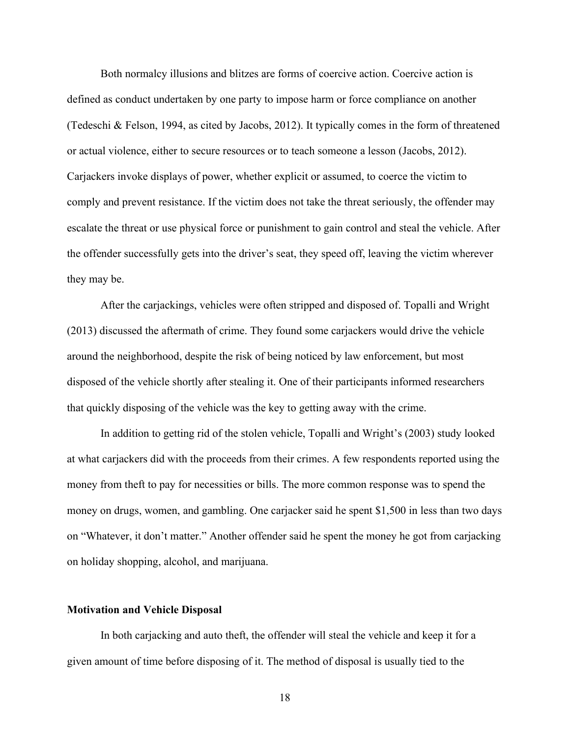Both normalcy illusions and blitzes are forms of coercive action. Coercive action is defined as conduct undertaken by one party to impose harm or force compliance on another (Tedeschi & Felson, 1994, as cited by Jacobs, 2012). It typically comes in the form of threatened or actual violence, either to secure resources or to teach someone a lesson (Jacobs, 2012). Carjackers invoke displays of power, whether explicit or assumed, to coerce the victim to comply and prevent resistance. If the victim does not take the threat seriously, the offender may escalate the threat or use physical force or punishment to gain control and steal the vehicle. After the offender successfully gets into the driver's seat, they speed off, leaving the victim wherever they may be.

After the carjackings, vehicles were often stripped and disposed of. Topalli and Wright (2013) discussed the aftermath of crime. They found some carjackers would drive the vehicle around the neighborhood, despite the risk of being noticed by law enforcement, but most disposed of the vehicle shortly after stealing it. One of their participants informed researchers that quickly disposing of the vehicle was the key to getting away with the crime.

In addition to getting rid of the stolen vehicle, Topalli and Wright's (2003) study looked at what carjackers did with the proceeds from their crimes. A few respondents reported using the money from theft to pay for necessities or bills. The more common response was to spend the money on drugs, women, and gambling. One carjacker said he spent \$1,500 in less than two days on "Whatever, it don't matter." Another offender said he spent the money he got from carjacking on holiday shopping, alcohol, and marijuana.

## **Motivation and Vehicle Disposal**

In both carjacking and auto theft, the offender will steal the vehicle and keep it for a given amount of time before disposing of it. The method of disposal is usually tied to the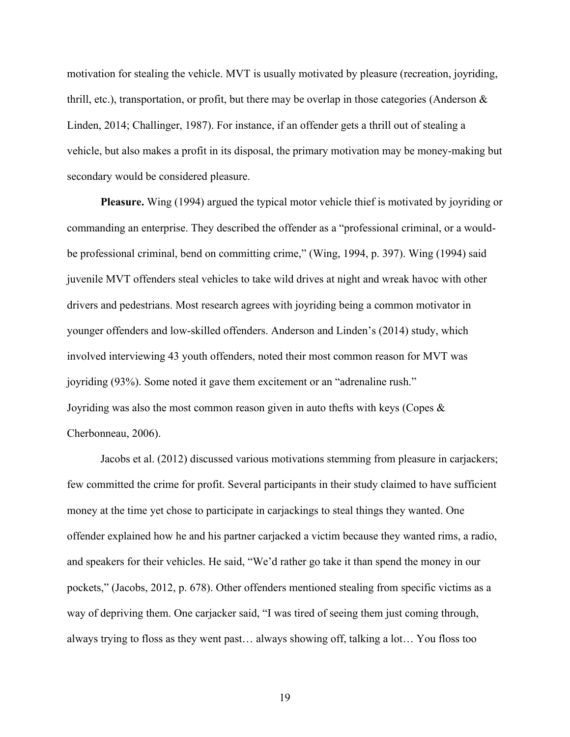motivation for stealing the vehicle. MVT is usually motivated by pleasure (recreation, joyriding, thrill, etc.), transportation, or profit, but there may be overlap in those categories (Anderson  $\&$ Linden, 2014; Challinger, 1987). For instance, if an offender gets a thrill out of stealing a vehicle, but also makes a profit in its disposal, the primary motivation may be money-making but secondary would be considered pleasure.

**Pleasure.** Wing (1994) argued the typical motor vehicle thief is motivated by joyriding or commanding an enterprise. They described the offender as a "professional criminal, or a wouldbe professional criminal, bend on committing crime," (Wing, 1994, p. 397). Wing (1994) said juvenile MVT offenders steal vehicles to take wild drives at night and wreak havoc with other drivers and pedestrians. Most research agrees with joyriding being a common motivator in younger offenders and low-skilled offenders. Anderson and Linden's (2014) study, which involved interviewing 43 youth offenders, noted their most common reason for MVT was joyriding (93%). Some noted it gave them excitement or an "adrenaline rush." Joyriding was also the most common reason given in auto thefts with keys (Copes  $\&$ Cherbonneau, 2006).

Jacobs et al. (2012) discussed various motivations stemming from pleasure in carjackers; few committed the crime for profit. Several participants in their study claimed to have sufficient money at the time yet chose to participate in carjackings to steal things they wanted. One offender explained how he and his partner carjacked a victim because they wanted rims, a radio, and speakers for their vehicles. He said, "We'd rather go take it than spend the money in our pockets," (Jacobs, 2012, p. 678). Other offenders mentioned stealing from specific victims as a way of depriving them. One carjacker said, "I was tired of seeing them just coming through, always trying to floss as they went past… always showing off, talking a lot… You floss too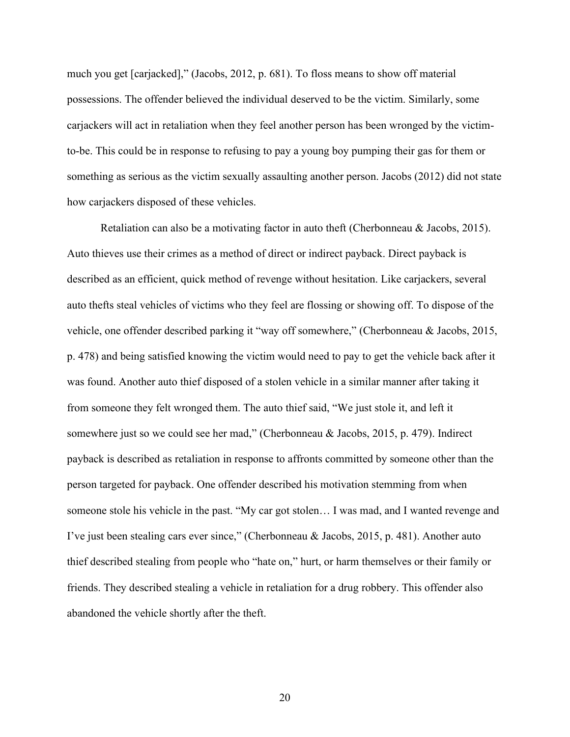much you get [carjacked]," (Jacobs, 2012, p. 681). To floss means to show off material possessions. The offender believed the individual deserved to be the victim. Similarly, some carjackers will act in retaliation when they feel another person has been wronged by the victimto-be. This could be in response to refusing to pay a young boy pumping their gas for them or something as serious as the victim sexually assaulting another person. Jacobs (2012) did not state how carjackers disposed of these vehicles.

Retaliation can also be a motivating factor in auto theft (Cherbonneau & Jacobs, 2015). Auto thieves use their crimes as a method of direct or indirect payback. Direct payback is described as an efficient, quick method of revenge without hesitation. Like carjackers, several auto thefts steal vehicles of victims who they feel are flossing or showing off. To dispose of the vehicle, one offender described parking it "way off somewhere," (Cherbonneau & Jacobs, 2015, p. 478) and being satisfied knowing the victim would need to pay to get the vehicle back after it was found. Another auto thief disposed of a stolen vehicle in a similar manner after taking it from someone they felt wronged them. The auto thief said, "We just stole it, and left it somewhere just so we could see her mad," (Cherbonneau & Jacobs, 2015, p. 479). Indirect payback is described as retaliation in response to affronts committed by someone other than the person targeted for payback. One offender described his motivation stemming from when someone stole his vehicle in the past. "My car got stolen… I was mad, and I wanted revenge and I've just been stealing cars ever since," (Cherbonneau & Jacobs, 2015, p. 481). Another auto thief described stealing from people who "hate on," hurt, or harm themselves or their family or friends. They described stealing a vehicle in retaliation for a drug robbery. This offender also abandoned the vehicle shortly after the theft.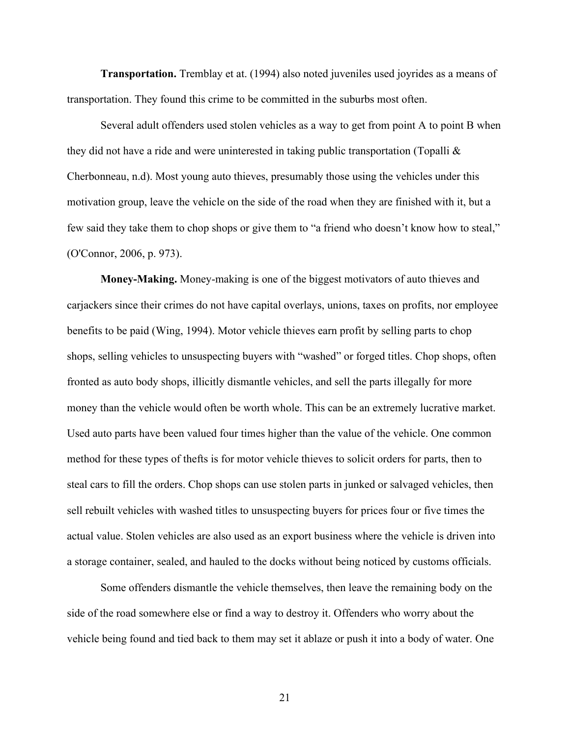**Transportation.** Tremblay et at. (1994) also noted juveniles used joyrides as a means of transportation. They found this crime to be committed in the suburbs most often.

Several adult offenders used stolen vehicles as a way to get from point A to point B when they did not have a ride and were uninterested in taking public transportation (Topalli & Cherbonneau, n.d). Most young auto thieves, presumably those using the vehicles under this motivation group, leave the vehicle on the side of the road when they are finished with it, but a few said they take them to chop shops or give them to "a friend who doesn't know how to steal," (O'Connor, 2006, p. 973).

**Money-Making.** Money-making is one of the biggest motivators of auto thieves and carjackers since their crimes do not have capital overlays, unions, taxes on profits, nor employee benefits to be paid (Wing, 1994). Motor vehicle thieves earn profit by selling parts to chop shops, selling vehicles to unsuspecting buyers with "washed" or forged titles. Chop shops, often fronted as auto body shops, illicitly dismantle vehicles, and sell the parts illegally for more money than the vehicle would often be worth whole. This can be an extremely lucrative market. Used auto parts have been valued four times higher than the value of the vehicle. One common method for these types of thefts is for motor vehicle thieves to solicit orders for parts, then to steal cars to fill the orders. Chop shops can use stolen parts in junked or salvaged vehicles, then sell rebuilt vehicles with washed titles to unsuspecting buyers for prices four or five times the actual value. Stolen vehicles are also used as an export business where the vehicle is driven into a storage container, sealed, and hauled to the docks without being noticed by customs officials.

Some offenders dismantle the vehicle themselves, then leave the remaining body on the side of the road somewhere else or find a way to destroy it. Offenders who worry about the vehicle being found and tied back to them may set it ablaze or push it into a body of water. One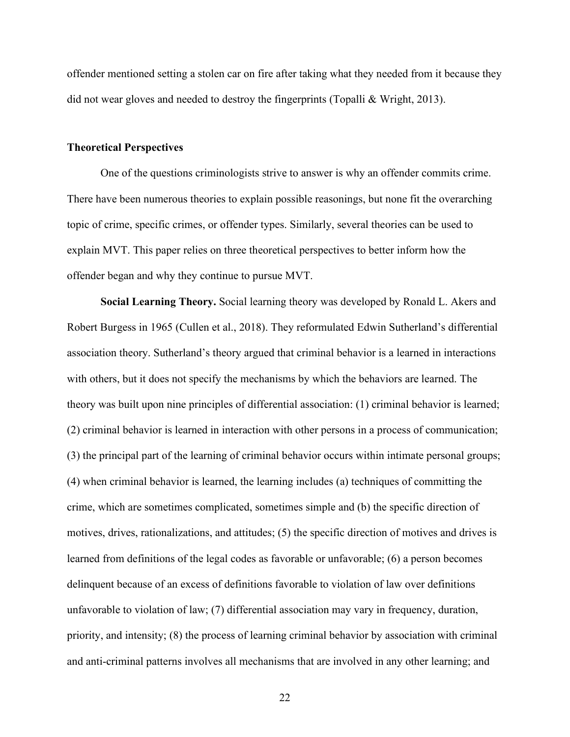offender mentioned setting a stolen car on fire after taking what they needed from it because they did not wear gloves and needed to destroy the fingerprints (Topalli & Wright, 2013).

## **Theoretical Perspectives**

One of the questions criminologists strive to answer is why an offender commits crime. There have been numerous theories to explain possible reasonings, but none fit the overarching topic of crime, specific crimes, or offender types. Similarly, several theories can be used to explain MVT. This paper relies on three theoretical perspectives to better inform how the offender began and why they continue to pursue MVT.

**Social Learning Theory.** Social learning theory was developed by Ronald L. Akers and Robert Burgess in 1965 (Cullen et al., 2018). They reformulated Edwin Sutherland's differential association theory. Sutherland's theory argued that criminal behavior is a learned in interactions with others, but it does not specify the mechanisms by which the behaviors are learned. The theory was built upon nine principles of differential association: (1) criminal behavior is learned; (2) criminal behavior is learned in interaction with other persons in a process of communication; (3) the principal part of the learning of criminal behavior occurs within intimate personal groups; (4) when criminal behavior is learned, the learning includes (a) techniques of committing the crime, which are sometimes complicated, sometimes simple and (b) the specific direction of motives, drives, rationalizations, and attitudes; (5) the specific direction of motives and drives is learned from definitions of the legal codes as favorable or unfavorable; (6) a person becomes delinquent because of an excess of definitions favorable to violation of law over definitions unfavorable to violation of law; (7) differential association may vary in frequency, duration, priority, and intensity; (8) the process of learning criminal behavior by association with criminal and anti-criminal patterns involves all mechanisms that are involved in any other learning; and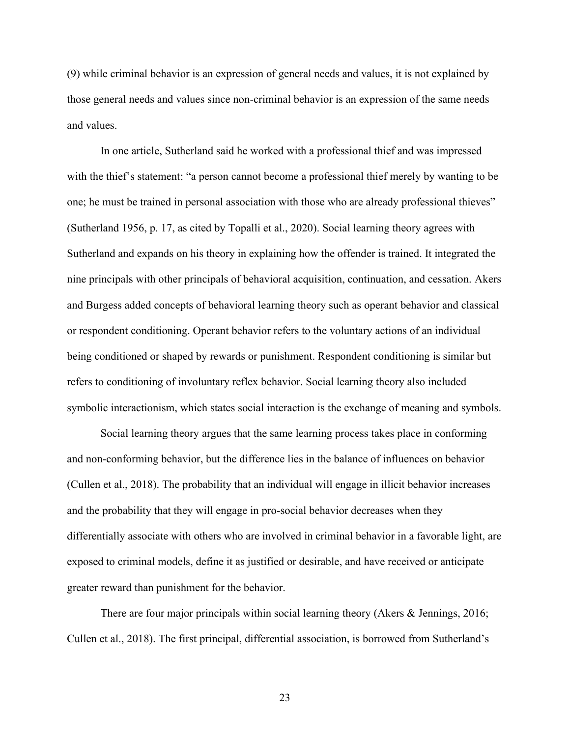(9) while criminal behavior is an expression of general needs and values, it is not explained by those general needs and values since non-criminal behavior is an expression of the same needs and values.

In one article, Sutherland said he worked with a professional thief and was impressed with the thief's statement: "a person cannot become a professional thief merely by wanting to be one; he must be trained in personal association with those who are already professional thieves" (Sutherland 1956, p. 17, as cited by Topalli et al., 2020). Social learning theory agrees with Sutherland and expands on his theory in explaining how the offender is trained. It integrated the nine principals with other principals of behavioral acquisition, continuation, and cessation. Akers and Burgess added concepts of behavioral learning theory such as operant behavior and classical or respondent conditioning. Operant behavior refers to the voluntary actions of an individual being conditioned or shaped by rewards or punishment. Respondent conditioning is similar but refers to conditioning of involuntary reflex behavior. Social learning theory also included symbolic interactionism, which states social interaction is the exchange of meaning and symbols.

Social learning theory argues that the same learning process takes place in conforming and non-conforming behavior, but the difference lies in the balance of influences on behavior (Cullen et al., 2018). The probability that an individual will engage in illicit behavior increases and the probability that they will engage in pro-social behavior decreases when they differentially associate with others who are involved in criminal behavior in a favorable light, are exposed to criminal models, define it as justified or desirable, and have received or anticipate greater reward than punishment for the behavior.

There are four major principals within social learning theory (Akers & Jennings, 2016; Cullen et al., 2018). The first principal, differential association, is borrowed from Sutherland's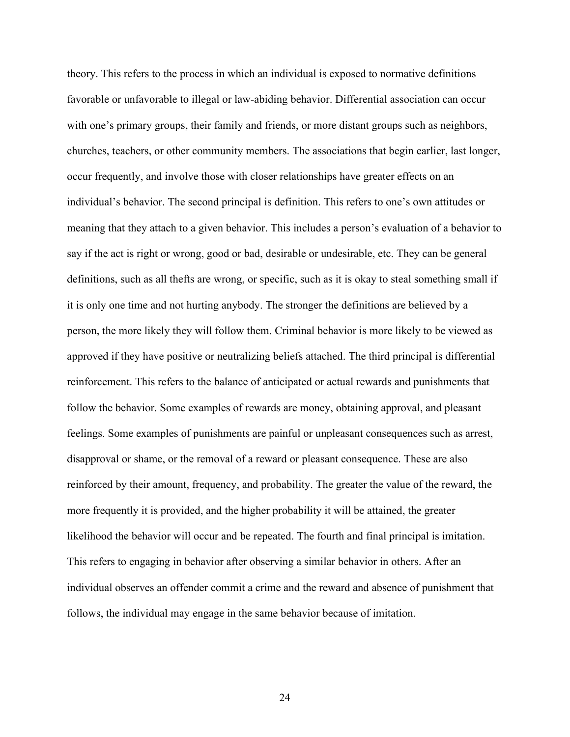theory. This refers to the process in which an individual is exposed to normative definitions favorable or unfavorable to illegal or law-abiding behavior. Differential association can occur with one's primary groups, their family and friends, or more distant groups such as neighbors, churches, teachers, or other community members. The associations that begin earlier, last longer, occur frequently, and involve those with closer relationships have greater effects on an individual's behavior. The second principal is definition. This refers to one's own attitudes or meaning that they attach to a given behavior. This includes a person's evaluation of a behavior to say if the act is right or wrong, good or bad, desirable or undesirable, etc. They can be general definitions, such as all thefts are wrong, or specific, such as it is okay to steal something small if it is only one time and not hurting anybody. The stronger the definitions are believed by a person, the more likely they will follow them. Criminal behavior is more likely to be viewed as approved if they have positive or neutralizing beliefs attached. The third principal is differential reinforcement. This refers to the balance of anticipated or actual rewards and punishments that follow the behavior. Some examples of rewards are money, obtaining approval, and pleasant feelings. Some examples of punishments are painful or unpleasant consequences such as arrest, disapproval or shame, or the removal of a reward or pleasant consequence. These are also reinforced by their amount, frequency, and probability. The greater the value of the reward, the more frequently it is provided, and the higher probability it will be attained, the greater likelihood the behavior will occur and be repeated. The fourth and final principal is imitation. This refers to engaging in behavior after observing a similar behavior in others. After an individual observes an offender commit a crime and the reward and absence of punishment that follows, the individual may engage in the same behavior because of imitation.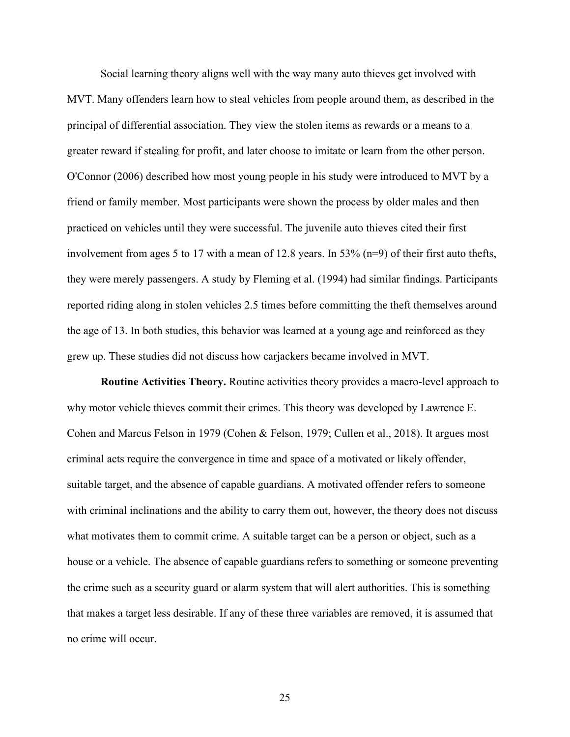Social learning theory aligns well with the way many auto thieves get involved with MVT. Many offenders learn how to steal vehicles from people around them, as described in the principal of differential association. They view the stolen items as rewards or a means to a greater reward if stealing for profit, and later choose to imitate or learn from the other person. O'Connor (2006) described how most young people in his study were introduced to MVT by a friend or family member. Most participants were shown the process by older males and then practiced on vehicles until they were successful. The juvenile auto thieves cited their first involvement from ages 5 to 17 with a mean of 12.8 years. In 53% (n=9) of their first auto thefts, they were merely passengers. A study by Fleming et al. (1994) had similar findings. Participants reported riding along in stolen vehicles 2.5 times before committing the theft themselves around the age of 13. In both studies, this behavior was learned at a young age and reinforced as they grew up. These studies did not discuss how carjackers became involved in MVT.

**Routine Activities Theory.** Routine activities theory provides a macro-level approach to why motor vehicle thieves commit their crimes. This theory was developed by Lawrence E. Cohen and Marcus Felson in 1979 (Cohen & Felson, 1979; Cullen et al., 2018). It argues most criminal acts require the convergence in time and space of a motivated or likely offender, suitable target, and the absence of capable guardians. A motivated offender refers to someone with criminal inclinations and the ability to carry them out, however, the theory does not discuss what motivates them to commit crime. A suitable target can be a person or object, such as a house or a vehicle. The absence of capable guardians refers to something or someone preventing the crime such as a security guard or alarm system that will alert authorities. This is something that makes a target less desirable. If any of these three variables are removed, it is assumed that no crime will occur.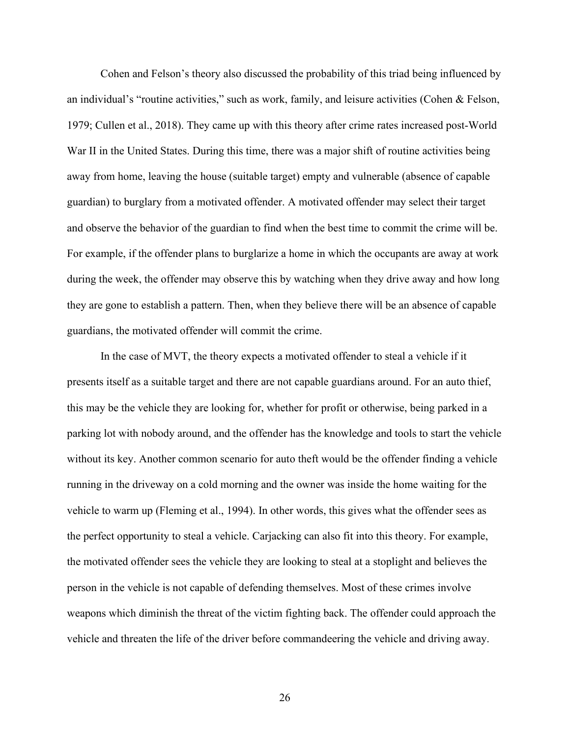Cohen and Felson's theory also discussed the probability of this triad being influenced by an individual's "routine activities," such as work, family, and leisure activities (Cohen & Felson, 1979; Cullen et al., 2018). They came up with this theory after crime rates increased post-World War II in the United States. During this time, there was a major shift of routine activities being away from home, leaving the house (suitable target) empty and vulnerable (absence of capable guardian) to burglary from a motivated offender. A motivated offender may select their target and observe the behavior of the guardian to find when the best time to commit the crime will be. For example, if the offender plans to burglarize a home in which the occupants are away at work during the week, the offender may observe this by watching when they drive away and how long they are gone to establish a pattern. Then, when they believe there will be an absence of capable guardians, the motivated offender will commit the crime.

In the case of MVT, the theory expects a motivated offender to steal a vehicle if it presents itself as a suitable target and there are not capable guardians around. For an auto thief, this may be the vehicle they are looking for, whether for profit or otherwise, being parked in a parking lot with nobody around, and the offender has the knowledge and tools to start the vehicle without its key. Another common scenario for auto theft would be the offender finding a vehicle running in the driveway on a cold morning and the owner was inside the home waiting for the vehicle to warm up (Fleming et al., 1994). In other words, this gives what the offender sees as the perfect opportunity to steal a vehicle. Carjacking can also fit into this theory. For example, the motivated offender sees the vehicle they are looking to steal at a stoplight and believes the person in the vehicle is not capable of defending themselves. Most of these crimes involve weapons which diminish the threat of the victim fighting back. The offender could approach the vehicle and threaten the life of the driver before commandeering the vehicle and driving away.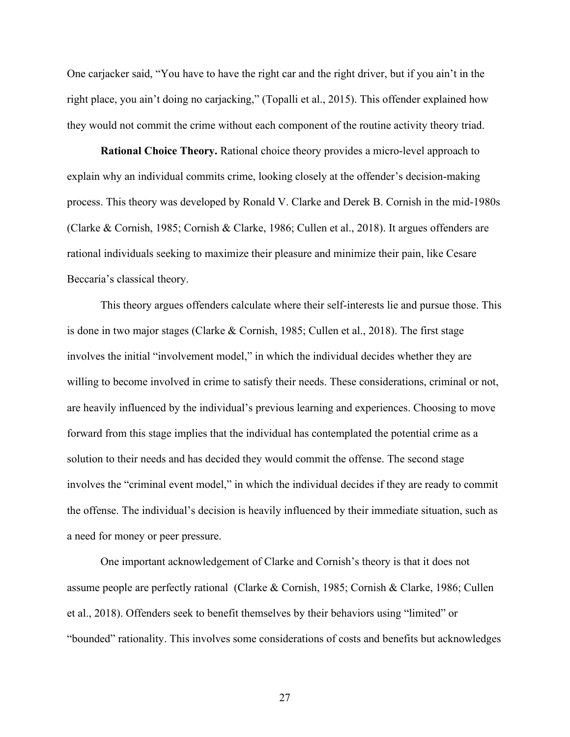One carjacker said, "You have to have the right car and the right driver, but if you ain't in the right place, you ain't doing no carjacking," (Topalli et al., 2015). This offender explained how they would not commit the crime without each component of the routine activity theory triad.

**Rational Choice Theory.** Rational choice theory provides a micro-level approach to explain why an individual commits crime, looking closely at the offender's decision-making process. This theory was developed by Ronald V. Clarke and Derek B. Cornish in the mid-1980s (Clarke & Cornish, 1985; Cornish & Clarke, 1986; Cullen et al., 2018). It argues offenders are rational individuals seeking to maximize their pleasure and minimize their pain, like Cesare Beccaria's classical theory.

This theory argues offenders calculate where their self-interests lie and pursue those. This is done in two major stages (Clarke & Cornish, 1985; Cullen et al., 2018). The first stage involves the initial "involvement model," in which the individual decides whether they are willing to become involved in crime to satisfy their needs. These considerations, criminal or not, are heavily influenced by the individual's previous learning and experiences. Choosing to move forward from this stage implies that the individual has contemplated the potential crime as a solution to their needs and has decided they would commit the offense. The second stage involves the "criminal event model," in which the individual decides if they are ready to commit the offense. The individual's decision is heavily influenced by their immediate situation, such as a need for money or peer pressure.

One important acknowledgement of Clarke and Cornish's theory is that it does not assume people are perfectly rational (Clarke & Cornish, 1985; Cornish & Clarke, 1986; Cullen et al., 2018). Offenders seek to benefit themselves by their behaviors using "limited" or "bounded" rationality. This involves some considerations of costs and benefits but acknowledges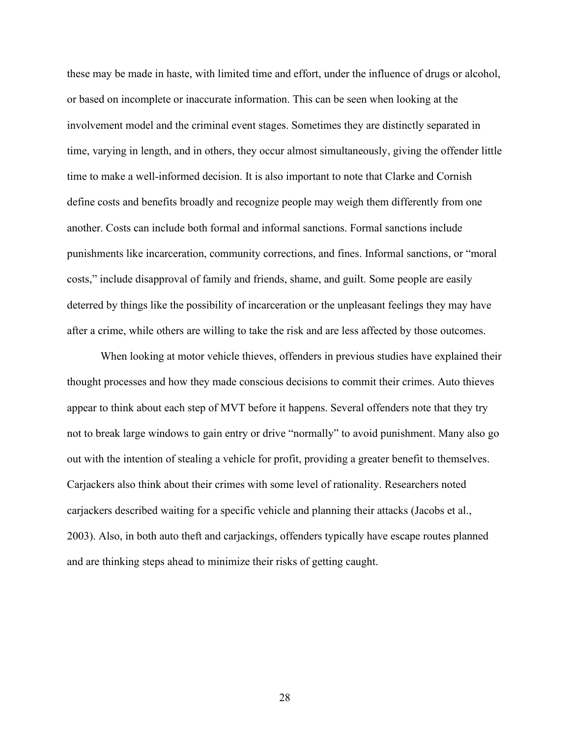these may be made in haste, with limited time and effort, under the influence of drugs or alcohol, or based on incomplete or inaccurate information. This can be seen when looking at the involvement model and the criminal event stages. Sometimes they are distinctly separated in time, varying in length, and in others, they occur almost simultaneously, giving the offender little time to make a well-informed decision. It is also important to note that Clarke and Cornish define costs and benefits broadly and recognize people may weigh them differently from one another. Costs can include both formal and informal sanctions. Formal sanctions include punishments like incarceration, community corrections, and fines. Informal sanctions, or "moral costs," include disapproval of family and friends, shame, and guilt. Some people are easily deterred by things like the possibility of incarceration or the unpleasant feelings they may have after a crime, while others are willing to take the risk and are less affected by those outcomes.

When looking at motor vehicle thieves, offenders in previous studies have explained their thought processes and how they made conscious decisions to commit their crimes. Auto thieves appear to think about each step of MVT before it happens. Several offenders note that they try not to break large windows to gain entry or drive "normally" to avoid punishment. Many also go out with the intention of stealing a vehicle for profit, providing a greater benefit to themselves. Carjackers also think about their crimes with some level of rationality. Researchers noted carjackers described waiting for a specific vehicle and planning their attacks (Jacobs et al., 2003). Also, in both auto theft and carjackings, offenders typically have escape routes planned and are thinking steps ahead to minimize their risks of getting caught.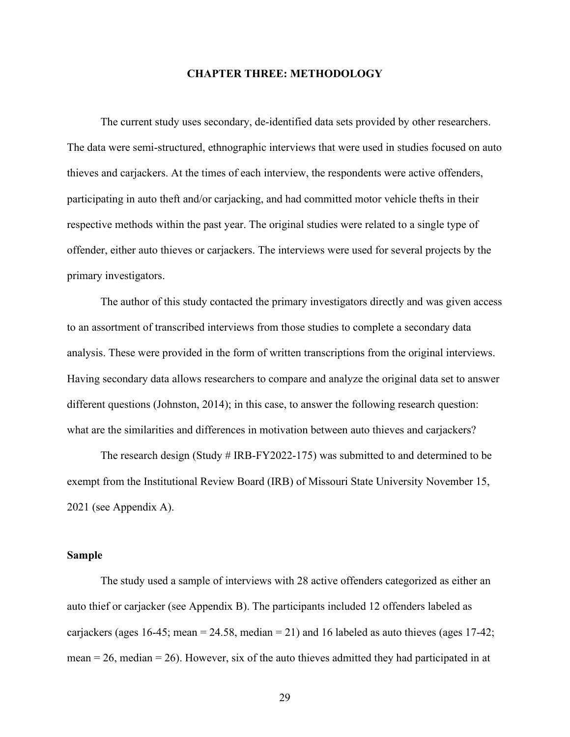## **CHAPTER THREE: METHODOLOGY**

The current study uses secondary, de-identified data sets provided by other researchers. The data were semi-structured, ethnographic interviews that were used in studies focused on auto thieves and carjackers. At the times of each interview, the respondents were active offenders, participating in auto theft and/or carjacking, and had committed motor vehicle thefts in their respective methods within the past year. The original studies were related to a single type of offender, either auto thieves or carjackers. The interviews were used for several projects by the primary investigators.

The author of this study contacted the primary investigators directly and was given access to an assortment of transcribed interviews from those studies to complete a secondary data analysis. These were provided in the form of written transcriptions from the original interviews. Having secondary data allows researchers to compare and analyze the original data set to answer different questions (Johnston, 2014); in this case, to answer the following research question: what are the similarities and differences in motivation between auto thieves and carjackers?

The research design (Study # IRB-FY2022-175) was submitted to and determined to be exempt from the Institutional Review Board (IRB) of Missouri State University November 15, 2021 (see Appendix A).

#### **Sample**

The study used a sample of interviews with 28 active offenders categorized as either an auto thief or carjacker (see Appendix B). The participants included 12 offenders labeled as carjackers (ages 16-45; mean = 24.58, median = 21) and 16 labeled as auto thieves (ages 17-42; mean  $= 26$ , median  $= 26$ ). However, six of the auto thieves admitted they had participated in at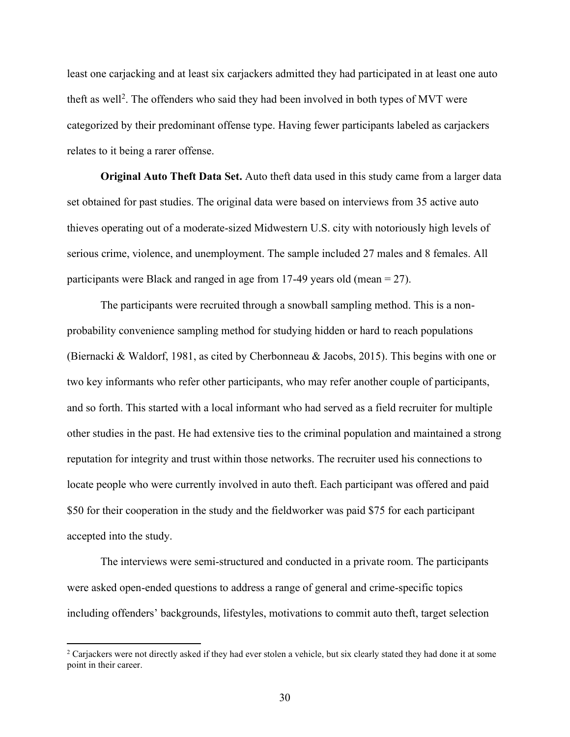least one carjacking and at least six carjackers admitted they had participated in at least one auto theft as well<sup>2</sup>. The offenders who said they had been involved in both types of MVT were categorized by their predominant offense type. Having fewer participants labeled as carjackers relates to it being a rarer offense.

**Original Auto Theft Data Set.** Auto theft data used in this study came from a larger data set obtained for past studies. The original data were based on interviews from 35 active auto thieves operating out of a moderate-sized Midwestern U.S. city with notoriously high levels of serious crime, violence, and unemployment. The sample included 27 males and 8 females. All participants were Black and ranged in age from 17-49 years old (mean = 27).

The participants were recruited through a snowball sampling method. This is a nonprobability convenience sampling method for studying hidden or hard to reach populations (Biernacki & Waldorf, 1981, as cited by Cherbonneau & Jacobs, 2015). This begins with one or two key informants who refer other participants, who may refer another couple of participants, and so forth. This started with a local informant who had served as a field recruiter for multiple other studies in the past. He had extensive ties to the criminal population and maintained a strong reputation for integrity and trust within those networks. The recruiter used his connections to locate people who were currently involved in auto theft. Each participant was offered and paid \$50 for their cooperation in the study and the fieldworker was paid \$75 for each participant accepted into the study.

The interviews were semi-structured and conducted in a private room. The participants were asked open-ended questions to address a range of general and crime-specific topics including offenders' backgrounds, lifestyles, motivations to commit auto theft, target selection

<sup>&</sup>lt;sup>2</sup> Carjackers were not directly asked if they had ever stolen a vehicle, but six clearly stated they had done it at some point in their career.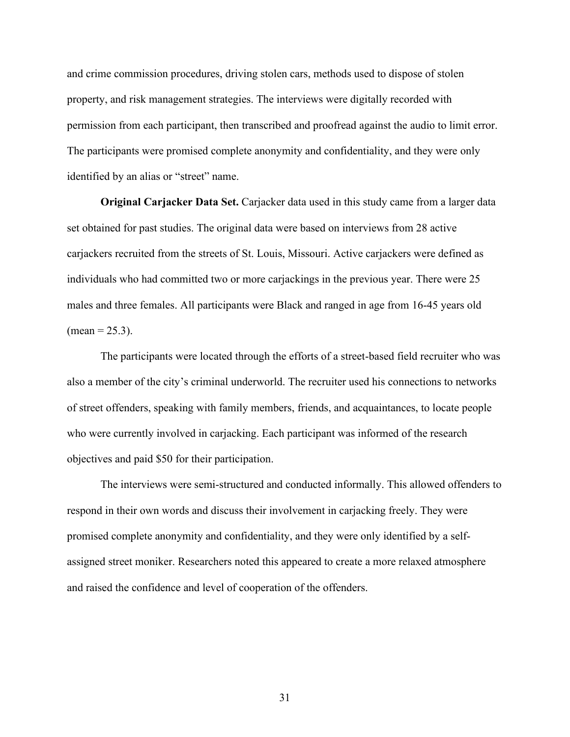and crime commission procedures, driving stolen cars, methods used to dispose of stolen property, and risk management strategies. The interviews were digitally recorded with permission from each participant, then transcribed and proofread against the audio to limit error. The participants were promised complete anonymity and confidentiality, and they were only identified by an alias or "street" name.

**Original Carjacker Data Set.** Carjacker data used in this study came from a larger data set obtained for past studies. The original data were based on interviews from 28 active carjackers recruited from the streets of St. Louis, Missouri. Active carjackers were defined as individuals who had committed two or more carjackings in the previous year. There were 25 males and three females. All participants were Black and ranged in age from 16-45 years old  $(mean = 25.3)$ .

The participants were located through the efforts of a street-based field recruiter who was also a member of the city's criminal underworld. The recruiter used his connections to networks of street offenders, speaking with family members, friends, and acquaintances, to locate people who were currently involved in carjacking. Each participant was informed of the research objectives and paid \$50 for their participation.

The interviews were semi-structured and conducted informally. This allowed offenders to respond in their own words and discuss their involvement in carjacking freely. They were promised complete anonymity and confidentiality, and they were only identified by a selfassigned street moniker. Researchers noted this appeared to create a more relaxed atmosphere and raised the confidence and level of cooperation of the offenders.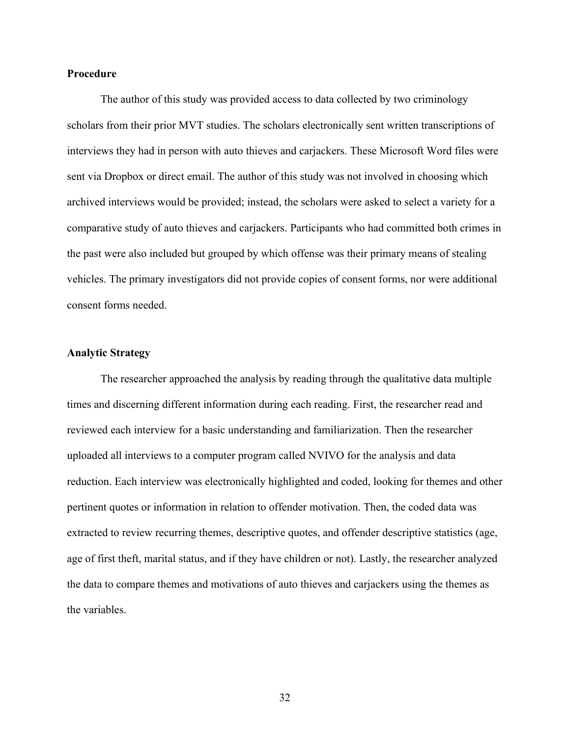## **Procedure**

The author of this study was provided access to data collected by two criminology scholars from their prior MVT studies. The scholars electronically sent written transcriptions of interviews they had in person with auto thieves and carjackers. These Microsoft Word files were sent via Dropbox or direct email. The author of this study was not involved in choosing which archived interviews would be provided; instead, the scholars were asked to select a variety for a comparative study of auto thieves and carjackers. Participants who had committed both crimes in the past were also included but grouped by which offense was their primary means of stealing vehicles. The primary investigators did not provide copies of consent forms, nor were additional consent forms needed.

## **Analytic Strategy**

The researcher approached the analysis by reading through the qualitative data multiple times and discerning different information during each reading. First, the researcher read and reviewed each interview for a basic understanding and familiarization. Then the researcher uploaded all interviews to a computer program called NVIVO for the analysis and data reduction. Each interview was electronically highlighted and coded, looking for themes and other pertinent quotes or information in relation to offender motivation. Then, the coded data was extracted to review recurring themes, descriptive quotes, and offender descriptive statistics (age, age of first theft, marital status, and if they have children or not). Lastly, the researcher analyzed the data to compare themes and motivations of auto thieves and carjackers using the themes as the variables.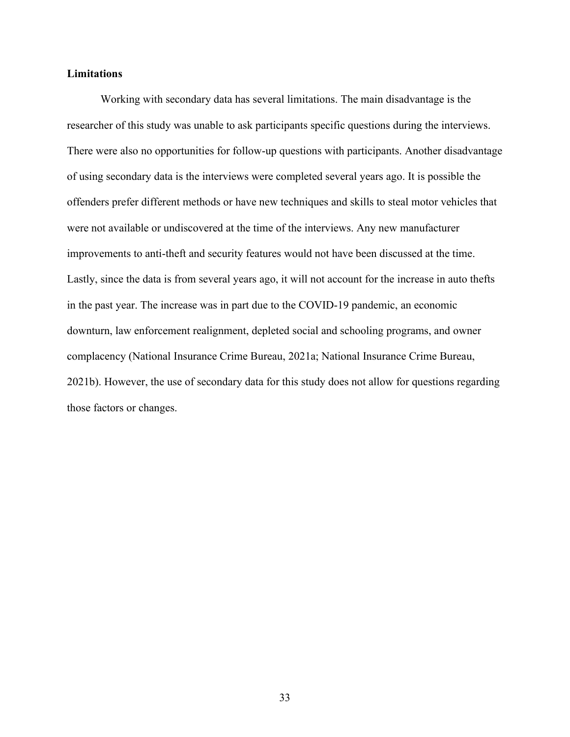# **Limitations**

Working with secondary data has several limitations. The main disadvantage is the researcher of this study was unable to ask participants specific questions during the interviews. There were also no opportunities for follow-up questions with participants. Another disadvantage of using secondary data is the interviews were completed several years ago. It is possible the offenders prefer different methods or have new techniques and skills to steal motor vehicles that were not available or undiscovered at the time of the interviews. Any new manufacturer improvements to anti-theft and security features would not have been discussed at the time. Lastly, since the data is from several years ago, it will not account for the increase in auto thefts in the past year. The increase was in part due to the COVID-19 pandemic, an economic downturn, law enforcement realignment, depleted social and schooling programs, and owner complacency (National Insurance Crime Bureau, 2021a; National Insurance Crime Bureau, 2021b). However, the use of secondary data for this study does not allow for questions regarding those factors or changes.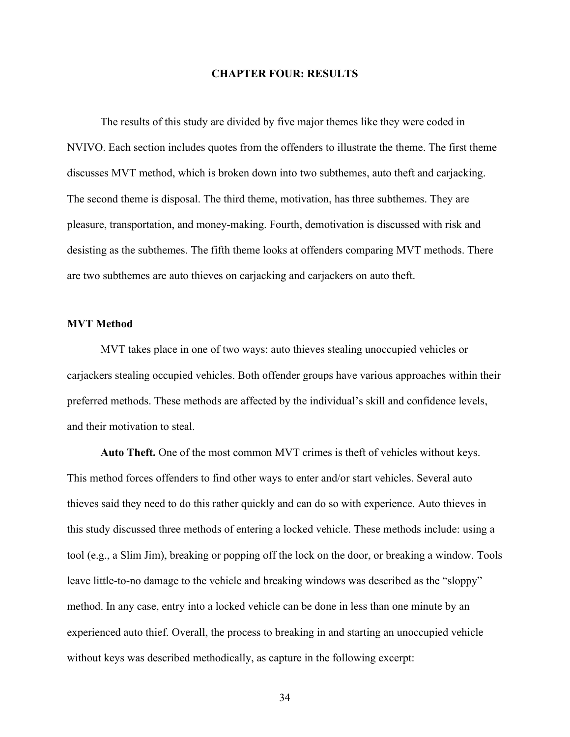### **CHAPTER FOUR: RESULTS**

The results of this study are divided by five major themes like they were coded in NVIVO. Each section includes quotes from the offenders to illustrate the theme. The first theme discusses MVT method, which is broken down into two subthemes, auto theft and carjacking. The second theme is disposal. The third theme, motivation, has three subthemes. They are pleasure, transportation, and money-making. Fourth, demotivation is discussed with risk and desisting as the subthemes. The fifth theme looks at offenders comparing MVT methods. There are two subthemes are auto thieves on carjacking and carjackers on auto theft.

## **MVT Method**

MVT takes place in one of two ways: auto thieves stealing unoccupied vehicles or carjackers stealing occupied vehicles. Both offender groups have various approaches within their preferred methods. These methods are affected by the individual's skill and confidence levels, and their motivation to steal.

**Auto Theft.** One of the most common MVT crimes is theft of vehicles without keys. This method forces offenders to find other ways to enter and/or start vehicles. Several auto thieves said they need to do this rather quickly and can do so with experience. Auto thieves in this study discussed three methods of entering a locked vehicle. These methods include: using a tool (e.g., a Slim Jim), breaking or popping off the lock on the door, or breaking a window. Tools leave little-to-no damage to the vehicle and breaking windows was described as the "sloppy" method. In any case, entry into a locked vehicle can be done in less than one minute by an experienced auto thief. Overall, the process to breaking in and starting an unoccupied vehicle without keys was described methodically, as capture in the following excerpt: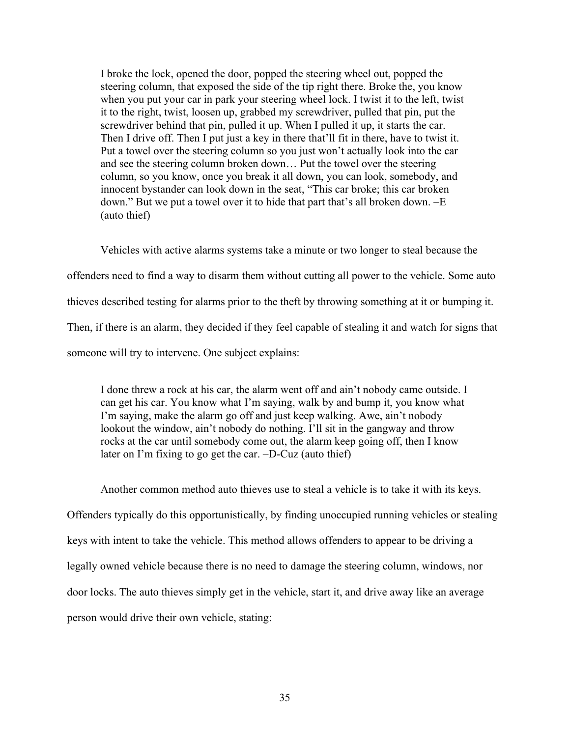I broke the lock, opened the door, popped the steering wheel out, popped the steering column, that exposed the side of the tip right there. Broke the, you know when you put your car in park your steering wheel lock. I twist it to the left, twist it to the right, twist, loosen up, grabbed my screwdriver, pulled that pin, put the screwdriver behind that pin, pulled it up. When I pulled it up, it starts the car. Then I drive off. Then I put just a key in there that'll fit in there, have to twist it. Put a towel over the steering column so you just won't actually look into the car and see the steering column broken down… Put the towel over the steering column, so you know, once you break it all down, you can look, somebody, and innocent bystander can look down in the seat, "This car broke; this car broken down." But we put a towel over it to hide that part that's all broken down. –E (auto thief)

Vehicles with active alarms systems take a minute or two longer to steal because the offenders need to find a way to disarm them without cutting all power to the vehicle. Some auto thieves described testing for alarms prior to the theft by throwing something at it or bumping it. Then, if there is an alarm, they decided if they feel capable of stealing it and watch for signs that someone will try to intervene. One subject explains:

I done threw a rock at his car, the alarm went off and ain't nobody came outside. I can get his car. You know what I'm saying, walk by and bump it, you know what I'm saying, make the alarm go off and just keep walking. Awe, ain't nobody lookout the window, ain't nobody do nothing. I'll sit in the gangway and throw rocks at the car until somebody come out, the alarm keep going off, then I know later on I'm fixing to go get the car. –D-Cuz (auto thief)

Another common method auto thieves use to steal a vehicle is to take it with its keys. Offenders typically do this opportunistically, by finding unoccupied running vehicles or stealing keys with intent to take the vehicle. This method allows offenders to appear to be driving a legally owned vehicle because there is no need to damage the steering column, windows, nor door locks. The auto thieves simply get in the vehicle, start it, and drive away like an average person would drive their own vehicle, stating: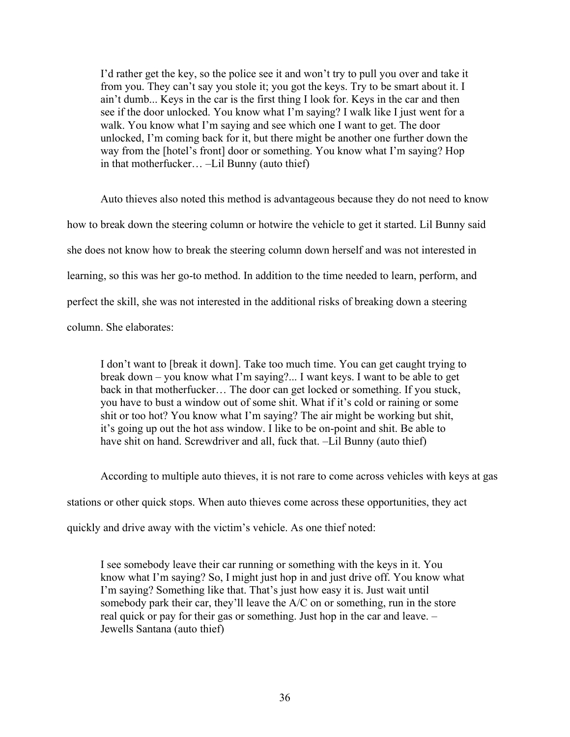I'd rather get the key, so the police see it and won't try to pull you over and take it from you. They can't say you stole it; you got the keys. Try to be smart about it. I ain't dumb... Keys in the car is the first thing I look for. Keys in the car and then see if the door unlocked. You know what I'm saying? I walk like I just went for a walk. You know what I'm saying and see which one I want to get. The door unlocked, I'm coming back for it, but there might be another one further down the way from the [hotel's front] door or something. You know what I'm saying? Hop in that motherfucker… –Lil Bunny (auto thief)

Auto thieves also noted this method is advantageous because they do not need to know how to break down the steering column or hotwire the vehicle to get it started. Lil Bunny said she does not know how to break the steering column down herself and was not interested in learning, so this was her go-to method. In addition to the time needed to learn, perform, and perfect the skill, she was not interested in the additional risks of breaking down a steering column. She elaborates:

I don't want to [break it down]. Take too much time. You can get caught trying to break down – you know what I'm saying?... I want keys. I want to be able to get back in that motherfucker… The door can get locked or something. If you stuck, you have to bust a window out of some shit. What if it's cold or raining or some shit or too hot? You know what I'm saying? The air might be working but shit, it's going up out the hot ass window. I like to be on-point and shit. Be able to have shit on hand. Screwdriver and all, fuck that. –Lil Bunny (auto thief)

According to multiple auto thieves, it is not rare to come across vehicles with keys at gas stations or other quick stops. When auto thieves come across these opportunities, they act quickly and drive away with the victim's vehicle. As one thief noted:

I see somebody leave their car running or something with the keys in it. You know what I'm saying? So, I might just hop in and just drive off. You know what I'm saying? Something like that. That's just how easy it is. Just wait until somebody park their car, they'll leave the A/C on or something, run in the store real quick or pay for their gas or something. Just hop in the car and leave. – Jewells Santana (auto thief)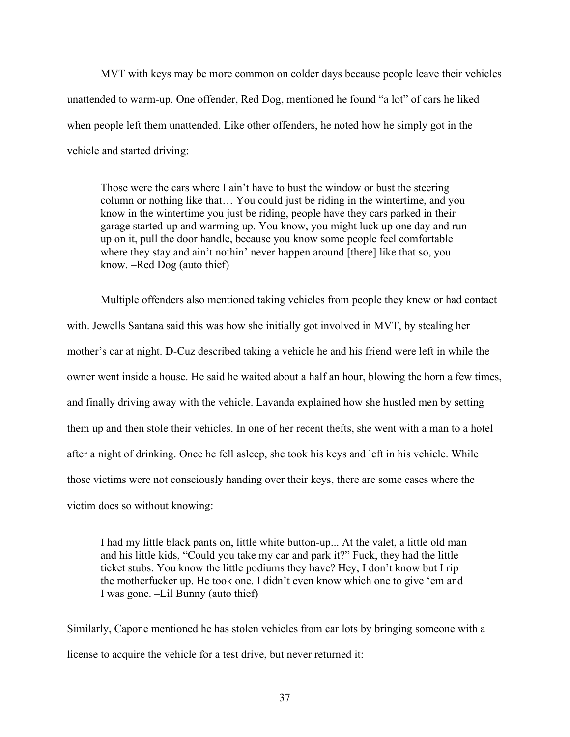MVT with keys may be more common on colder days because people leave their vehicles unattended to warm-up. One offender, Red Dog, mentioned he found "a lot" of cars he liked when people left them unattended. Like other offenders, he noted how he simply got in the vehicle and started driving:

Those were the cars where I ain't have to bust the window or bust the steering column or nothing like that… You could just be riding in the wintertime, and you know in the wintertime you just be riding, people have they cars parked in their garage started-up and warming up. You know, you might luck up one day and run up on it, pull the door handle, because you know some people feel comfortable where they stay and ain't nothin' never happen around [there] like that so, you know. –Red Dog (auto thief)

Multiple offenders also mentioned taking vehicles from people they knew or had contact with. Jewells Santana said this was how she initially got involved in MVT, by stealing her mother's car at night. D-Cuz described taking a vehicle he and his friend were left in while the owner went inside a house. He said he waited about a half an hour, blowing the horn a few times, and finally driving away with the vehicle. Lavanda explained how she hustled men by setting them up and then stole their vehicles. In one of her recent thefts, she went with a man to a hotel after a night of drinking. Once he fell asleep, she took his keys and left in his vehicle. While those victims were not consciously handing over their keys, there are some cases where the victim does so without knowing:

I had my little black pants on, little white button-up... At the valet, a little old man and his little kids, "Could you take my car and park it?" Fuck, they had the little ticket stubs. You know the little podiums they have? Hey, I don't know but I rip the motherfucker up. He took one. I didn't even know which one to give 'em and I was gone. –Lil Bunny (auto thief)

Similarly, Capone mentioned he has stolen vehicles from car lots by bringing someone with a license to acquire the vehicle for a test drive, but never returned it: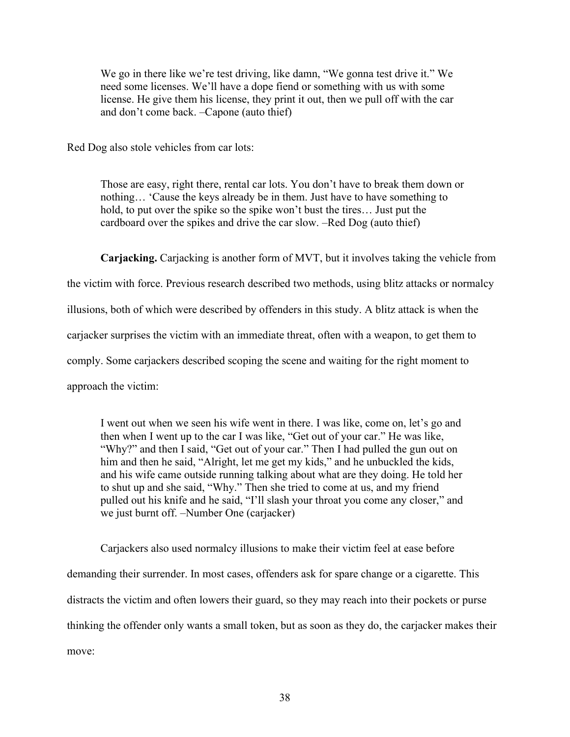We go in there like we're test driving, like damn, "We gonna test drive it." We need some licenses. We'll have a dope fiend or something with us with some license. He give them his license, they print it out, then we pull off with the car and don't come back. –Capone (auto thief)

Red Dog also stole vehicles from car lots:

Those are easy, right there, rental car lots. You don't have to break them down or nothing… 'Cause the keys already be in them. Just have to have something to hold, to put over the spike so the spike won't bust the tires… Just put the cardboard over the spikes and drive the car slow. –Red Dog (auto thief)

**Carjacking.** Carjacking is another form of MVT, but it involves taking the vehicle from the victim with force. Previous research described two methods, using blitz attacks or normalcy illusions, both of which were described by offenders in this study. A blitz attack is when the carjacker surprises the victim with an immediate threat, often with a weapon, to get them to comply. Some carjackers described scoping the scene and waiting for the right moment to approach the victim:

I went out when we seen his wife went in there. I was like, come on, let's go and then when I went up to the car I was like, "Get out of your car." He was like, "Why?" and then I said, "Get out of your car." Then I had pulled the gun out on him and then he said, "Alright, let me get my kids," and he unbuckled the kids, and his wife came outside running talking about what are they doing. He told her to shut up and she said, "Why." Then she tried to come at us, and my friend pulled out his knife and he said, "I'll slash your throat you come any closer," and we just burnt off. –Number One (carjacker)

Carjackers also used normalcy illusions to make their victim feel at ease before demanding their surrender. In most cases, offenders ask for spare change or a cigarette. This distracts the victim and often lowers their guard, so they may reach into their pockets or purse thinking the offender only wants a small token, but as soon as they do, the carjacker makes their move: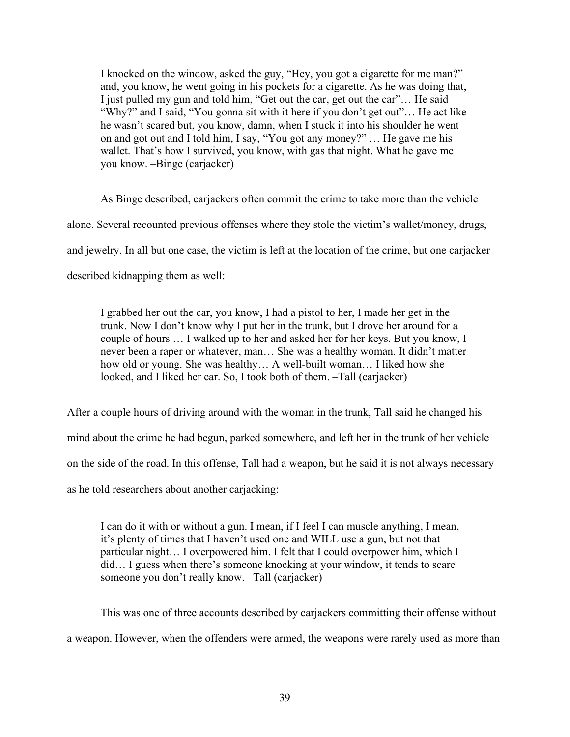I knocked on the window, asked the guy, "Hey, you got a cigarette for me man?" and, you know, he went going in his pockets for a cigarette. As he was doing that, I just pulled my gun and told him, "Get out the car, get out the car"… He said "Why?" and I said, "You gonna sit with it here if you don't get out"… He act like he wasn't scared but, you know, damn, when I stuck it into his shoulder he went on and got out and I told him, I say, "You got any money?" … He gave me his wallet. That's how I survived, you know, with gas that night. What he gave me you know. –Binge (carjacker)

As Binge described, carjackers often commit the crime to take more than the vehicle alone. Several recounted previous offenses where they stole the victim's wallet/money, drugs, and jewelry. In all but one case, the victim is left at the location of the crime, but one carjacker described kidnapping them as well:

I grabbed her out the car, you know, I had a pistol to her, I made her get in the trunk. Now I don't know why I put her in the trunk, but I drove her around for a couple of hours … I walked up to her and asked her for her keys. But you know, I never been a raper or whatever, man… She was a healthy woman. It didn't matter how old or young. She was healthy… A well-built woman… I liked how she looked, and I liked her car. So, I took both of them. –Tall (carjacker)

After a couple hours of driving around with the woman in the trunk, Tall said he changed his mind about the crime he had begun, parked somewhere, and left her in the trunk of her vehicle on the side of the road. In this offense, Tall had a weapon, but he said it is not always necessary as he told researchers about another carjacking:

I can do it with or without a gun. I mean, if I feel I can muscle anything, I mean, it's plenty of times that I haven't used one and WILL use a gun, but not that particular night… I overpowered him. I felt that I could overpower him, which I did… I guess when there's someone knocking at your window, it tends to scare someone you don't really know. –Tall (carjacker)

This was one of three accounts described by carjackers committing their offense without a weapon. However, when the offenders were armed, the weapons were rarely used as more than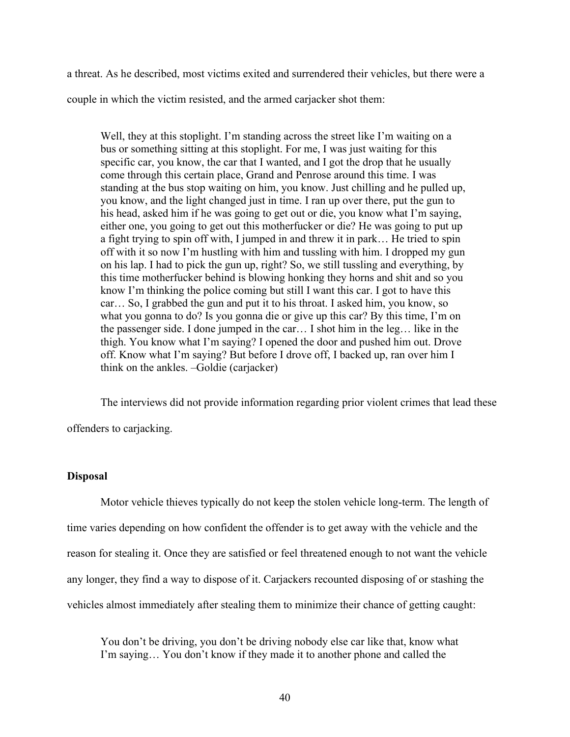a threat. As he described, most victims exited and surrendered their vehicles, but there were a couple in which the victim resisted, and the armed carjacker shot them:

Well, they at this stoplight. I'm standing across the street like I'm waiting on a bus or something sitting at this stoplight. For me, I was just waiting for this specific car, you know, the car that I wanted, and I got the drop that he usually come through this certain place, Grand and Penrose around this time. I was standing at the bus stop waiting on him, you know. Just chilling and he pulled up, you know, and the light changed just in time. I ran up over there, put the gun to his head, asked him if he was going to get out or die, you know what I'm saying, either one, you going to get out this motherfucker or die? He was going to put up a fight trying to spin off with, I jumped in and threw it in park… He tried to spin off with it so now I'm hustling with him and tussling with him. I dropped my gun on his lap. I had to pick the gun up, right? So, we still tussling and everything, by this time motherfucker behind is blowing honking they horns and shit and so you know I'm thinking the police coming but still I want this car. I got to have this car… So, I grabbed the gun and put it to his throat. I asked him, you know, so what you gonna to do? Is you gonna die or give up this car? By this time, I'm on the passenger side. I done jumped in the car… I shot him in the leg… like in the thigh. You know what I'm saying? I opened the door and pushed him out. Drove off. Know what I'm saying? But before I drove off, I backed up, ran over him I think on the ankles. –Goldie (carjacker)

The interviews did not provide information regarding prior violent crimes that lead these

offenders to carjacking.

## **Disposal**

Motor vehicle thieves typically do not keep the stolen vehicle long-term. The length of time varies depending on how confident the offender is to get away with the vehicle and the reason for stealing it. Once they are satisfied or feel threatened enough to not want the vehicle any longer, they find a way to dispose of it. Carjackers recounted disposing of or stashing the vehicles almost immediately after stealing them to minimize their chance of getting caught:

You don't be driving, you don't be driving nobody else car like that, know what I'm saying… You don't know if they made it to another phone and called the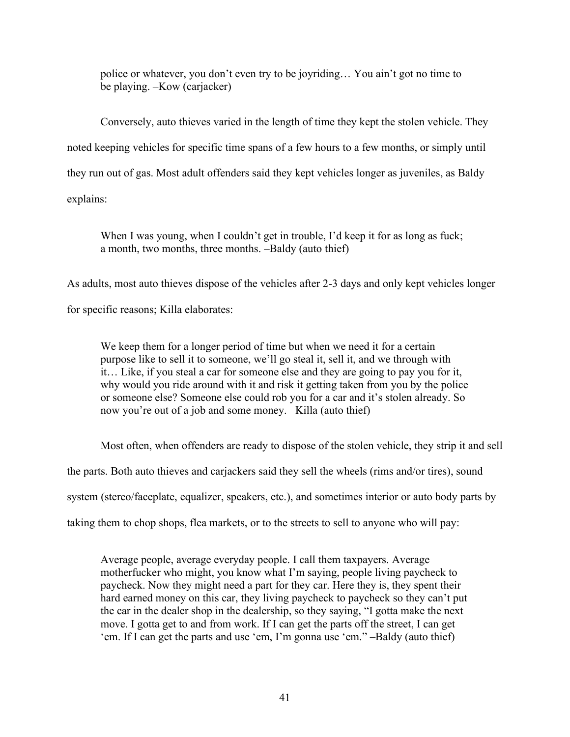police or whatever, you don't even try to be joyriding… You ain't got no time to be playing. –Kow (carjacker)

Conversely, auto thieves varied in the length of time they kept the stolen vehicle. They noted keeping vehicles for specific time spans of a few hours to a few months, or simply until they run out of gas. Most adult offenders said they kept vehicles longer as juveniles, as Baldy explains:

When I was young, when I couldn't get in trouble, I'd keep it for as long as fuck; a month, two months, three months. –Baldy (auto thief)

As adults, most auto thieves dispose of the vehicles after 2-3 days and only kept vehicles longer

for specific reasons; Killa elaborates:

We keep them for a longer period of time but when we need it for a certain purpose like to sell it to someone, we'll go steal it, sell it, and we through with it… Like, if you steal a car for someone else and they are going to pay you for it, why would you ride around with it and risk it getting taken from you by the police or someone else? Someone else could rob you for a car and it's stolen already. So now you're out of a job and some money. –Killa (auto thief)

Most often, when offenders are ready to dispose of the stolen vehicle, they strip it and sell

the parts. Both auto thieves and carjackers said they sell the wheels (rims and/or tires), sound

system (stereo/faceplate, equalizer, speakers, etc.), and sometimes interior or auto body parts by

taking them to chop shops, flea markets, or to the streets to sell to anyone who will pay:

Average people, average everyday people. I call them taxpayers. Average motherfucker who might, you know what I'm saying, people living paycheck to paycheck. Now they might need a part for they car. Here they is, they spent their hard earned money on this car, they living paycheck to paycheck so they can't put the car in the dealer shop in the dealership, so they saying, "I gotta make the next move. I gotta get to and from work. If I can get the parts off the street, I can get 'em. If I can get the parts and use 'em, I'm gonna use 'em." –Baldy (auto thief)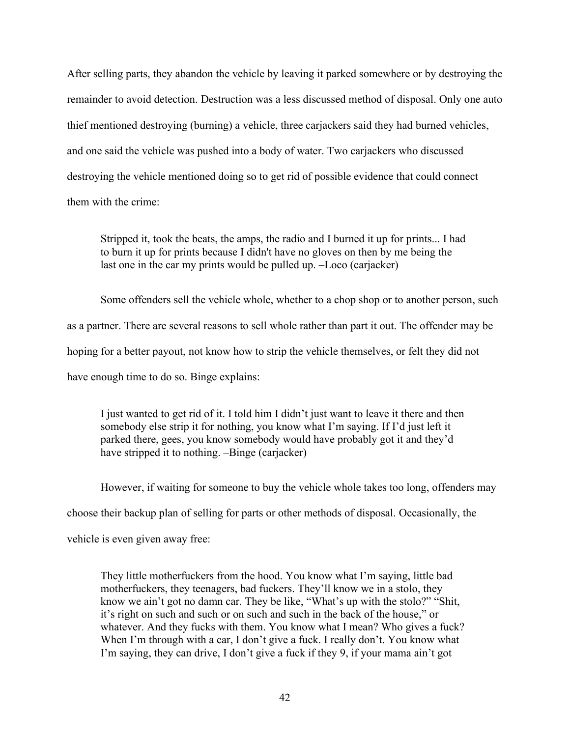After selling parts, they abandon the vehicle by leaving it parked somewhere or by destroying the remainder to avoid detection. Destruction was a less discussed method of disposal. Only one auto thief mentioned destroying (burning) a vehicle, three carjackers said they had burned vehicles, and one said the vehicle was pushed into a body of water. Two carjackers who discussed destroying the vehicle mentioned doing so to get rid of possible evidence that could connect them with the crime:

Stripped it, took the beats, the amps, the radio and I burned it up for prints... I had to burn it up for prints because I didn't have no gloves on then by me being the last one in the car my prints would be pulled up. –Loco (carjacker)

Some offenders sell the vehicle whole, whether to a chop shop or to another person, such as a partner. There are several reasons to sell whole rather than part it out. The offender may be hoping for a better payout, not know how to strip the vehicle themselves, or felt they did not have enough time to do so. Binge explains:

I just wanted to get rid of it. I told him I didn't just want to leave it there and then somebody else strip it for nothing, you know what I'm saying. If I'd just left it parked there, gees, you know somebody would have probably got it and they'd have stripped it to nothing. –Binge (carjacker)

However, if waiting for someone to buy the vehicle whole takes too long, offenders may choose their backup plan of selling for parts or other methods of disposal. Occasionally, the vehicle is even given away free:

They little motherfuckers from the hood. You know what I'm saying, little bad motherfuckers, they teenagers, bad fuckers. They'll know we in a stolo, they know we ain't got no damn car. They be like, "What's up with the stolo?" "Shit, it's right on such and such or on such and such in the back of the house," or whatever. And they fucks with them. You know what I mean? Who gives a fuck? When I'm through with a car, I don't give a fuck. I really don't. You know what I'm saying, they can drive, I don't give a fuck if they 9, if your mama ain't got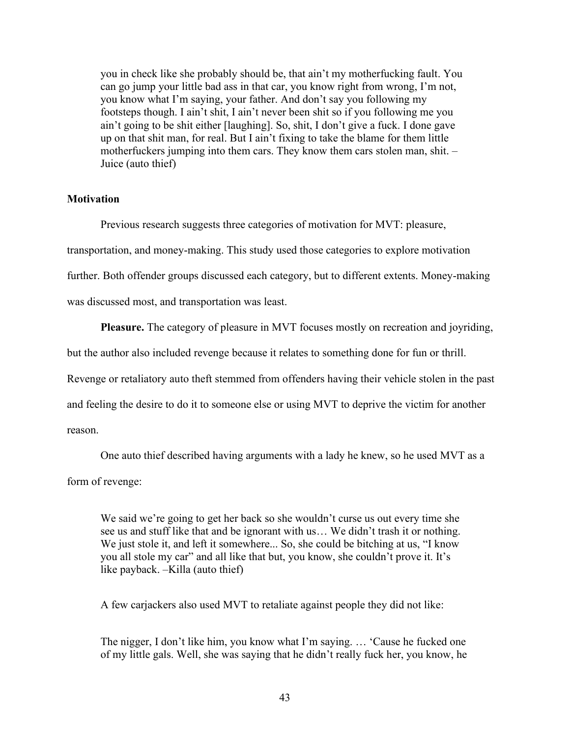you in check like she probably should be, that ain't my motherfucking fault. You can go jump your little bad ass in that car, you know right from wrong, I'm not, you know what I'm saying, your father. And don't say you following my footsteps though. I ain't shit, I ain't never been shit so if you following me you ain't going to be shit either [laughing]. So, shit, I don't give a fuck. I done gave up on that shit man, for real. But I ain't fixing to take the blame for them little motherfuckers jumping into them cars. They know them cars stolen man, shit. – Juice (auto thief)

## **Motivation**

Previous research suggests three categories of motivation for MVT: pleasure, transportation, and money-making. This study used those categories to explore motivation further. Both offender groups discussed each category, but to different extents. Money-making was discussed most, and transportation was least.

**Pleasure.** The category of pleasure in MVT focuses mostly on recreation and joyriding,

but the author also included revenge because it relates to something done for fun or thrill.

Revenge or retaliatory auto theft stemmed from offenders having their vehicle stolen in the past

and feeling the desire to do it to someone else or using MVT to deprive the victim for another

reason.

One auto thief described having arguments with a lady he knew, so he used MVT as a

form of revenge:

We said we're going to get her back so she wouldn't curse us out every time she see us and stuff like that and be ignorant with us… We didn't trash it or nothing. We just stole it, and left it somewhere... So, she could be bitching at us, "I know you all stole my car" and all like that but, you know, she couldn't prove it. It's like payback. –Killa (auto thief)

A few carjackers also used MVT to retaliate against people they did not like:

The nigger, I don't like him, you know what I'm saying. … 'Cause he fucked one of my little gals. Well, she was saying that he didn't really fuck her, you know, he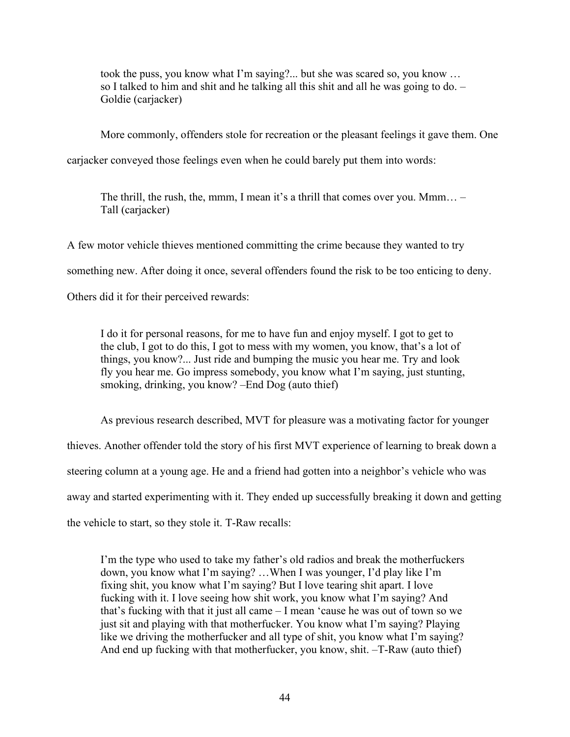took the puss, you know what I'm saying?... but she was scared so, you know … so I talked to him and shit and he talking all this shit and all he was going to do. – Goldie (carjacker)

More commonly, offenders stole for recreation or the pleasant feelings it gave them. One

carjacker conveyed those feelings even when he could barely put them into words:

The thrill, the rush, the, mmm, I mean it's a thrill that comes over you. Mmm… – Tall (carjacker)

A few motor vehicle thieves mentioned committing the crime because they wanted to try something new. After doing it once, several offenders found the risk to be too enticing to deny. Others did it for their perceived rewards:

I do it for personal reasons, for me to have fun and enjoy myself. I got to get to the club, I got to do this, I got to mess with my women, you know, that's a lot of things, you know?... Just ride and bumping the music you hear me. Try and look fly you hear me. Go impress somebody, you know what I'm saying, just stunting, smoking, drinking, you know? –End Dog (auto thief)

As previous research described, MVT for pleasure was a motivating factor for younger

thieves. Another offender told the story of his first MVT experience of learning to break down a

steering column at a young age. He and a friend had gotten into a neighbor's vehicle who was

away and started experimenting with it. They ended up successfully breaking it down and getting

the vehicle to start, so they stole it. T-Raw recalls:

I'm the type who used to take my father's old radios and break the motherfuckers down, you know what I'm saying? …When I was younger, I'd play like I'm fixing shit, you know what I'm saying? But I love tearing shit apart. I love fucking with it. I love seeing how shit work, you know what I'm saying? And that's fucking with that it just all came – I mean 'cause he was out of town so we just sit and playing with that motherfucker. You know what I'm saying? Playing like we driving the motherfucker and all type of shit, you know what I'm saying? And end up fucking with that motherfucker, you know, shit. –T-Raw (auto thief)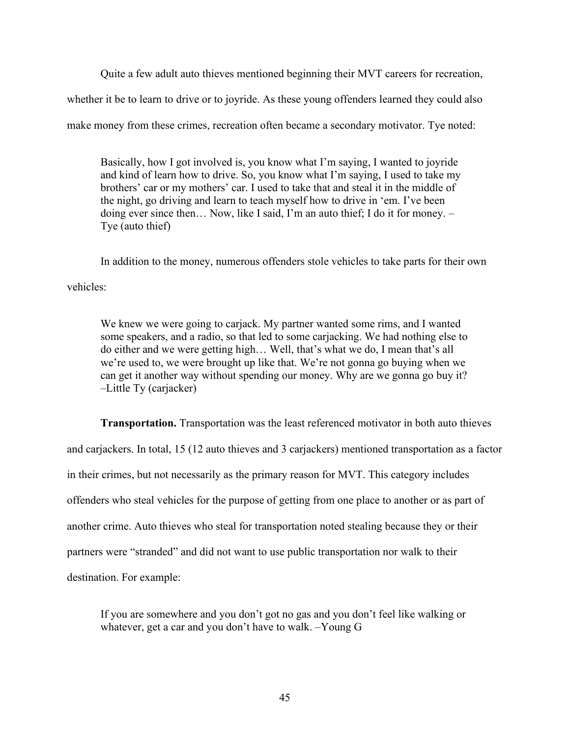Quite a few adult auto thieves mentioned beginning their MVT careers for recreation, whether it be to learn to drive or to joyride. As these young offenders learned they could also make money from these crimes, recreation often became a secondary motivator. Tye noted:

Basically, how I got involved is, you know what I'm saying, I wanted to joyride and kind of learn how to drive. So, you know what I'm saying, I used to take my brothers' car or my mothers' car. I used to take that and steal it in the middle of the night, go driving and learn to teach myself how to drive in 'em. I've been doing ever since then… Now, like I said, I'm an auto thief; I do it for money. – Tye (auto thief)

In addition to the money, numerous offenders stole vehicles to take parts for their own vehicles:

We knew we were going to carjack. My partner wanted some rims, and I wanted some speakers, and a radio, so that led to some carjacking. We had nothing else to do either and we were getting high… Well, that's what we do, I mean that's all we're used to, we were brought up like that. We're not gonna go buying when we can get it another way without spending our money. Why are we gonna go buy it? –Little Ty (carjacker)

**Transportation.** Transportation was the least referenced motivator in both auto thieves and carjackers. In total, 15 (12 auto thieves and 3 carjackers) mentioned transportation as a factor in their crimes, but not necessarily as the primary reason for MVT. This category includes offenders who steal vehicles for the purpose of getting from one place to another or as part of another crime. Auto thieves who steal for transportation noted stealing because they or their partners were "stranded" and did not want to use public transportation nor walk to their destination. For example:

If you are somewhere and you don't got no gas and you don't feel like walking or whatever, get a car and you don't have to walk. –Young G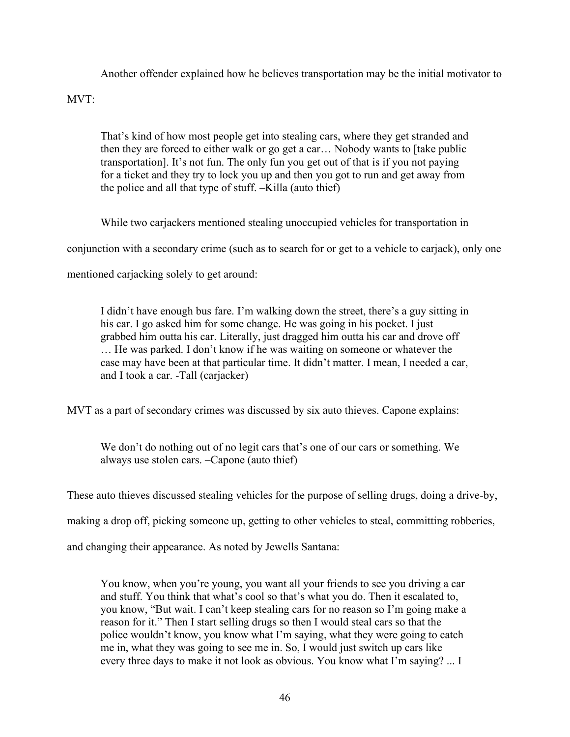Another offender explained how he believes transportation may be the initial motivator to MVT:

That's kind of how most people get into stealing cars, where they get stranded and then they are forced to either walk or go get a car… Nobody wants to [take public transportation]. It's not fun. The only fun you get out of that is if you not paying for a ticket and they try to lock you up and then you got to run and get away from the police and all that type of stuff. –Killa (auto thief)

While two carjackers mentioned stealing unoccupied vehicles for transportation in conjunction with a secondary crime (such as to search for or get to a vehicle to carjack), only one mentioned carjacking solely to get around:

I didn't have enough bus fare. I'm walking down the street, there's a guy sitting in his car. I go asked him for some change. He was going in his pocket. I just grabbed him outta his car. Literally, just dragged him outta his car and drove off … He was parked. I don't know if he was waiting on someone or whatever the case may have been at that particular time. It didn't matter. I mean, I needed a car, and I took a car. -Tall (carjacker)

MVT as a part of secondary crimes was discussed by six auto thieves. Capone explains:

We don't do nothing out of no legit cars that's one of our cars or something. We always use stolen cars. –Capone (auto thief)

These auto thieves discussed stealing vehicles for the purpose of selling drugs, doing a drive-by,

making a drop off, picking someone up, getting to other vehicles to steal, committing robberies,

and changing their appearance. As noted by Jewells Santana:

You know, when you're young, you want all your friends to see you driving a car and stuff. You think that what's cool so that's what you do. Then it escalated to, you know, "But wait. I can't keep stealing cars for no reason so I'm going make a reason for it." Then I start selling drugs so then I would steal cars so that the police wouldn't know, you know what I'm saying, what they were going to catch me in, what they was going to see me in. So, I would just switch up cars like every three days to make it not look as obvious. You know what I'm saying? ... I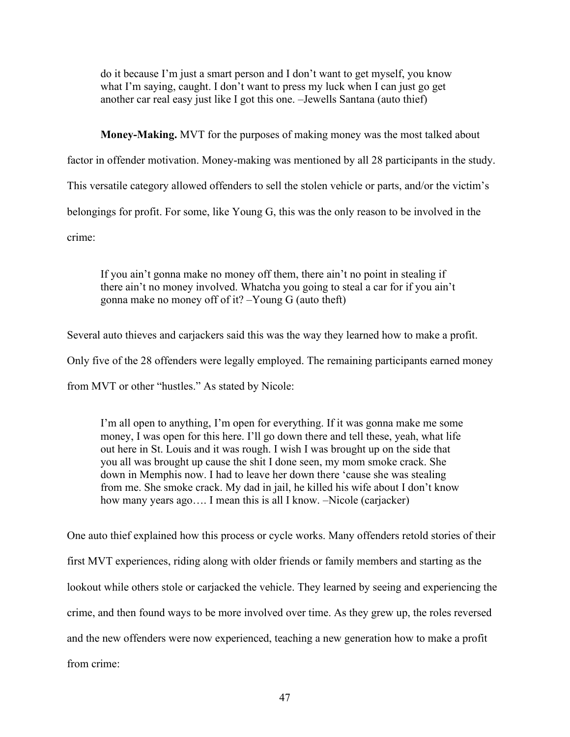do it because I'm just a smart person and I don't want to get myself, you know what I'm saying, caught. I don't want to press my luck when I can just go get another car real easy just like I got this one. –Jewells Santana (auto thief)

**Money-Making.** MVT for the purposes of making money was the most talked about factor in offender motivation. Money-making was mentioned by all 28 participants in the study. This versatile category allowed offenders to sell the stolen vehicle or parts, and/or the victim's belongings for profit. For some, like Young G, this was the only reason to be involved in the crime:

If you ain't gonna make no money off them, there ain't no point in stealing if there ain't no money involved. Whatcha you going to steal a car for if you ain't gonna make no money off of it? –Young G (auto theft)

Several auto thieves and carjackers said this was the way they learned how to make a profit.

Only five of the 28 offenders were legally employed. The remaining participants earned money

from MVT or other "hustles." As stated by Nicole:

I'm all open to anything, I'm open for everything. If it was gonna make me some money, I was open for this here. I'll go down there and tell these, yeah, what life out here in St. Louis and it was rough. I wish I was brought up on the side that you all was brought up cause the shit I done seen, my mom smoke crack. She down in Memphis now. I had to leave her down there 'cause she was stealing from me. She smoke crack. My dad in jail, he killed his wife about I don't know how many years ago.... I mean this is all I know. –Nicole (carjacker)

One auto thief explained how this process or cycle works. Many offenders retold stories of their first MVT experiences, riding along with older friends or family members and starting as the lookout while others stole or carjacked the vehicle. They learned by seeing and experiencing the crime, and then found ways to be more involved over time. As they grew up, the roles reversed and the new offenders were now experienced, teaching a new generation how to make a profit from crime: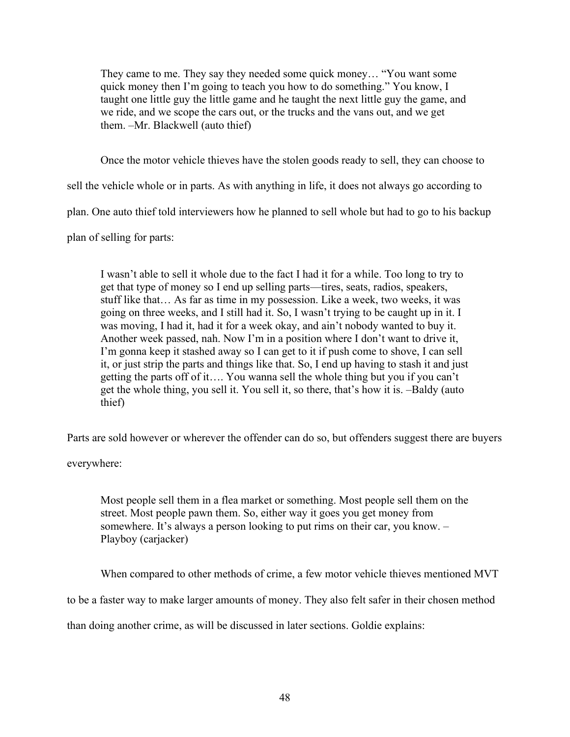They came to me. They say they needed some quick money… "You want some quick money then I'm going to teach you how to do something." You know, I taught one little guy the little game and he taught the next little guy the game, and we ride, and we scope the cars out, or the trucks and the vans out, and we get them. –Mr. Blackwell (auto thief)

Once the motor vehicle thieves have the stolen goods ready to sell, they can choose to

sell the vehicle whole or in parts. As with anything in life, it does not always go according to

plan. One auto thief told interviewers how he planned to sell whole but had to go to his backup

plan of selling for parts:

I wasn't able to sell it whole due to the fact I had it for a while. Too long to try to get that type of money so I end up selling parts—tires, seats, radios, speakers, stuff like that… As far as time in my possession. Like a week, two weeks, it was going on three weeks, and I still had it. So, I wasn't trying to be caught up in it. I was moving, I had it, had it for a week okay, and ain't nobody wanted to buy it. Another week passed, nah. Now I'm in a position where I don't want to drive it, I'm gonna keep it stashed away so I can get to it if push come to shove, I can sell it, or just strip the parts and things like that. So, I end up having to stash it and just getting the parts off of it…. You wanna sell the whole thing but you if you can't get the whole thing, you sell it. You sell it, so there, that's how it is. –Baldy (auto thief)

Parts are sold however or wherever the offender can do so, but offenders suggest there are buyers

everywhere:

Most people sell them in a flea market or something. Most people sell them on the street. Most people pawn them. So, either way it goes you get money from somewhere. It's always a person looking to put rims on their car, you know. – Playboy (carjacker)

When compared to other methods of crime, a few motor vehicle thieves mentioned MVT

to be a faster way to make larger amounts of money. They also felt safer in their chosen method

than doing another crime, as will be discussed in later sections. Goldie explains: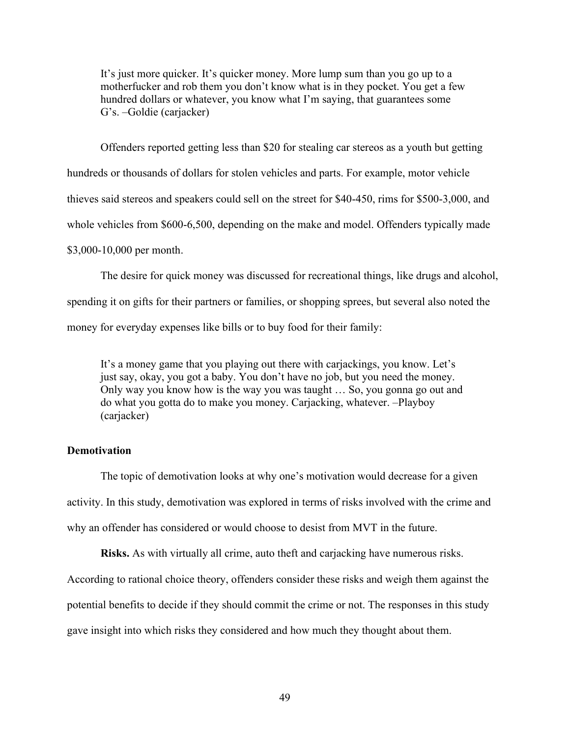It's just more quicker. It's quicker money. More lump sum than you go up to a motherfucker and rob them you don't know what is in they pocket. You get a few hundred dollars or whatever, you know what I'm saying, that guarantees some G's. –Goldie (carjacker)

Offenders reported getting less than \$20 for stealing car stereos as a youth but getting hundreds or thousands of dollars for stolen vehicles and parts. For example, motor vehicle thieves said stereos and speakers could sell on the street for \$40-450, rims for \$500-3,000, and whole vehicles from \$600-6,500, depending on the make and model. Offenders typically made \$3,000-10,000 per month.

The desire for quick money was discussed for recreational things, like drugs and alcohol, spending it on gifts for their partners or families, or shopping sprees, but several also noted the money for everyday expenses like bills or to buy food for their family:

It's a money game that you playing out there with carjackings, you know. Let's just say, okay, you got a baby. You don't have no job, but you need the money. Only way you know how is the way you was taught … So, you gonna go out and do what you gotta do to make you money. Carjacking, whatever. –Playboy (carjacker)

# **Demotivation**

The topic of demotivation looks at why one's motivation would decrease for a given activity. In this study, demotivation was explored in terms of risks involved with the crime and why an offender has considered or would choose to desist from MVT in the future.

**Risks.** As with virtually all crime, auto theft and carjacking have numerous risks.

According to rational choice theory, offenders consider these risks and weigh them against the

potential benefits to decide if they should commit the crime or not. The responses in this study

gave insight into which risks they considered and how much they thought about them.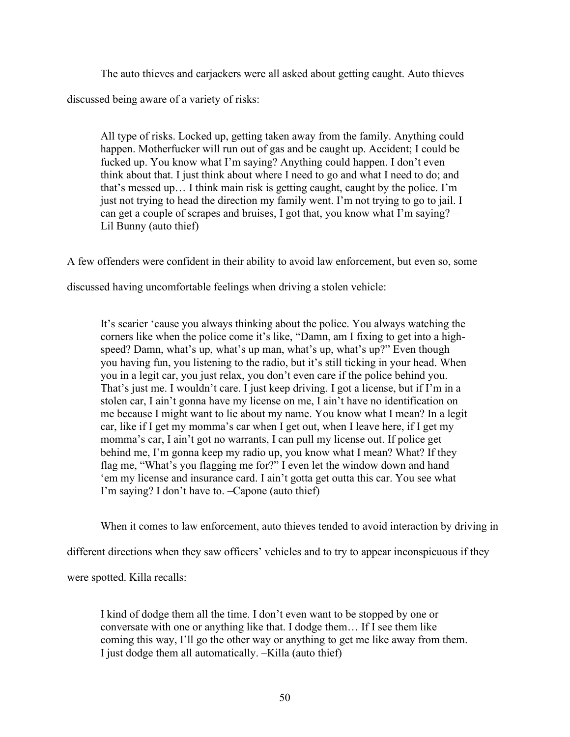The auto thieves and carjackers were all asked about getting caught. Auto thieves discussed being aware of a variety of risks:

All type of risks. Locked up, getting taken away from the family. Anything could happen. Motherfucker will run out of gas and be caught up. Accident; I could be fucked up. You know what I'm saying? Anything could happen. I don't even think about that. I just think about where I need to go and what I need to do; and that's messed up… I think main risk is getting caught, caught by the police. I'm just not trying to head the direction my family went. I'm not trying to go to jail. I can get a couple of scrapes and bruises, I got that, you know what I'm saying? – Lil Bunny (auto thief)

A few offenders were confident in their ability to avoid law enforcement, but even so, some

discussed having uncomfortable feelings when driving a stolen vehicle:

It's scarier 'cause you always thinking about the police. You always watching the corners like when the police come it's like, "Damn, am I fixing to get into a highspeed? Damn, what's up, what's up man, what's up, what's up?" Even though you having fun, you listening to the radio, but it's still ticking in your head. When you in a legit car, you just relax, you don't even care if the police behind you. That's just me. I wouldn't care. I just keep driving. I got a license, but if I'm in a stolen car, I ain't gonna have my license on me, I ain't have no identification on me because I might want to lie about my name. You know what I mean? In a legit car, like if I get my momma's car when I get out, when I leave here, if I get my momma's car, I ain't got no warrants, I can pull my license out. If police get behind me, I'm gonna keep my radio up, you know what I mean? What? If they flag me, "What's you flagging me for?" I even let the window down and hand 'em my license and insurance card. I ain't gotta get outta this car. You see what I'm saying? I don't have to. –Capone (auto thief)

When it comes to law enforcement, auto thieves tended to avoid interaction by driving in

different directions when they saw officers' vehicles and to try to appear inconspicuous if they

were spotted. Killa recalls:

I kind of dodge them all the time. I don't even want to be stopped by one or conversate with one or anything like that. I dodge them… If I see them like coming this way, I'll go the other way or anything to get me like away from them. I just dodge them all automatically. –Killa (auto thief)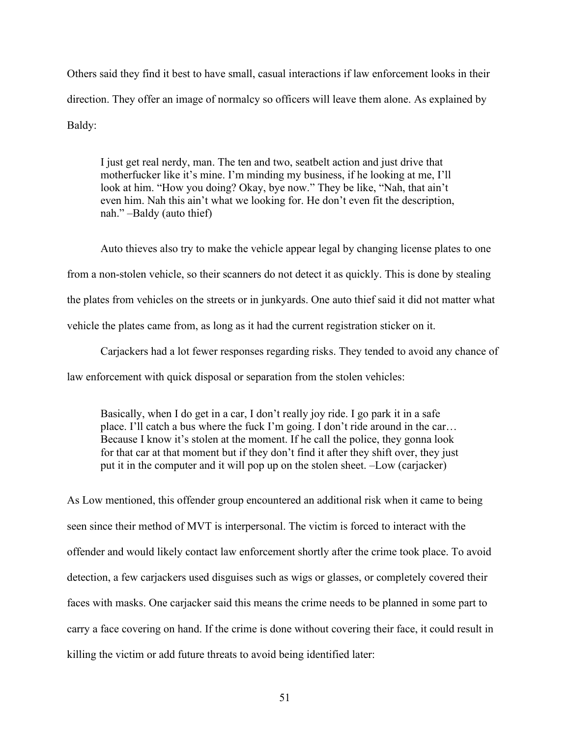Others said they find it best to have small, casual interactions if law enforcement looks in their direction. They offer an image of normalcy so officers will leave them alone. As explained by Baldy:

I just get real nerdy, man. The ten and two, seatbelt action and just drive that motherfucker like it's mine. I'm minding my business, if he looking at me, I'll look at him. "How you doing? Okay, bye now." They be like, "Nah, that ain't even him. Nah this ain't what we looking for. He don't even fit the description, nah." –Baldy (auto thief)

Auto thieves also try to make the vehicle appear legal by changing license plates to one from a non-stolen vehicle, so their scanners do not detect it as quickly. This is done by stealing the plates from vehicles on the streets or in junkyards. One auto thief said it did not matter what vehicle the plates came from, as long as it had the current registration sticker on it.

Carjackers had a lot fewer responses regarding risks. They tended to avoid any chance of law enforcement with quick disposal or separation from the stolen vehicles:

Basically, when I do get in a car, I don't really joy ride. I go park it in a safe place. I'll catch a bus where the fuck I'm going. I don't ride around in the car… Because I know it's stolen at the moment. If he call the police, they gonna look for that car at that moment but if they don't find it after they shift over, they just put it in the computer and it will pop up on the stolen sheet. –Low (carjacker)

As Low mentioned, this offender group encountered an additional risk when it came to being seen since their method of MVT is interpersonal. The victim is forced to interact with the offender and would likely contact law enforcement shortly after the crime took place. To avoid detection, a few carjackers used disguises such as wigs or glasses, or completely covered their faces with masks. One carjacker said this means the crime needs to be planned in some part to carry a face covering on hand. If the crime is done without covering their face, it could result in killing the victim or add future threats to avoid being identified later: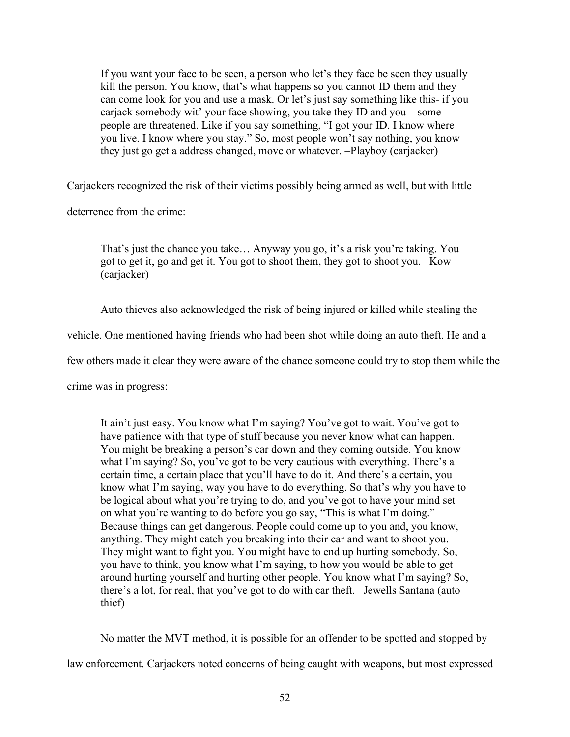If you want your face to be seen, a person who let's they face be seen they usually kill the person. You know, that's what happens so you cannot ID them and they can come look for you and use a mask. Or let's just say something like this- if you carjack somebody wit' your face showing, you take they ID and you – some people are threatened. Like if you say something, "I got your ID. I know where you live. I know where you stay." So, most people won't say nothing, you know they just go get a address changed, move or whatever. –Playboy (carjacker)

Carjackers recognized the risk of their victims possibly being armed as well, but with little

deterrence from the crime:

That's just the chance you take… Anyway you go, it's a risk you're taking. You got to get it, go and get it. You got to shoot them, they got to shoot you. –Kow (carjacker)

Auto thieves also acknowledged the risk of being injured or killed while stealing the

vehicle. One mentioned having friends who had been shot while doing an auto theft. He and a

few others made it clear they were aware of the chance someone could try to stop them while the

crime was in progress:

It ain't just easy. You know what I'm saying? You've got to wait. You've got to have patience with that type of stuff because you never know what can happen. You might be breaking a person's car down and they coming outside. You know what I'm saying? So, you've got to be very cautious with everything. There's a certain time, a certain place that you'll have to do it. And there's a certain, you know what I'm saying, way you have to do everything. So that's why you have to be logical about what you're trying to do, and you've got to have your mind set on what you're wanting to do before you go say, "This is what I'm doing." Because things can get dangerous. People could come up to you and, you know, anything. They might catch you breaking into their car and want to shoot you. They might want to fight you. You might have to end up hurting somebody. So, you have to think, you know what I'm saying, to how you would be able to get around hurting yourself and hurting other people. You know what I'm saying? So, there's a lot, for real, that you've got to do with car theft. –Jewells Santana (auto thief)

No matter the MVT method, it is possible for an offender to be spotted and stopped by law enforcement. Carjackers noted concerns of being caught with weapons, but most expressed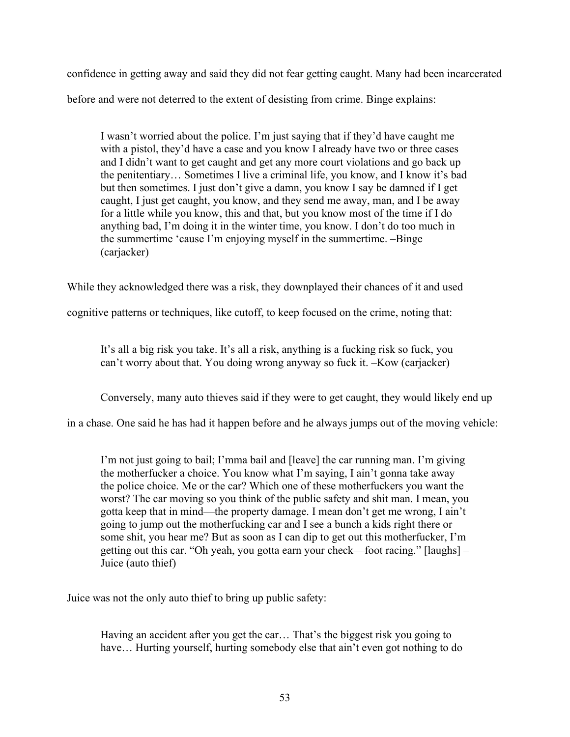confidence in getting away and said they did not fear getting caught. Many had been incarcerated before and were not deterred to the extent of desisting from crime. Binge explains:

I wasn't worried about the police. I'm just saying that if they'd have caught me with a pistol, they'd have a case and you know I already have two or three cases and I didn't want to get caught and get any more court violations and go back up the penitentiary… Sometimes I live a criminal life, you know, and I know it's bad but then sometimes. I just don't give a damn, you know I say be damned if I get caught, I just get caught, you know, and they send me away, man, and I be away for a little while you know, this and that, but you know most of the time if I do anything bad, I'm doing it in the winter time, you know. I don't do too much in the summertime 'cause I'm enjoying myself in the summertime. –Binge (carjacker)

While they acknowledged there was a risk, they downplayed their chances of it and used

cognitive patterns or techniques, like cutoff, to keep focused on the crime, noting that:

It's all a big risk you take. It's all a risk, anything is a fucking risk so fuck, you can't worry about that. You doing wrong anyway so fuck it. –Kow (carjacker)

Conversely, many auto thieves said if they were to get caught, they would likely end up

in a chase. One said he has had it happen before and he always jumps out of the moving vehicle:

I'm not just going to bail; I'mma bail and [leave] the car running man. I'm giving the motherfucker a choice. You know what I'm saying, I ain't gonna take away the police choice. Me or the car? Which one of these motherfuckers you want the worst? The car moving so you think of the public safety and shit man. I mean, you gotta keep that in mind—the property damage. I mean don't get me wrong, I ain't going to jump out the motherfucking car and I see a bunch a kids right there or some shit, you hear me? But as soon as I can dip to get out this motherfucker, I'm getting out this car. "Oh yeah, you gotta earn your check—foot racing." [laughs] – Juice (auto thief)

Juice was not the only auto thief to bring up public safety:

Having an accident after you get the car… That's the biggest risk you going to have... Hurting yourself, hurting somebody else that ain't even got nothing to do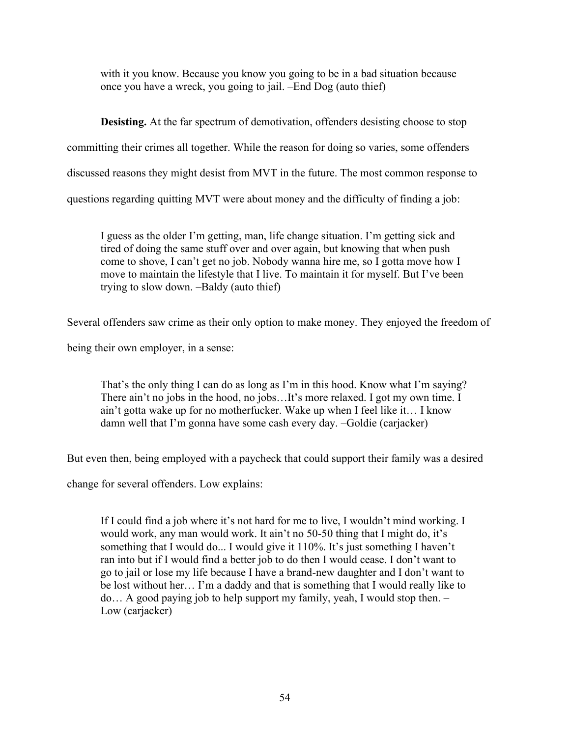with it you know. Because you know you going to be in a bad situation because once you have a wreck, you going to jail. –End Dog (auto thief)

**Desisting.** At the far spectrum of demotivation, offenders desisting choose to stop committing their crimes all together. While the reason for doing so varies, some offenders discussed reasons they might desist from MVT in the future. The most common response to questions regarding quitting MVT were about money and the difficulty of finding a job:

I guess as the older I'm getting, man, life change situation. I'm getting sick and tired of doing the same stuff over and over again, but knowing that when push come to shove, I can't get no job. Nobody wanna hire me, so I gotta move how I move to maintain the lifestyle that I live. To maintain it for myself. But I've been trying to slow down. –Baldy (auto thief)

Several offenders saw crime as their only option to make money. They enjoyed the freedom of

being their own employer, in a sense:

That's the only thing I can do as long as I'm in this hood. Know what I'm saying? There ain't no jobs in the hood, no jobs…It's more relaxed. I got my own time. I ain't gotta wake up for no motherfucker. Wake up when I feel like it… I know damn well that I'm gonna have some cash every day. –Goldie (carjacker)

But even then, being employed with a paycheck that could support their family was a desired

change for several offenders. Low explains:

If I could find a job where it's not hard for me to live, I wouldn't mind working. I would work, any man would work. It ain't no 50-50 thing that I might do, it's something that I would do... I would give it 110%. It's just something I haven't ran into but if I would find a better job to do then I would cease. I don't want to go to jail or lose my life because I have a brand-new daughter and I don't want to be lost without her… I'm a daddy and that is something that I would really like to do… A good paying job to help support my family, yeah, I would stop then. – Low (carjacker)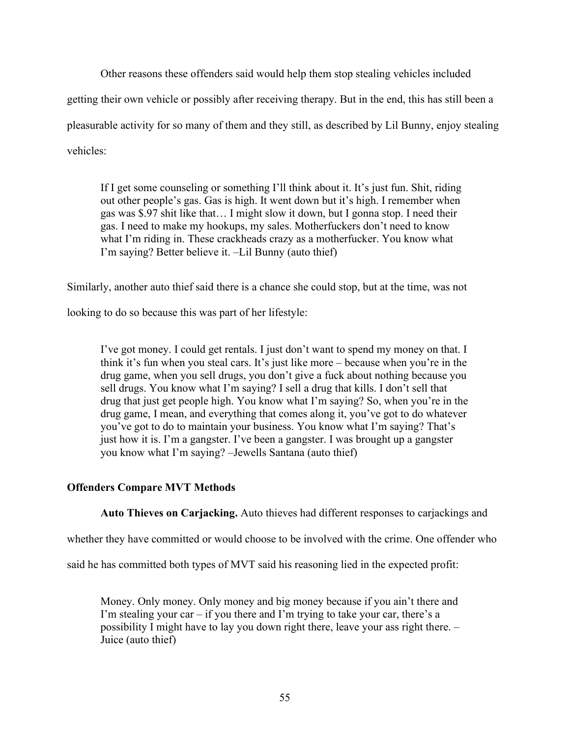Other reasons these offenders said would help them stop stealing vehicles included getting their own vehicle or possibly after receiving therapy. But in the end, this has still been a pleasurable activity for so many of them and they still, as described by Lil Bunny, enjoy stealing vehicles:

If I get some counseling or something I'll think about it. It's just fun. Shit, riding out other people's gas. Gas is high. It went down but it's high. I remember when gas was \$.97 shit like that… I might slow it down, but I gonna stop. I need their gas. I need to make my hookups, my sales. Motherfuckers don't need to know what I'm riding in. These crackheads crazy as a motherfucker. You know what I'm saying? Better believe it. –Lil Bunny (auto thief)

Similarly, another auto thief said there is a chance she could stop, but at the time, was not

looking to do so because this was part of her lifestyle:

I've got money. I could get rentals. I just don't want to spend my money on that. I think it's fun when you steal cars. It's just like more – because when you're in the drug game, when you sell drugs, you don't give a fuck about nothing because you sell drugs. You know what I'm saying? I sell a drug that kills. I don't sell that drug that just get people high. You know what I'm saying? So, when you're in the drug game, I mean, and everything that comes along it, you've got to do whatever you've got to do to maintain your business. You know what I'm saying? That's just how it is. I'm a gangster. I've been a gangster. I was brought up a gangster you know what I'm saying? –Jewells Santana (auto thief)

# **Offenders Compare MVT Methods**

**Auto Thieves on Carjacking.** Auto thieves had different responses to carjackings and

whether they have committed or would choose to be involved with the crime. One offender who

said he has committed both types of MVT said his reasoning lied in the expected profit:

Money. Only money. Only money and big money because if you ain't there and I'm stealing your car  $-$  if you there and I'm trying to take your car, there's a possibility I might have to lay you down right there, leave your ass right there. – Juice (auto thief)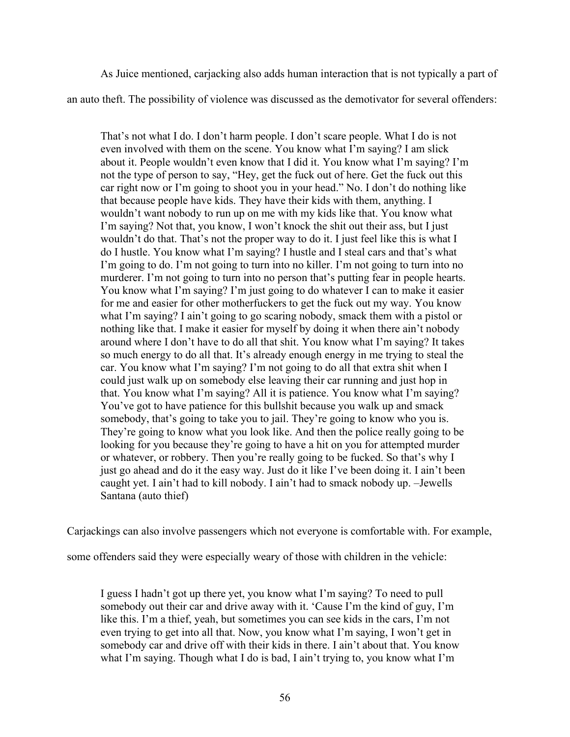As Juice mentioned, carjacking also adds human interaction that is not typically a part of an auto theft. The possibility of violence was discussed as the demotivator for several offenders:

That's not what I do. I don't harm people. I don't scare people. What I do is not even involved with them on the scene. You know what I'm saying? I am slick about it. People wouldn't even know that I did it. You know what I'm saying? I'm not the type of person to say, "Hey, get the fuck out of here. Get the fuck out this car right now or I'm going to shoot you in your head." No. I don't do nothing like that because people have kids. They have their kids with them, anything. I wouldn't want nobody to run up on me with my kids like that. You know what I'm saying? Not that, you know, I won't knock the shit out their ass, but I just wouldn't do that. That's not the proper way to do it. I just feel like this is what I do I hustle. You know what I'm saying? I hustle and I steal cars and that's what I'm going to do. I'm not going to turn into no killer. I'm not going to turn into no murderer. I'm not going to turn into no person that's putting fear in people hearts. You know what I'm saying? I'm just going to do whatever I can to make it easier for me and easier for other motherfuckers to get the fuck out my way. You know what I'm saying? I ain't going to go scaring nobody, smack them with a pistol or nothing like that. I make it easier for myself by doing it when there ain't nobody around where I don't have to do all that shit. You know what I'm saying? It takes so much energy to do all that. It's already enough energy in me trying to steal the car. You know what I'm saying? I'm not going to do all that extra shit when I could just walk up on somebody else leaving their car running and just hop in that. You know what I'm saying? All it is patience. You know what I'm saying? You've got to have patience for this bullshit because you walk up and smack somebody, that's going to take you to jail. They're going to know who you is. They're going to know what you look like. And then the police really going to be looking for you because they're going to have a hit on you for attempted murder or whatever, or robbery. Then you're really going to be fucked. So that's why I just go ahead and do it the easy way. Just do it like I've been doing it. I ain't been caught yet. I ain't had to kill nobody. I ain't had to smack nobody up. –Jewells Santana (auto thief)

Carjackings can also involve passengers which not everyone is comfortable with. For example,

some offenders said they were especially weary of those with children in the vehicle:

I guess I hadn't got up there yet, you know what I'm saying? To need to pull somebody out their car and drive away with it. 'Cause I'm the kind of guy, I'm like this. I'm a thief, yeah, but sometimes you can see kids in the cars, I'm not even trying to get into all that. Now, you know what I'm saying, I won't get in somebody car and drive off with their kids in there. I ain't about that. You know what I'm saying. Though what I do is bad, I ain't trying to, you know what I'm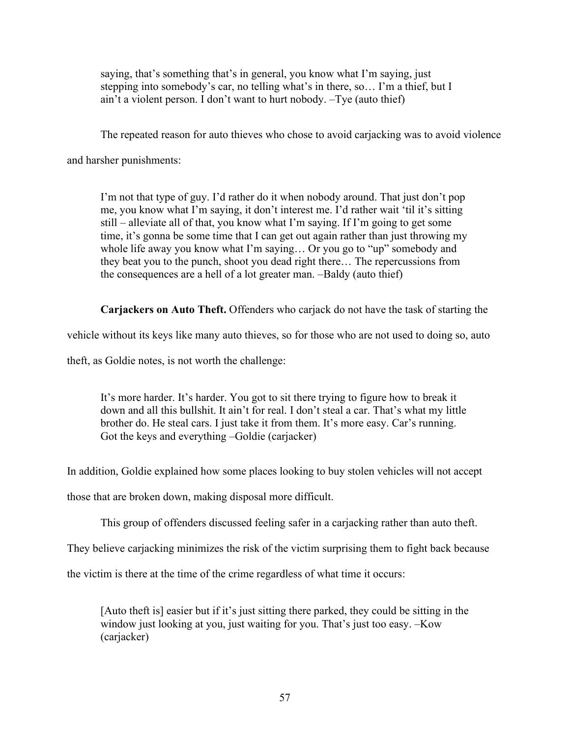saying, that's something that's in general, you know what I'm saying, just stepping into somebody's car, no telling what's in there, so… I'm a thief, but I ain't a violent person. I don't want to hurt nobody. –Tye (auto thief)

The repeated reason for auto thieves who chose to avoid carjacking was to avoid violence

and harsher punishments:

I'm not that type of guy. I'd rather do it when nobody around. That just don't pop me, you know what I'm saying, it don't interest me. I'd rather wait 'til it's sitting still – alleviate all of that, you know what I'm saying. If I'm going to get some time, it's gonna be some time that I can get out again rather than just throwing my whole life away you know what I'm saying… Or you go to "up" somebody and they beat you to the punch, shoot you dead right there… The repercussions from the consequences are a hell of a lot greater man. –Baldy (auto thief)

**Carjackers on Auto Theft.** Offenders who carjack do not have the task of starting the

vehicle without its keys like many auto thieves, so for those who are not used to doing so, auto

theft, as Goldie notes, is not worth the challenge:

It's more harder. It's harder. You got to sit there trying to figure how to break it down and all this bullshit. It ain't for real. I don't steal a car. That's what my little brother do. He steal cars. I just take it from them. It's more easy. Car's running. Got the keys and everything –Goldie (carjacker)

In addition, Goldie explained how some places looking to buy stolen vehicles will not accept

those that are broken down, making disposal more difficult.

This group of offenders discussed feeling safer in a carjacking rather than auto theft.

They believe carjacking minimizes the risk of the victim surprising them to fight back because

the victim is there at the time of the crime regardless of what time it occurs:

[Auto theft is] easier but if it's just sitting there parked, they could be sitting in the window just looking at you, just waiting for you. That's just too easy. –Kow (carjacker)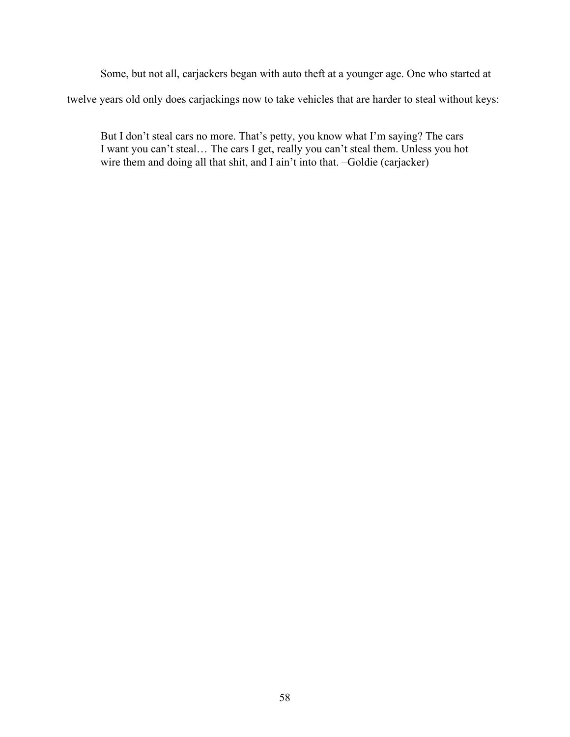Some, but not all, carjackers began with auto theft at a younger age. One who started at twelve years old only does carjackings now to take vehicles that are harder to steal without keys:

But I don't steal cars no more. That's petty, you know what I'm saying? The cars I want you can't steal… The cars I get, really you can't steal them. Unless you hot wire them and doing all that shit, and I ain't into that. –Goldie (carjacker)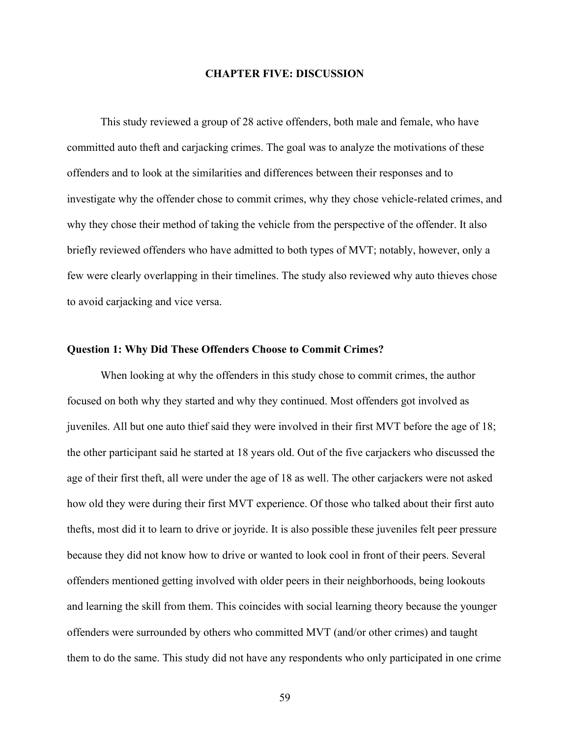### **CHAPTER FIVE: DISCUSSION**

This study reviewed a group of 28 active offenders, both male and female, who have committed auto theft and carjacking crimes. The goal was to analyze the motivations of these offenders and to look at the similarities and differences between their responses and to investigate why the offender chose to commit crimes, why they chose vehicle-related crimes, and why they chose their method of taking the vehicle from the perspective of the offender. It also briefly reviewed offenders who have admitted to both types of MVT; notably, however, only a few were clearly overlapping in their timelines. The study also reviewed why auto thieves chose to avoid carjacking and vice versa.

#### **Question 1: Why Did These Offenders Choose to Commit Crimes?**

When looking at why the offenders in this study chose to commit crimes, the author focused on both why they started and why they continued. Most offenders got involved as juveniles. All but one auto thief said they were involved in their first MVT before the age of 18; the other participant said he started at 18 years old. Out of the five carjackers who discussed the age of their first theft, all were under the age of 18 as well. The other carjackers were not asked how old they were during their first MVT experience. Of those who talked about their first auto thefts, most did it to learn to drive or joyride. It is also possible these juveniles felt peer pressure because they did not know how to drive or wanted to look cool in front of their peers. Several offenders mentioned getting involved with older peers in their neighborhoods, being lookouts and learning the skill from them. This coincides with social learning theory because the younger offenders were surrounded by others who committed MVT (and/or other crimes) and taught them to do the same. This study did not have any respondents who only participated in one crime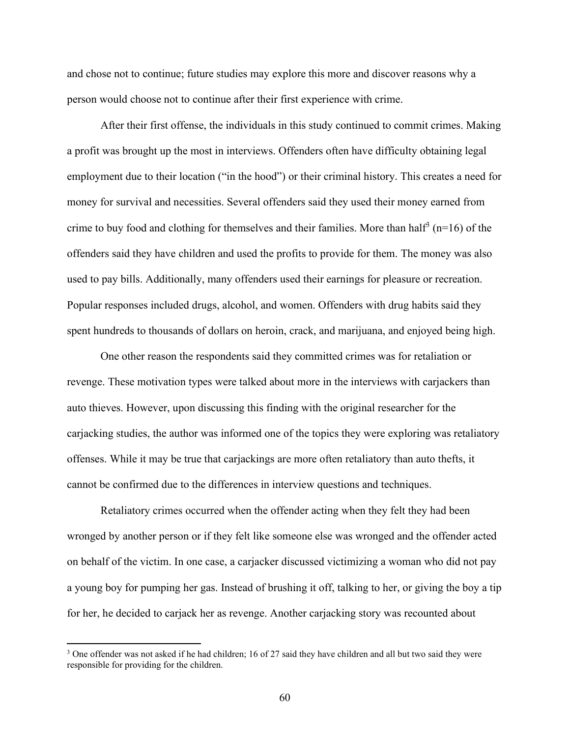and chose not to continue; future studies may explore this more and discover reasons why a person would choose not to continue after their first experience with crime.

After their first offense, the individuals in this study continued to commit crimes. Making a profit was brought up the most in interviews. Offenders often have difficulty obtaining legal employment due to their location ("in the hood") or their criminal history. This creates a need for money for survival and necessities. Several offenders said they used their money earned from crime to buy food and clothing for themselves and their families. More than half<sup>3</sup> ( $n=16$ ) of the offenders said they have children and used the profits to provide for them. The money was also used to pay bills. Additionally, many offenders used their earnings for pleasure or recreation. Popular responses included drugs, alcohol, and women. Offenders with drug habits said they spent hundreds to thousands of dollars on heroin, crack, and marijuana, and enjoyed being high.

One other reason the respondents said they committed crimes was for retaliation or revenge. These motivation types were talked about more in the interviews with carjackers than auto thieves. However, upon discussing this finding with the original researcher for the carjacking studies, the author was informed one of the topics they were exploring was retaliatory offenses. While it may be true that carjackings are more often retaliatory than auto thefts, it cannot be confirmed due to the differences in interview questions and techniques.

Retaliatory crimes occurred when the offender acting when they felt they had been wronged by another person or if they felt like someone else was wronged and the offender acted on behalf of the victim. In one case, a carjacker discussed victimizing a woman who did not pay a young boy for pumping her gas. Instead of brushing it off, talking to her, or giving the boy a tip for her, he decided to carjack her as revenge. Another carjacking story was recounted about

<sup>&</sup>lt;sup>3</sup> One offender was not asked if he had children; 16 of 27 said they have children and all but two said they were responsible for providing for the children.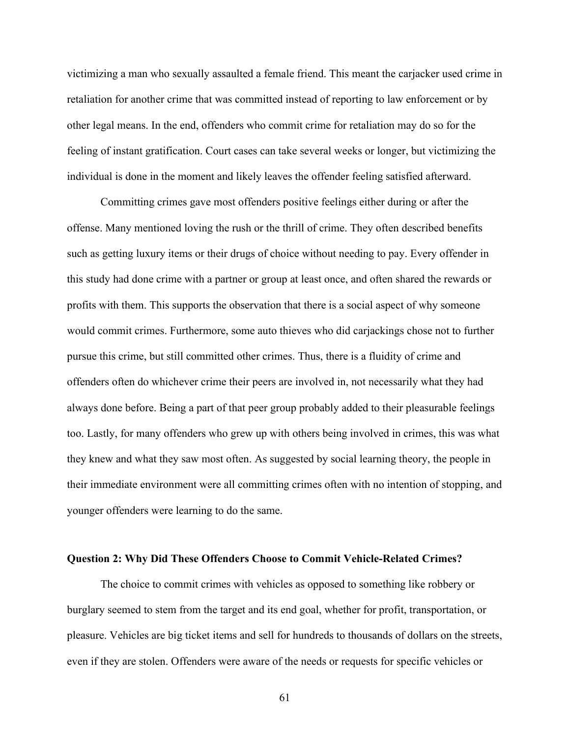victimizing a man who sexually assaulted a female friend. This meant the carjacker used crime in retaliation for another crime that was committed instead of reporting to law enforcement or by other legal means. In the end, offenders who commit crime for retaliation may do so for the feeling of instant gratification. Court cases can take several weeks or longer, but victimizing the individual is done in the moment and likely leaves the offender feeling satisfied afterward.

Committing crimes gave most offenders positive feelings either during or after the offense. Many mentioned loving the rush or the thrill of crime. They often described benefits such as getting luxury items or their drugs of choice without needing to pay. Every offender in this study had done crime with a partner or group at least once, and often shared the rewards or profits with them. This supports the observation that there is a social aspect of why someone would commit crimes. Furthermore, some auto thieves who did carjackings chose not to further pursue this crime, but still committed other crimes. Thus, there is a fluidity of crime and offenders often do whichever crime their peers are involved in, not necessarily what they had always done before. Being a part of that peer group probably added to their pleasurable feelings too. Lastly, for many offenders who grew up with others being involved in crimes, this was what they knew and what they saw most often. As suggested by social learning theory, the people in their immediate environment were all committing crimes often with no intention of stopping, and younger offenders were learning to do the same.

### **Question 2: Why Did These Offenders Choose to Commit Vehicle-Related Crimes?**

The choice to commit crimes with vehicles as opposed to something like robbery or burglary seemed to stem from the target and its end goal, whether for profit, transportation, or pleasure. Vehicles are big ticket items and sell for hundreds to thousands of dollars on the streets, even if they are stolen. Offenders were aware of the needs or requests for specific vehicles or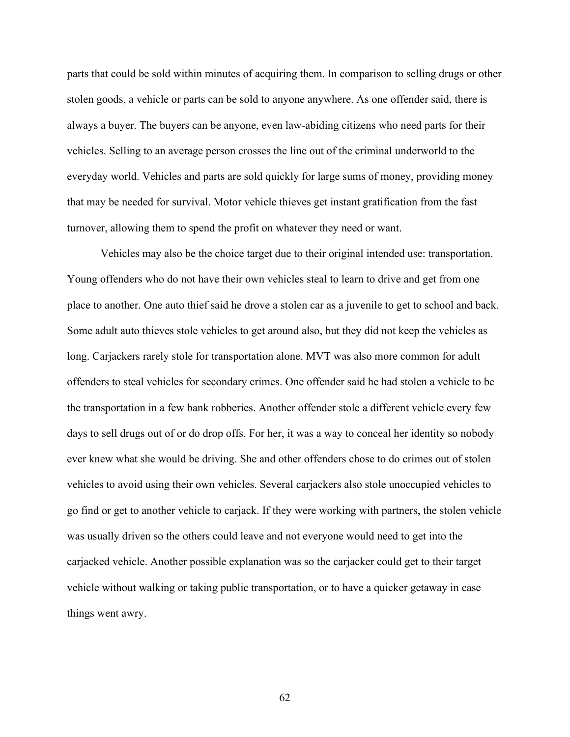parts that could be sold within minutes of acquiring them. In comparison to selling drugs or other stolen goods, a vehicle or parts can be sold to anyone anywhere. As one offender said, there is always a buyer. The buyers can be anyone, even law-abiding citizens who need parts for their vehicles. Selling to an average person crosses the line out of the criminal underworld to the everyday world. Vehicles and parts are sold quickly for large sums of money, providing money that may be needed for survival. Motor vehicle thieves get instant gratification from the fast turnover, allowing them to spend the profit on whatever they need or want.

Vehicles may also be the choice target due to their original intended use: transportation. Young offenders who do not have their own vehicles steal to learn to drive and get from one place to another. One auto thief said he drove a stolen car as a juvenile to get to school and back. Some adult auto thieves stole vehicles to get around also, but they did not keep the vehicles as long. Carjackers rarely stole for transportation alone. MVT was also more common for adult offenders to steal vehicles for secondary crimes. One offender said he had stolen a vehicle to be the transportation in a few bank robberies. Another offender stole a different vehicle every few days to sell drugs out of or do drop offs. For her, it was a way to conceal her identity so nobody ever knew what she would be driving. She and other offenders chose to do crimes out of stolen vehicles to avoid using their own vehicles. Several carjackers also stole unoccupied vehicles to go find or get to another vehicle to carjack. If they were working with partners, the stolen vehicle was usually driven so the others could leave and not everyone would need to get into the carjacked vehicle. Another possible explanation was so the carjacker could get to their target vehicle without walking or taking public transportation, or to have a quicker getaway in case things went awry.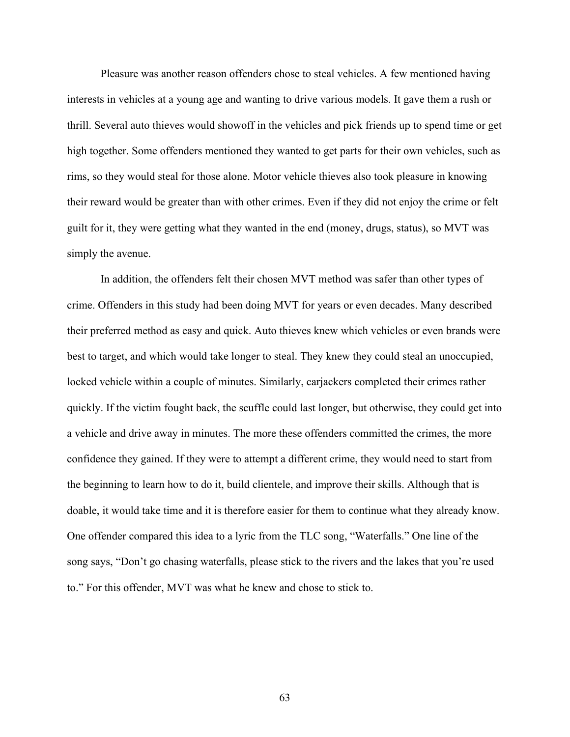Pleasure was another reason offenders chose to steal vehicles. A few mentioned having interests in vehicles at a young age and wanting to drive various models. It gave them a rush or thrill. Several auto thieves would showoff in the vehicles and pick friends up to spend time or get high together. Some offenders mentioned they wanted to get parts for their own vehicles, such as rims, so they would steal for those alone. Motor vehicle thieves also took pleasure in knowing their reward would be greater than with other crimes. Even if they did not enjoy the crime or felt guilt for it, they were getting what they wanted in the end (money, drugs, status), so MVT was simply the avenue.

In addition, the offenders felt their chosen MVT method was safer than other types of crime. Offenders in this study had been doing MVT for years or even decades. Many described their preferred method as easy and quick. Auto thieves knew which vehicles or even brands were best to target, and which would take longer to steal. They knew they could steal an unoccupied, locked vehicle within a couple of minutes. Similarly, carjackers completed their crimes rather quickly. If the victim fought back, the scuffle could last longer, but otherwise, they could get into a vehicle and drive away in minutes. The more these offenders committed the crimes, the more confidence they gained. If they were to attempt a different crime, they would need to start from the beginning to learn how to do it, build clientele, and improve their skills. Although that is doable, it would take time and it is therefore easier for them to continue what they already know. One offender compared this idea to a lyric from the TLC song, "Waterfalls." One line of the song says, "Don't go chasing waterfalls, please stick to the rivers and the lakes that you're used to." For this offender, MVT was what he knew and chose to stick to.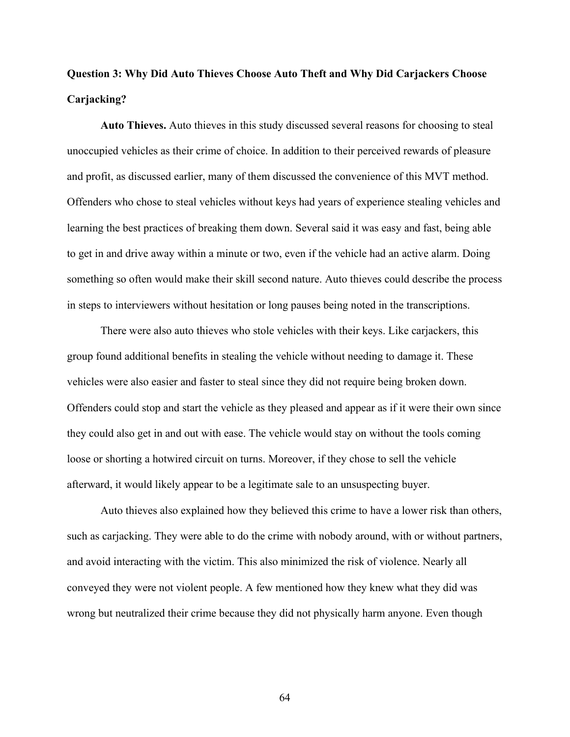# **Question 3: Why Did Auto Thieves Choose Auto Theft and Why Did Carjackers Choose Carjacking?**

**Auto Thieves.** Auto thieves in this study discussed several reasons for choosing to steal unoccupied vehicles as their crime of choice. In addition to their perceived rewards of pleasure and profit, as discussed earlier, many of them discussed the convenience of this MVT method. Offenders who chose to steal vehicles without keys had years of experience stealing vehicles and learning the best practices of breaking them down. Several said it was easy and fast, being able to get in and drive away within a minute or two, even if the vehicle had an active alarm. Doing something so often would make their skill second nature. Auto thieves could describe the process in steps to interviewers without hesitation or long pauses being noted in the transcriptions.

There were also auto thieves who stole vehicles with their keys. Like carjackers, this group found additional benefits in stealing the vehicle without needing to damage it. These vehicles were also easier and faster to steal since they did not require being broken down. Offenders could stop and start the vehicle as they pleased and appear as if it were their own since they could also get in and out with ease. The vehicle would stay on without the tools coming loose or shorting a hotwired circuit on turns. Moreover, if they chose to sell the vehicle afterward, it would likely appear to be a legitimate sale to an unsuspecting buyer.

Auto thieves also explained how they believed this crime to have a lower risk than others, such as carjacking. They were able to do the crime with nobody around, with or without partners, and avoid interacting with the victim. This also minimized the risk of violence. Nearly all conveyed they were not violent people. A few mentioned how they knew what they did was wrong but neutralized their crime because they did not physically harm anyone. Even though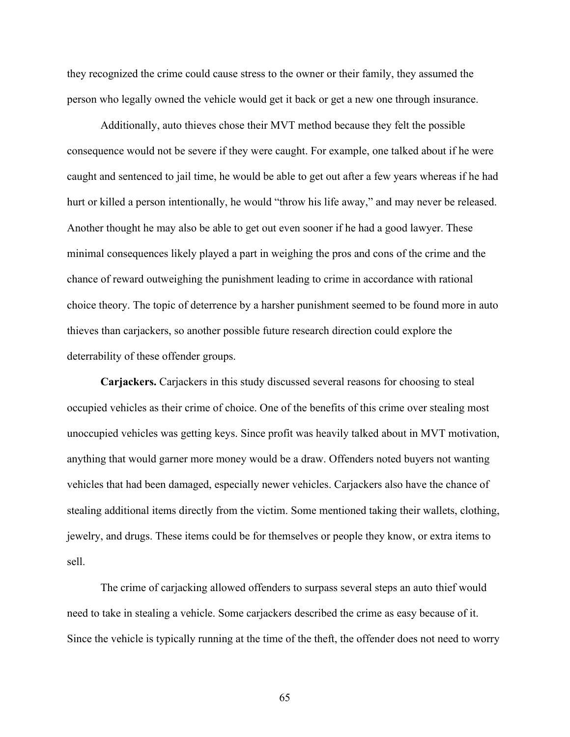they recognized the crime could cause stress to the owner or their family, they assumed the person who legally owned the vehicle would get it back or get a new one through insurance.

Additionally, auto thieves chose their MVT method because they felt the possible consequence would not be severe if they were caught. For example, one talked about if he were caught and sentenced to jail time, he would be able to get out after a few years whereas if he had hurt or killed a person intentionally, he would "throw his life away," and may never be released. Another thought he may also be able to get out even sooner if he had a good lawyer. These minimal consequences likely played a part in weighing the pros and cons of the crime and the chance of reward outweighing the punishment leading to crime in accordance with rational choice theory. The topic of deterrence by a harsher punishment seemed to be found more in auto thieves than carjackers, so another possible future research direction could explore the deterrability of these offender groups.

**Carjackers.** Carjackers in this study discussed several reasons for choosing to steal occupied vehicles as their crime of choice. One of the benefits of this crime over stealing most unoccupied vehicles was getting keys. Since profit was heavily talked about in MVT motivation, anything that would garner more money would be a draw. Offenders noted buyers not wanting vehicles that had been damaged, especially newer vehicles. Carjackers also have the chance of stealing additional items directly from the victim. Some mentioned taking their wallets, clothing, jewelry, and drugs. These items could be for themselves or people they know, or extra items to sell.

The crime of carjacking allowed offenders to surpass several steps an auto thief would need to take in stealing a vehicle. Some carjackers described the crime as easy because of it. Since the vehicle is typically running at the time of the theft, the offender does not need to worry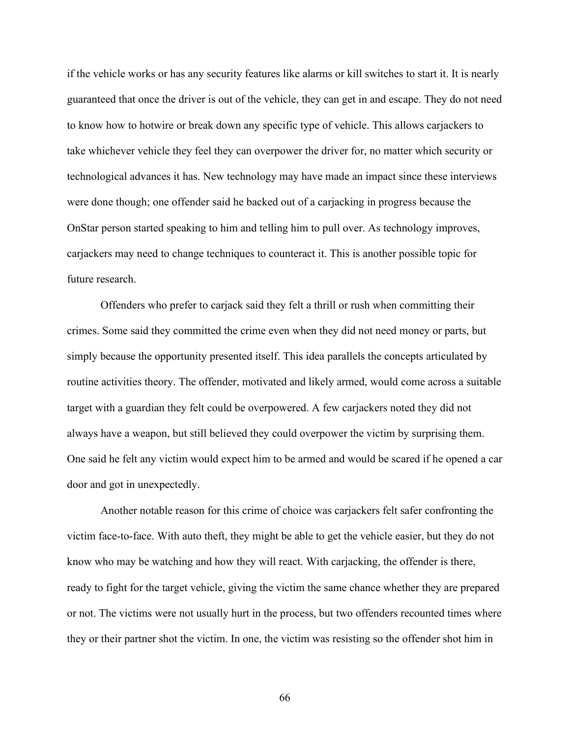if the vehicle works or has any security features like alarms or kill switches to start it. It is nearly guaranteed that once the driver is out of the vehicle, they can get in and escape. They do not need to know how to hotwire or break down any specific type of vehicle. This allows carjackers to take whichever vehicle they feel they can overpower the driver for, no matter which security or technological advances it has. New technology may have made an impact since these interviews were done though; one offender said he backed out of a carjacking in progress because the OnStar person started speaking to him and telling him to pull over. As technology improves, carjackers may need to change techniques to counteract it. This is another possible topic for future research.

Offenders who prefer to carjack said they felt a thrill or rush when committing their crimes. Some said they committed the crime even when they did not need money or parts, but simply because the opportunity presented itself. This idea parallels the concepts articulated by routine activities theory. The offender, motivated and likely armed, would come across a suitable target with a guardian they felt could be overpowered. A few carjackers noted they did not always have a weapon, but still believed they could overpower the victim by surprising them. One said he felt any victim would expect him to be armed and would be scared if he opened a car door and got in unexpectedly.

Another notable reason for this crime of choice was carjackers felt safer confronting the victim face-to-face. With auto theft, they might be able to get the vehicle easier, but they do not know who may be watching and how they will react. With carjacking, the offender is there, ready to fight for the target vehicle, giving the victim the same chance whether they are prepared or not. The victims were not usually hurt in the process, but two offenders recounted times where they or their partner shot the victim. In one, the victim was resisting so the offender shot him in

66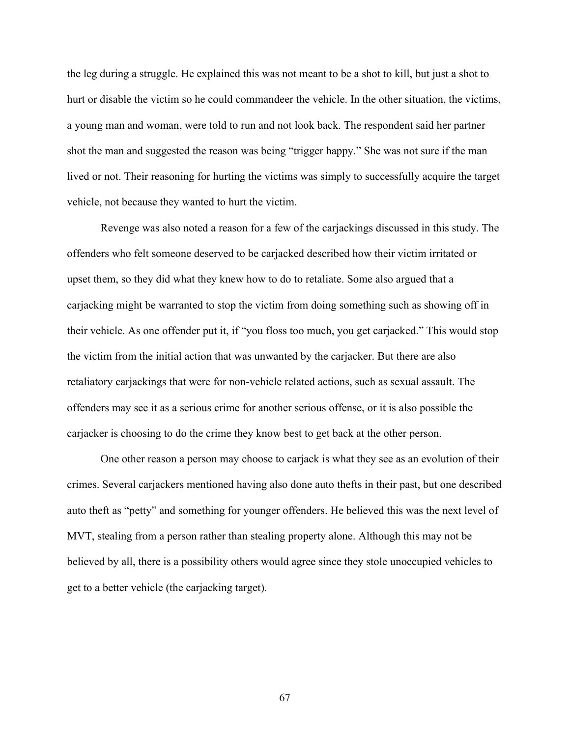the leg during a struggle. He explained this was not meant to be a shot to kill, but just a shot to hurt or disable the victim so he could commandeer the vehicle. In the other situation, the victims, a young man and woman, were told to run and not look back. The respondent said her partner shot the man and suggested the reason was being "trigger happy." She was not sure if the man lived or not. Their reasoning for hurting the victims was simply to successfully acquire the target vehicle, not because they wanted to hurt the victim.

Revenge was also noted a reason for a few of the carjackings discussed in this study. The offenders who felt someone deserved to be carjacked described how their victim irritated or upset them, so they did what they knew how to do to retaliate. Some also argued that a carjacking might be warranted to stop the victim from doing something such as showing off in their vehicle. As one offender put it, if "you floss too much, you get carjacked." This would stop the victim from the initial action that was unwanted by the carjacker. But there are also retaliatory carjackings that were for non-vehicle related actions, such as sexual assault. The offenders may see it as a serious crime for another serious offense, or it is also possible the carjacker is choosing to do the crime they know best to get back at the other person.

One other reason a person may choose to carjack is what they see as an evolution of their crimes. Several carjackers mentioned having also done auto thefts in their past, but one described auto theft as "petty" and something for younger offenders. He believed this was the next level of MVT, stealing from a person rather than stealing property alone. Although this may not be believed by all, there is a possibility others would agree since they stole unoccupied vehicles to get to a better vehicle (the carjacking target).

67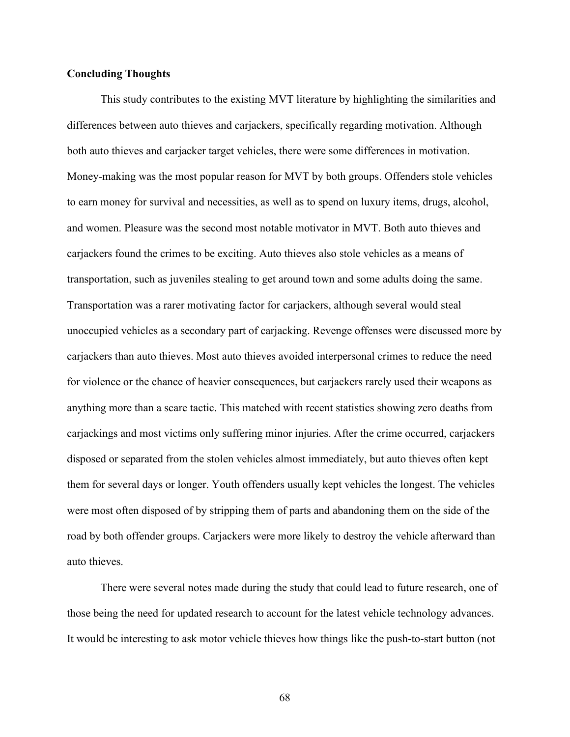## **Concluding Thoughts**

This study contributes to the existing MVT literature by highlighting the similarities and differences between auto thieves and carjackers, specifically regarding motivation. Although both auto thieves and carjacker target vehicles, there were some differences in motivation. Money-making was the most popular reason for MVT by both groups. Offenders stole vehicles to earn money for survival and necessities, as well as to spend on luxury items, drugs, alcohol, and women. Pleasure was the second most notable motivator in MVT. Both auto thieves and carjackers found the crimes to be exciting. Auto thieves also stole vehicles as a means of transportation, such as juveniles stealing to get around town and some adults doing the same. Transportation was a rarer motivating factor for carjackers, although several would steal unoccupied vehicles as a secondary part of carjacking. Revenge offenses were discussed more by carjackers than auto thieves. Most auto thieves avoided interpersonal crimes to reduce the need for violence or the chance of heavier consequences, but carjackers rarely used their weapons as anything more than a scare tactic. This matched with recent statistics showing zero deaths from carjackings and most victims only suffering minor injuries. After the crime occurred, carjackers disposed or separated from the stolen vehicles almost immediately, but auto thieves often kept them for several days or longer. Youth offenders usually kept vehicles the longest. The vehicles were most often disposed of by stripping them of parts and abandoning them on the side of the road by both offender groups. Carjackers were more likely to destroy the vehicle afterward than auto thieves.

There were several notes made during the study that could lead to future research, one of those being the need for updated research to account for the latest vehicle technology advances. It would be interesting to ask motor vehicle thieves how things like the push-to-start button (not

68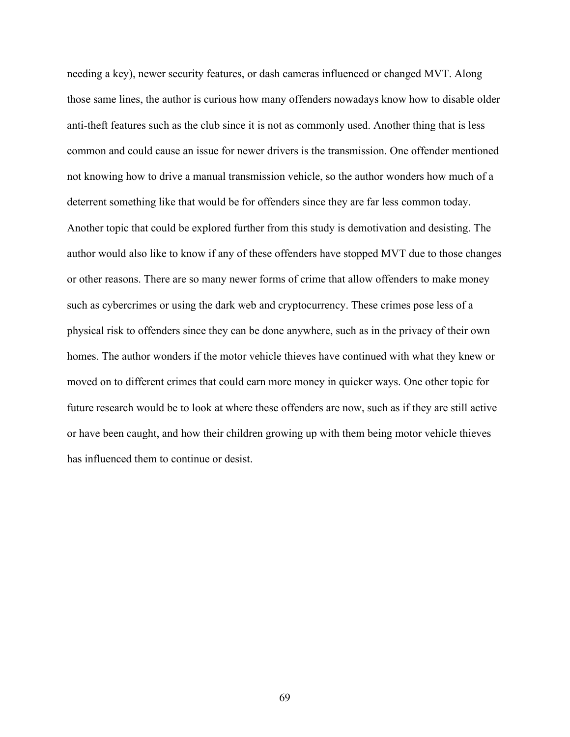needing a key), newer security features, or dash cameras influenced or changed MVT. Along those same lines, the author is curious how many offenders nowadays know how to disable older anti-theft features such as the club since it is not as commonly used. Another thing that is less common and could cause an issue for newer drivers is the transmission. One offender mentioned not knowing how to drive a manual transmission vehicle, so the author wonders how much of a deterrent something like that would be for offenders since they are far less common today. Another topic that could be explored further from this study is demotivation and desisting. The author would also like to know if any of these offenders have stopped MVT due to those changes or other reasons. There are so many newer forms of crime that allow offenders to make money such as cybercrimes or using the dark web and cryptocurrency. These crimes pose less of a physical risk to offenders since they can be done anywhere, such as in the privacy of their own homes. The author wonders if the motor vehicle thieves have continued with what they knew or moved on to different crimes that could earn more money in quicker ways. One other topic for future research would be to look at where these offenders are now, such as if they are still active or have been caught, and how their children growing up with them being motor vehicle thieves has influenced them to continue or desist.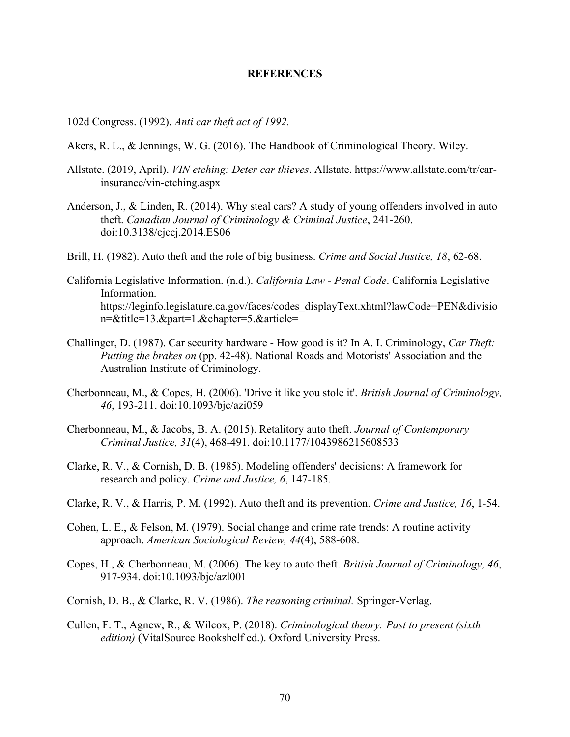## **REFERENCES**

102d Congress. (1992). *Anti car theft act of 1992.*

- Akers, R. L., & Jennings, W. G. (2016). The Handbook of Criminological Theory. Wiley.
- Allstate. (2019, April). *VIN etching: Deter car thieves*. Allstate. https://www.allstate.com/tr/carinsurance/vin-etching.aspx
- Anderson, J., & Linden, R. (2014). Why steal cars? A study of young offenders involved in auto theft. *Canadian Journal of Criminology & Criminal Justice*, 241-260. doi:10.3138/cjccj.2014.ES06
- Brill, H. (1982). Auto theft and the role of big business. *Crime and Social Justice, 18*, 62-68.
- California Legislative Information. (n.d.). *California Law - Penal Code*. California Legislative Information. https://leginfo.legislature.ca.gov/faces/codes\_displayText.xhtml?lawCode=PEN&divisio n=&title=13.&part=1.&chapter=5.&article=
- Challinger, D. (1987). Car security hardware How good is it? In A. I. Criminology, *Car Theft: Putting the brakes on* (pp. 42-48). National Roads and Motorists' Association and the Australian Institute of Criminology.
- Cherbonneau, M., & Copes, H. (2006). 'Drive it like you stole it'. *British Journal of Criminology, 46*, 193-211. doi:10.1093/bjc/azi059
- Cherbonneau, M., & Jacobs, B. A. (2015). Retalitory auto theft. *Journal of Contemporary Criminal Justice, 31*(4), 468-491. doi:10.1177/1043986215608533
- Clarke, R. V., & Cornish, D. B. (1985). Modeling offenders' decisions: A framework for research and policy. *Crime and Justice, 6*, 147-185.
- Clarke, R. V., & Harris, P. M. (1992). Auto theft and its prevention. *Crime and Justice, 16*, 1-54.
- Cohen, L. E., & Felson, M. (1979). Social change and crime rate trends: A routine activity approach. *American Sociological Review, 44*(4), 588-608.
- Copes, H., & Cherbonneau, M. (2006). The key to auto theft. *British Journal of Criminology, 46*, 917-934. doi:10.1093/bjc/azl001
- Cornish, D. B., & Clarke, R. V. (1986). *The reasoning criminal.* Springer-Verlag.
- Cullen, F. T., Agnew, R., & Wilcox, P. (2018). *Criminological theory: Past to present (sixth edition)* (VitalSource Bookshelf ed.). Oxford University Press.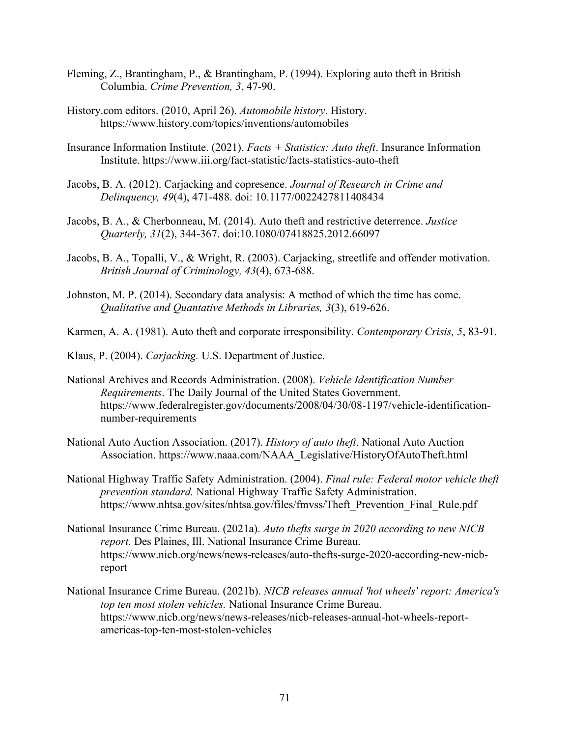- Fleming, Z., Brantingham, P., & Brantingham, P. (1994). Exploring auto theft in British Columbia. *Crime Prevention, 3*, 47-90.
- History.com editors. (2010, April 26). *Automobile history*. History. https://www.history.com/topics/inventions/automobiles
- Insurance Information Institute. (2021). *Facts + Statistics: Auto theft*. Insurance Information Institute. https://www.iii.org/fact-statistic/facts-statistics-auto-theft
- Jacobs, B. A. (2012). Carjacking and copresence. *Journal of Research in Crime and Delinquency, 49*(4), 471-488. doi: 10.1177/0022427811408434
- Jacobs, B. A., & Cherbonneau, M. (2014). Auto theft and restrictive deterrence. *Justice Quarterly, 31*(2), 344-367. doi:10.1080/07418825.2012.66097
- Jacobs, B. A., Topalli, V., & Wright, R. (2003). Carjacking, streetlife and offender motivation. *British Journal of Criminology, 43*(4), 673-688.
- Johnston, M. P. (2014). Secondary data analysis: A method of which the time has come. *Qualitative and Quantative Methods in Libraries, 3*(3), 619-626.
- Karmen, A. A. (1981). Auto theft and corporate irresponsibility. *Contemporary Crisis, 5*, 83-91.
- Klaus, P. (2004). *Carjacking.* U.S. Department of Justice.
- National Archives and Records Administration. (2008). *Vehicle Identification Number Requirements*. The Daily Journal of the United States Government. https://www.federalregister.gov/documents/2008/04/30/08-1197/vehicle-identificationnumber-requirements
- National Auto Auction Association. (2017). *History of auto theft*. National Auto Auction Association. https://www.naaa.com/NAAA\_Legislative/HistoryOfAutoTheft.html
- National Highway Traffic Safety Administration. (2004). *Final rule: Federal motor vehicle theft prevention standard.* National Highway Traffic Safety Administration. https://www.nhtsa.gov/sites/nhtsa.gov/files/fmvss/Theft\_Prevention\_Final\_Rule.pdf
- National Insurance Crime Bureau. (2021a). *Auto thefts surge in 2020 according to new NICB report.* Des Plaines, Ill. National Insurance Crime Bureau. https://www.nicb.org/news/news-releases/auto-thefts-surge-2020-according-new-nicbreport
- National Insurance Crime Bureau. (2021b). *NICB releases annual 'hot wheels' report: America's top ten most stolen vehicles.* National Insurance Crime Bureau. https://www.nicb.org/news/news-releases/nicb-releases-annual-hot-wheels-reportamericas-top-ten-most-stolen-vehicles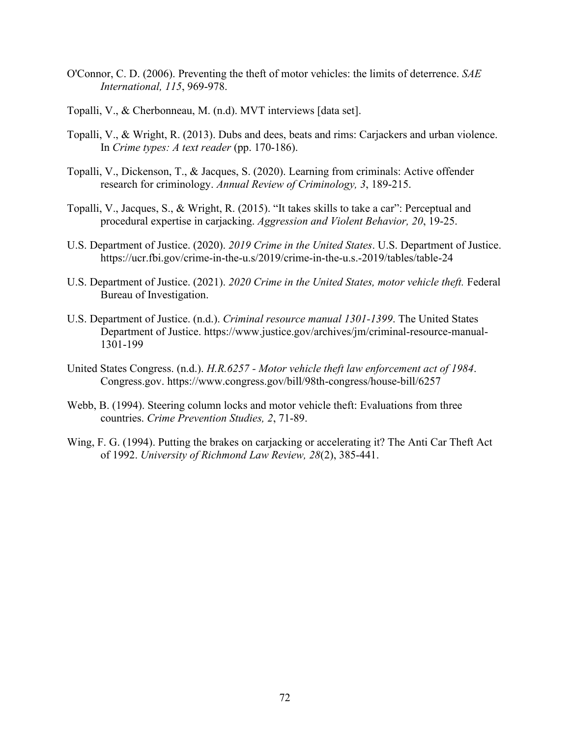- O'Connor, C. D. (2006). Preventing the theft of motor vehicles: the limits of deterrence. *SAE International, 115*, 969-978.
- Topalli, V., & Cherbonneau, M. (n.d). MVT interviews [data set].
- Topalli, V., & Wright, R. (2013). Dubs and dees, beats and rims: Carjackers and urban violence. In *Crime types: A text reader* (pp. 170-186).
- Topalli, V., Dickenson, T., & Jacques, S. (2020). Learning from criminals: Active offender research for criminology. *Annual Review of Criminology, 3*, 189-215.
- Topalli, V., Jacques, S., & Wright, R. (2015). "It takes skills to take a car": Perceptual and procedural expertise in carjacking. *Aggression and Violent Behavior, 20*, 19-25.
- U.S. Department of Justice. (2020). *2019 Crime in the United States*. U.S. Department of Justice. https://ucr.fbi.gov/crime-in-the-u.s/2019/crime-in-the-u.s.-2019/tables/table-24
- U.S. Department of Justice. (2021). *2020 Crime in the United States, motor vehicle theft.* Federal Bureau of Investigation.
- U.S. Department of Justice. (n.d.). *Criminal resource manual 1301-1399*. The United States Department of Justice. https://www.justice.gov/archives/jm/criminal-resource-manual-1301-199
- United States Congress. (n.d.). *H.R.6257 - Motor vehicle theft law enforcement act of 1984*. Congress.gov. https://www.congress.gov/bill/98th-congress/house-bill/6257
- Webb, B. (1994). Steering column locks and motor vehicle theft: Evaluations from three countries. *Crime Prevention Studies, 2*, 71-89.
- Wing, F. G. (1994). Putting the brakes on carjacking or accelerating it? The Anti Car Theft Act of 1992. *University of Richmond Law Review, 28*(2), 385-441.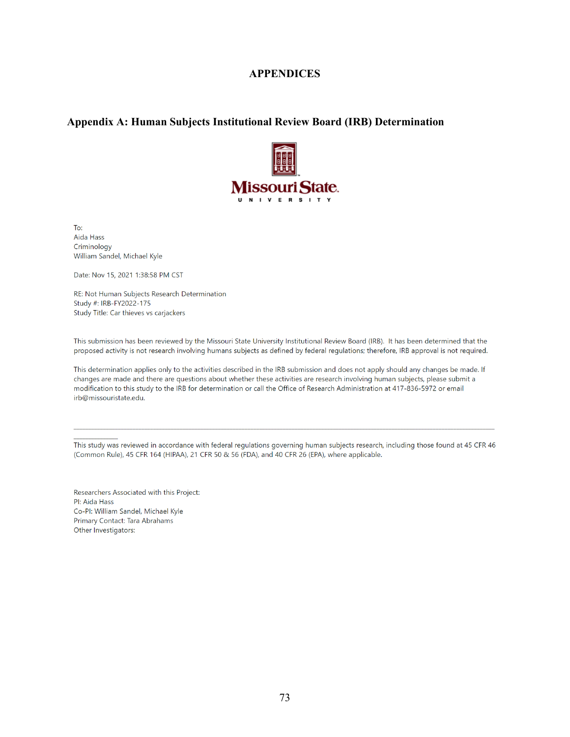## **APPENDICES**

## **Appendix A: Human Subjects Institutional Review Board (IRB) Determination**



To: Aida Hass Criminology William Sandel, Michael Kyle

Date: Nov 15, 2021 1:38:58 PM CST

RE: Not Human Subjects Research Determination Study #: IRB-FY2022-175 Study Title: Car thieves vs carjackers

This submission has been reviewed by the Missouri State University Institutional Review Board (IRB). It has been determined that the proposed activity is not research involving humans subjects as defined by federal regulations; therefore, IRB approval is not required.

This determination applies only to the activities described in the IRB submission and does not apply should any changes be made. If changes are made and there are questions about whether these activities are research involving human subjects, please submit a modification to this study to the IRB for determination or call the Office of Research Administration at 417-836-5972 or email irb@missouristate.edu.

This study was reviewed in accordance with federal regulations governing human subjects research, including those found at 45 CFR 46 (Common Rule), 45 CFR 164 (HIPAA), 21 CFR 50 & 56 (FDA), and 40 CFR 26 (EPA), where applicable.

Researchers Associated with this Project: Pl: Aida Hass Co-PI: William Sandel, Michael Kyle Primary Contact: Tara Abrahams Other Investigators: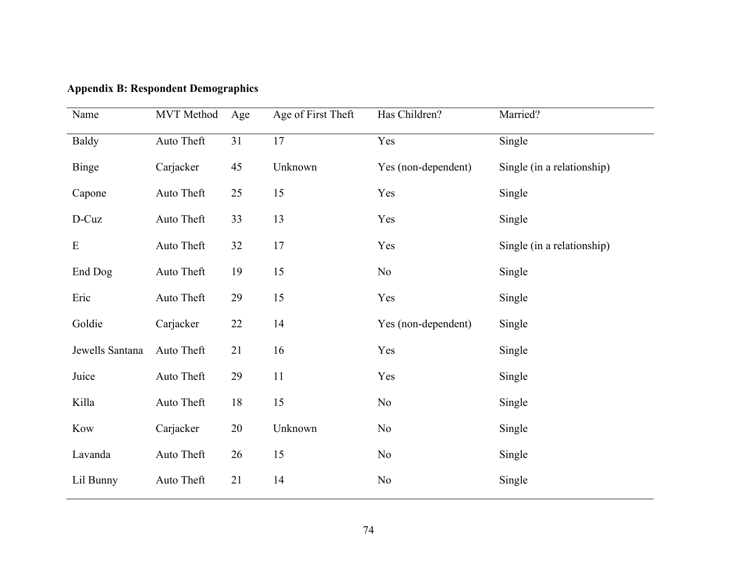| Name            | <b>MVT</b> Method | Age    | Age of First Theft | Has Children?       | Married?                   |
|-----------------|-------------------|--------|--------------------|---------------------|----------------------------|
| <b>Baldy</b>    | Auto Theft        | 31     | $\overline{17}$    | Yes                 | Single                     |
| Binge           | Carjacker         | 45     | Unknown            | Yes (non-dependent) | Single (in a relationship) |
| Capone          | Auto Theft        | 25     | 15                 | Yes                 | Single                     |
| D-Cuz           | Auto Theft        | 33     | 13                 | Yes                 | Single                     |
| ${\bf E}$       | Auto Theft        | 32     | 17                 | Yes                 | Single (in a relationship) |
| End Dog         | Auto Theft        | 19     | 15                 | N <sub>o</sub>      | Single                     |
| Eric            | Auto Theft        | 29     | 15                 | Yes                 | Single                     |
| Goldie          | Carjacker         | 22     | 14                 | Yes (non-dependent) | Single                     |
| Jewells Santana | Auto Theft        | 21     | 16                 | Yes                 | Single                     |
| Juice           | Auto Theft        | 29     | 11                 | Yes                 | Single                     |
| Killa           | Auto Theft        | 18     | 15                 | N <sub>o</sub>      | Single                     |
| Kow             | Carjacker         | $20\,$ | Unknown            | N <sub>o</sub>      | Single                     |
| Lavanda         | Auto Theft        | 26     | 15                 | N <sub>o</sub>      | Single                     |
| Lil Bunny       | Auto Theft        | 21     | 14                 | $\rm No$            | Single                     |

**Appendix B: Respondent Demographics**